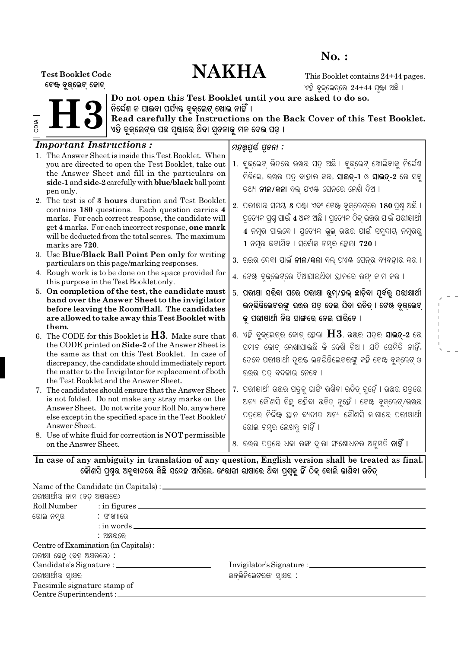# $No.$ :

# **NAKHA**

**Test Booklet Code** ଟେଖ ବୃକ୍ଲେଟ୍ କୋଡ୍

This Booklet contains 24+44 pages. ଏହି ବୁକ୍ଲେଟ୍ରେ 24+44 ପୃଖା ଅଛି ।



Do not open this Test Booklet until you are asked to do so.<br>ନିର୍ଦ୍ଦେଶ ନ ପାଇବା ପର୍ଯ୍ୟନ୍ତ ବୁଜ୍ଲେଟ୍ ଖୋଲ ନାହିଁ ।<br>Read carefully the Instructions on the Back Cover of this Test Booklet.<br>ଏହି ବୁଜ୍ଲେଟ୍ର ପଛ ପୃଷାରେ ଥିବା ସୂଚନାଜୁ ମ

| <i>Important Instructions:</i>                                 | ମହର୍ଉ୍ୟ ସ୍ତନା :                                                                                     |
|----------------------------------------------------------------|-----------------------------------------------------------------------------------------------------|
| 1. The Answer Sheet is inside this Test Booklet. When          |                                                                                                     |
| you are directed to open the Test Booklet, take out            | 1. ବୁକ୍ଲେଟ୍ ଭିତରେ ଉତ୍ତର ପତ୍ର ଅଛି । ବୁକ୍ଲେଟ୍ ଖୋଲିବାକୁ ନିର୍ଦେଶ                                        |
| the Answer Sheet and fill in the particulars on                | ମିଳିଲେ, ଉତ୍ତର ପତ୍ର ବାହାର କର, <b>ସାଇଡ୍-1</b> ଓ <b>ସାଇଡ୍-2</b> ରେ ସବୁ                                 |
| side-1 and side-2 carefully with blue/black ball point         |                                                                                                     |
| pen only.                                                      | ତଥ୍ୟ <b>ନୀଳ/କଳା</b> ବଲ୍ ପଏ଼ି ପେନରେ ଲେଖି ଦିଅ ।                                                       |
| 2. The test is of 3 hours duration and Test Booklet            | 2. ପରୀକ୍ଷାର ସମୟ 3 ଘ୍ଞା ଏବଂ ଟେଝ ବୁକ୍ଲେଟ୍ରେ 180 ପ୍ରଶୁ ଅଛି ।                                           |
| contains 180 questions. Each question carries 4                |                                                                                                     |
| marks. For each correct response, the candidate will           | ପ୍ରତ୍ୟେକ ପ୍ରଶ୍ନ ପାଇଁ 4 ଅଙ୍କ ଅଛି । ପ୍ରତ୍ୟେକ ଠିକ୍ ଉତ୍ତର ପାଇଁ ପରୀଷାର୍ଥୀ                                |
| get 4 marks. For each incorrect response, one mark             | 4 ନମ୍ବ ପାଇବେ । ପ୍ରତ୍ୟେକ ଭୁଲ୍ ଉତ୍ତର ପାଇଁ ସମୁଦାୟ ନମ୍ବରରୁ                                              |
| will be deducted from the total scores. The maximum            |                                                                                                     |
| marks are 720.                                                 | $1$ ନମୃର କଟାଯିବ । ସର୍ବୋଚ୍ଚ ନମ୍ବର ହେଲା 720 ।                                                         |
| 3. Use Blue/Black Ball Point Pen only for writing              | 3.  ଉଉର ଦେବା ପାଇଁ <b>ନୀଳ/କଳା</b> ବଲ୍ ପଏ଼ି ପେନ୍ର ବ୍ୟବହାର କର ।                                        |
| particulars on this page/marking responses.                    |                                                                                                     |
| 4. Rough work is to be done on the space provided for          | 4. ଟେଝ ବୁକ୍ଲେଟ୍ରେ ଦିଆଯାଇଥିବା ୟାନରେ ରଫ୍ କାମ କର ।                                                     |
| this purpose in the Test Booklet only.                         |                                                                                                     |
| 5. On completion of the test, the candidate must               | 5. ପରାଷା ସରିବା ପରେ ପରାଷା ରୁମ୍/ହଲ୍ ଛାଡ଼ିବା ପୂର୍ବରୁ ପରାଷାର୍ଥୀ                                         |
| hand over the Answer Sheet to the invigilator                  | ଇନ୍ଭିଜିଲେଟରଙ୍କୁ ଉତ୍ତର ପତ୍ର ଦେଇ ଯିବା ଉଚିତ୍ । ଟେଖ ବୃଜ୍ଲେଟ୍                                            |
| before leaving the Room/Hall. The candidates                   |                                                                                                     |
| are allowed to take away this Test Booklet with<br>them.       | କୁ ପରାଷାର୍ଥୀ ନିଜ ସାଙ୍ଗରେ ନେଇ ପାରିବେ ।                                                               |
| 6. The CODE for this Booklet is $H3$ . Make sure that          | 6. ଏହି ବୁକ୍ଲେଟ୍ର କୋଡ୍ ହେଲା $\rm H3$ . ଉତ୍ତର ପତ୍ର ସା <b>ଇତ୍-2</b> ରେ                                 |
| the CODE printed on Side-2 of the Answer Sheet is              |                                                                                                     |
| the same as that on this Test Booklet. In case of              | ସମାନ କୋଡ୍ ଲେଖାଯାଇଛି କି ଦେଖି ନିଅ । ଯଦି ସେମିତି ନାହିଁ,                                                 |
| discrepancy, the candidate should immediately report           | ତେବେ ପରୀକ୍ଷାର୍ଥୀ ତୂର୍ତ୍ତ ଇନଭିଜିଲେଟରଙ୍କୁ କହି ଟେଖ ବୁକ୍ଲେଟ୍ ଓ                                          |
| the matter to the Invigilator for replacement of both          | ଉତ୍ତର ପତ୍ ବଦଳାଇ ନେବେ ।                                                                              |
| the Test Booklet and the Answer Sheet.                         |                                                                                                     |
| 7. The candidates should ensure that the Answer Sheet          | 7.  ପରୀଷାର୍ଥୀ ଉତ୍ତର ପତ୍ରକୁ ଭାଙ୍ଗି ରଖିବା ଉଚିତ୍ ନୁହେଁ । ଉତ୍ତର ପତ୍ରରେ                                  |
| is not folded. Do not make any stray marks on the              | ଅନ୍ୟ କୌଣସି ଚିହୁ ରହିବା ଉଚିତ୍ ନୁହେଁ । ଟେଖ ବୁକ୍ଲେଟ୍/ଉତ୍ତର                                              |
| Answer Sheet. Do not write your Roll No. anywhere              |                                                                                                     |
| else except in the specified space in the Test Booklet/        | ପତ୍ରରେ ନିର୍ଦ୍ଦିଷ୍ଟ ସ୍ଥାନ ବ୍ୟତୀତ ଅନ୍ୟ କୌଣସି ଜାଗାରେ ପରୀକ୍ଷାର୍ଥୀ                                       |
| Answer Sheet.                                                  | ରୋଲ ନମ୍ବ ଲେଖକ୍ତୁ ନାହିଁ ।                                                                            |
| 8. Use of white fluid for correction is <b>NOT</b> permissible |                                                                                                     |
| on the Answer Sheet.                                           | .୫. ଉତ୍ତର ପତ୍ରରେ ଧଳା ରଙ୍ଗ ଦ୍ୱାରା ସଂଶୋଧନର ଅନୁମତି <b>ନାହିଁ ।</b>                                      |
|                                                                |                                                                                                     |
|                                                                | In case of any ambiguity in translation of any question, English version shall be treated as final. |
|                                                                | କୌଣସି ପ୍ରର ଅନୁବାଦରେ କିଛି ସନ୍ଦେହ ଆସିଲେ, ଇଂରାଜୀ ଭାଷାରେ ଥିବା ପ୍ରକୁ ହିଁ ଠିକ୍ ବୋଲି ଜାଣିବା ଉଚିତ୍          |

| ପରୀକ୍ଷାର୍ଥୀର ନାମ (ବଡ଼ ଅକ୍ଷରରେ)    |                                       |                          |  |
|-----------------------------------|---------------------------------------|--------------------------|--|
|                                   |                                       |                          |  |
| ରୋଲ ନମ୍ବର              : ସଂଖ୍ୟାରେ |                                       |                          |  |
|                                   | $:$ in words $\overline{\phantom{a}}$ |                          |  |
|                                   | : ଅଷରରେ                               |                          |  |
|                                   |                                       |                          |  |
| ପରୀକ୍ଷା କେନ୍ଦ୍ (ବଡ଼ ଅକ୍ଷରରେ) :    |                                       |                          |  |
|                                   |                                       |                          |  |
| ପରୀକ୍ଷାର୍ଥୀର ସ୍ୱାକ୍ଷର             |                                       | ଇନଭିଜିଲେଟରଙ୍କ ସ୍ୱାକ୍ଷର : |  |
| Facsimile signature stamp of      |                                       |                          |  |
|                                   | Centre Superintendent : _________     |                          |  |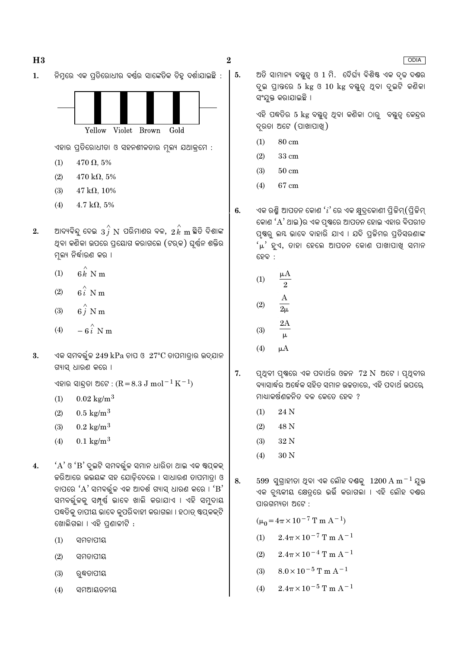ନିମ୍ନରେ ଏକ ପ୍ରତିରୋଧୀର ବର୍ଷର ସାଙ୍କେତିକ ଚିହୁ ଦର୍ଶାଯାଇଛି :  $\mathbf{1}$ .



ଏହାର ପ୍ରତିରୋଧୀତା ଓ ସହନଶୀଳତାର ମୂଲ୍ୟ ଯଥାକ୍ରମେ :

- $470 \Omega, 5\%$  $(1)$
- $(2)$  $470 \text{ k}\Omega, 5\%$
- $(3)$  $47 \text{ k}\Omega$ , 10%
- $4.7 \text{ k}\Omega, 5\%$  $(4)$
- ଆଦ୍ୟବିନ୍ଦୁ ଦେଇ  $\,3\, \hat{i}\, \, {\rm N}\,$  ପରିମାଣର ବଳ,  $\,2\, \hat{k}\, \, {\rm m}\,$ ହିତି ଦିଶାଙ୍କ  $2.$ ଥିବା କଣିକା ଉପରେ ପ୍ରୟୋଗ କରାଗଲେ (ଟର୍କ) ଘର୍ଷ୍ନ ଶକ୍ତିର ମଲ୍ୟ ନିର୍ଦ୍ଧାରଣ କର ।
	- $6k$  N m  $(1)$
	- $6i$  N m  $(2)$
	- $6\hat{j}$  N m  $(3)$
	- $-6i$  N m  $(4)$
- ଏକ ସମବର୍ତ୍ତଳ 249 kPa ଚାପ ଓ  $27^{\circ}\text{C}$  ତାପମାତାର ଉଦ୍ଯାନ  $3.$ ଗ୍ୟାସ୍ ଧାରଣ କରେ ।

ଏହାର ସାନ୍ଦତା ଅଟେ : ( $R = 8.3$  J mol $^{-1}$  K $^{-1}$ )

- $0.02 \text{ kg/m}^3$  $(1)$
- $(2)$  $0.5 \text{ kg/m}^3$
- $0.2 \text{ kg/m}^3$  $(3)$
- $(4)$  $0.1 \text{ kg/m}^3$
- 'A' ଓ 'B' ଦୁଇଟି ସମବର୍ଜୁଳ ସମାନ ଧାରିତା ଥାଇ ଏକ ଷ୍ପ୍କକ୍  $\overline{4}$ . କରିଆରେ ଉଭୟଙ୍କ ସହ ଯୋଡିଦେଲେ । ସାଧାରଣ ତାପମାତ୍ରା ଓ ଚାପରେ ' $A$ ' ସମବର୍ତ୍ତଳ ଏକ ଆଦର୍ଶ ଗ୍ୟାସ୍ ଧାରଣ କରେ । ' $B$ ' ସମବର୍ତ୍ତଳକୁ ସମ୍ପୂର୍ଣ୍ଣ ଭାବେ ଖାଲି କରାଯାଏ । ଏହି ସମୁଦାୟ ପଦ୍ଧତିକୁ ତାପୀୟ ଭାବେ କ୍ରପରିବାହୀ କରାଗଲା । ହଠାତ୍ ଷ୍ଟପ୍କକ୍ଟି ଖୋଲିଗଲା । ଏହି ପ୍ରଶାଳୀଟି :
	- ସମଚାପୀୟ  $(1)$
	- $(2)$ ସମତାପୀୟ
	- $(3)$ ୠଵତାପୀୟ
	- ସମଆୟତନୀୟ  $(4)$

ଅତି ସାମାନ୍ୟ ବୟୁତ୍ ଓ 1 ମି. ଦୈର୍ଘ୍ୟ ବିଶିଷ୍ଟ ଏକ ଦୃଢ ଦ୍ୟର ଦ୍ର ପାତ୍ତରେ 5 kg ଓ 10 kg ବୟୁତ୍ୱ ଥିବା ଦ୍ରଚି କଣିକା ସଂଯକ୍ତ କରାଯାଇଛି ।

ଏହି ପଦ୍ଧତିର 5 kg ବସ୍ତୁତ୍ୱ ଥିବା କଣିକା ଠାରୁ ବସ୍ତୁତ୍ୱ କେନ୍ଦ୍ରର ଦ୍ରତା ଅଟେ (ପାଖାପାଖି)

- 80 cm  $(1)$
- $(2)$  $33 \text{ cm}$
- $50 \text{ cm}$  $(3)$
- 67 cm  $(4)$
- ଏକ ରଶ୍ମି ଆପତନ କୋଣ  $\lq i$ 'ରେ ଏକ କ୍ଷୁଦ୍କୋଣୀ ପିକିମ୍ $($ ପିକିମ୍  $6.$ କୋଣ 'A' ଥାଇ)ର ଏକ ପୃଷ୍ଠରେ ଆପତନ ହୋଇ ଏହାର ବିପରୀତ ପ୍ରଷ୍ଠ ଲୟ ଭାବେ ବାହାରି ଯାଏ । ଯଦି ପ୍ରଜିମର ପ୍ତିସରଣାଙ୍କ  $\mu'$  ହୁଏ, ତାହା ହେଲେ ଆପତନ କୋଣ ପାଖାପାଖୁ ସମାନ ହେବ :

(1) 
$$
\frac{\mu A}{2}
$$
  
(2) 
$$
\frac{A}{2\mu}
$$
  
(3) 2A

- $(3)$  $\mathbf{H}$
- $(4)$  $\mu A$
- ପୃଥିବୀ ପୃଷରେ ଏକ ପଦାର୍ଥର ଓକନ*ୀ* 2 N ଅଟେ । ପୃଥିବୀର 7. ବ୍ୟାସାର୍ଦ୍ଧର ଅର୍ଦ୍ଧେକ ସହିତ ସମାନ ଉଚ୍ଚତାରେ, ଏହି ପଦାର୍ଥ ଉପରେ, ମାଧ୍ୟାକର୍ଷଣଚ୍ଚନିତ ବଳ କେତେ ହେବ ?
	- 24 N  $(1)$
	- 48 N  $(2)$
	- $(3)$ 32 N
	- $(4)$ 30 N
- $599$  ସୁଗାହୀତା ଥିବା ଏକ ଲୌହ ଦଣ୍ଡକୁ  $1200 \text{ A m}^{-1}$  ଯୁକ୍ତ 8. ଏକ ଚୃ୍ୟକୀୟ କ୍ଷେତ୍ରେ ଭର୍ତ୍ତି କରାଗଲା । ଏହି ଲୌହ ଦଶ୍ଚର ପାରଗମ୍ୟତା ଅଟେ :

 $(\mu_0 = 4\pi \times 10^{-7} \text{ T m A}^{-1})$ 

- $2.4\pi \times 10^{-7}$  T m A<sup>-1</sup>  $(1)$
- $2.4\pi \times 10^{-4}$  T m A<sup>-1</sup>  $(2)$
- $8.0 \times 10^{-5}$  T m A<sup>-1</sup>  $(3)$
- $2.4\pi \times 10^{-5}$  T m A<sup>-1</sup>  $(4)$

### **ODIA**

5.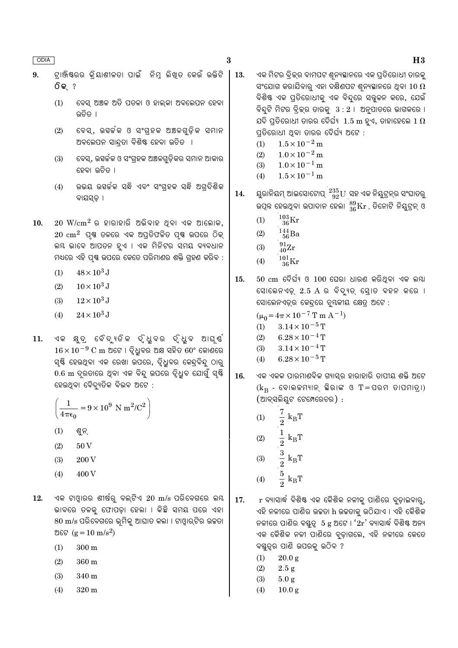- $\bf{3}$
- ଟାଞ୍ଜିଷ୍ରର କିୟାଶୀଳତା ପାଇଁ ନିମ୍ନ ଲିଖତ କେଉଁ ଉକ୍ତିଟି  $\mathbf{Q}$ **ିକ** ?
	- ବେସ୍ ଅଞ୍ଚଳ ଅତି ପତଳା ଓ ହାଲ୍କା ଅବଲେପନ ହେବା  $(1)$ ଉଚିତ ।
	- ବେସ୍, ଉହର୍କକ ଓ ସଂଗ୍ହକ ଅଞ୍ଚଳଗୁଡ଼ିକ ସମାନ  $(2)$ ଅବଲେପନ ସାନ୍ଦତା ବିଶିଷ୍ଟ ହେବା ଉଚିତ ।
	- ବେସ୍, ଉହର୍ଚ୍ଚକ ଓ ସଂଗ୍ରହକ ଅଞ୍ଚଳଗୁଡ଼ିକର ସମାନ ଆକାର  $(3)$ ହେବା ଉଚିତ ।
	- ଉଭୟ ଉହର୍ଚ୍ଚକ ସନ୍ଧି ଏବଂ ସଂଗ୍ହକ ସନ୍ଧି ଅଗ୍ଦିଶିକ  $(4)$ ବାୟସ୍ଢ଼ ।
- $20 \, \text{W/cm}^2$  ର ହାରାହାରି ଅଭିବାହ ଥିବା ଏକ ଆଲୋକ,  $10.$  $20 \text{ cm}^2$  ପୃଷ ତଳରେ ଏକ ଅପ୍ରତିଫଳିତ ପୃଷ ଉପରେ ଠିକ୍ ଲୟ ଭାବେ ଆପତନ ହୁଏ । ଏକ ମିନିଟର ସମୟ ବ୍ୟବଧାନ ମଧ୍ୟରେ ଏହି ପୃଷ୍ଠ ଉପରେ କେତେ ପରିମାଣର ଶକ୍ତି ଗୃହଣ କରିବ :
	- $(1)$  $48 \times 10^3$  J
	- $10 \times 10^3$  J  $(2)$
	- $12\times10^3$  J  $(3)$
	- $(4)$  $24\times10^3$  J
- ଏକ କ୍ଷୁଦ୍ର ବୈଦ୍ୟୁତିକ ଦ୍ଧୁବର ଦ୍ଧୁବ ଆଘୃଷ୍ 11.  $16 \times 10^{-9}$  C m ଅଟେ । ଦ୍ୱିଧୁବର ଅକ୍ଷ ସହିତ 60° କୋଣରେ ସ୍ୟି ହେଉଥିବା ଏକ ରେଖା ଉପରେ, ଦୃିଧୁବର କେନ୍ଦ୍ବିନ୍ଦୁ ଠାରୁ 0.6 m ଦୂରତାରେ ଥିବା ଏକ ବିନ୍ଦୁ ଉପରେ ଦୃଧୁବ ଯୋଗୁଁ ସ୍<del>ଷ୍ଟି</del> ହେଉଥିବା ବୈଦ୍ୟୁତିକ ବିଭବ ଅଟେ :

$$
\left(\frac{1}{4\pi\epsilon_0} = 9 \times 10^9 \text{ N m}^2/\text{C}^2\right)
$$

- $(1)$ ଶୁନ୍
- $(2)$ 50<sub>V</sub>
- $(3)$ 200 V
- 400 V  $(4)$
- ଏକ ଟାଓ୍ୱାରର ଶୀର୍ଷରୁ ବଲ୍ଟିଏ  $20 \, \text{m/s}$  ପରିବେଗରେ ଲୟ 12. ଭାବରେ ତଳକୁ ଫୋପଡ଼ା ହେଲା । କିଛି ସମୟ ପରେ ଏହା  $80 \text{ m/s}$  ପରିବେଗରେ ଭ୍ରମିକୁ ଆଘାତ କଲା । ଟାଓ୍ନାର୍ଟିର ଉଚ୍ଚତା ଅଟେ ( $g = 10 \text{ m/s}^2$ )
	- $(1)$  $300 \text{ m}$
	- $(2)$ 360 m
	- $(3)$ 340 m
	- $(4)$ 320 m
- 13. ଏକ ମିଟର ବିକ୍ରର ବାମପଟ ଶ୍ୱନ୍ୟସ୍ଥାନରେ ଏକ ପ୍ରତିରୋଧୀ ତାରକ୍ ସଂଯୋଗ କରାଯିବାରୁ ଏହା ଦକ୍ଷିଣପଟ ଶ୍ୱନ୍ୟସ୍ଥାନରେ ଥିବା  $10\ \Omega$ ବିଶିଷ୍ଟ ଏକ ପ୍ରତିରୋଧୀକ୍ ଏକ ବିନ୍ଦରେ ସନ୍ତ୍ଳନ କରେ, ଯେଉଁ ବିନ୍ଦୁଟି ମିଟର ବିକ୍ର ତାରକୁ  $3:2$  । ଅନୁପାତରେ ଭାଗକରେ । ଯଦି ପ୍ତିରୋଧୀ ତାରର ଦୈର୍ଘ୍ୟ  $~1.5~\mathrm{m}$  ହଏ, ତାହାହେଲେ  $1~\Omega$ ପ୍ତିରୋଧୀ ଥବା ତାରର ଦୈର୍ଘ୍ୟ ଅଟେ :
	- $1.5 \times 10^{-2}$  m  $(1)$
	- $1.0 \times 10^{-2}$  m  $(2)$
	- $1.0 \times 10^{-1}$  m  $(3)$
	- $1.5\times10^{-1}\,\mathrm{m}$  $(4)$
- ୟୁରାନିୟମ୍ ଆଇସୋଟୋପ୍  $^{235}_{\ 92}{\rm U}$  ସହ ଏକ ନିୟୁଟ୍ରନ୍ର ସଂଘାତରୁ 14. ଉପୂନ୍ନ ହେଉଥିବା ଉପାଦାନ ହେଲା  $^{89}_{36}\rm{Kr}$ , ତିନୋଟି ନିୟୁଟ୍ନ୍ ଓ
	- $^{103}_{\phantom{1}36}\mathrm{Kr}$  $(1)$
	- $^{144}_{\ 56}$ Ba  $(2)$
	- $^{91}_{40}Zr$  $(3)$
	- $^{101}_{36}\mathrm{Kr}$  $(4)$
- $50\,$  cm ଦୈର୍ଘ୍ୟ ଓ  $100\,$  ଘେରା ଧାରଣ କରିଥିବା ଏକ ଲୟା 15. ସୋଲେନଏଡ଼୍ 2.5 A ର ବିଦ୍ୟୁତ୍ ସ୍ରୋତ ବହନ କରେ । ସୋଲେନଏଡ୍ର କେନ୍ଦ୍ରେ ଚ୍ୟକୀୟ କ୍ଷେତ୍ର ଅଟେ :

$$
(\mu_0 = 4\pi \times 10^{-7} \text{ T m A}^{-1})
$$

- $3.14 \times 10^{-5}$  T  $(1)$
- $(2)$  $6.28 \times 10^{-4}$  T
- $(3)$  $3.14 \times 10^{-4}$  T
- $6.28 \times 10^{-5}$  T  $(4)$
- 16. ଏକ ଏକକ ପାରମାଣବିକ ଗ୍ୟାସ୍ର ହାରାହାରି ତାପୀୟ ଶକ୍ତି ଅଟେ  $(k_B - \epsilon)$ କାଲକମ୍ୟାନ୍ ଛିରାଙ୍କ ଓ T=ପରମ ତାପମାତ୍ରା) (ଆବ୍ସଲିୟୁଟ ଟେମ୍ପେରେଚର) :
	- $k_BT$  $(1)$  $\frac{1}{2}$   $\frac{3}{2}$  $\rm k_BT$  $(2)$  $(3)$  $k_BT$
	- $rac{5}{2}$  k<sub>B</sub>T  $(4)$

r ବ୍ୟାସାର୍ଦ୍ଧ ବିଶିଷ୍ଟ ଏକ କୈଶିକ ନଳୀକୁ ପାଣିରେ ବୁଡ଼ାଇବାରୁ, 17. ଏହି ନଳୀରେ ପାଣିର ଉଚ୍ଚତା h ଉଚ୍ଚତାକୁ ଉଠିଯାଏ । ଏହି କୈଶିକ ନଳୀରେ ପାଣିର ବୟୁତ୍ୱ 5 g ଅଟେ ।  $2r'$  ବ୍ୟାସାର୍ଦ୍ଧ ବିଶିଷ୍ଟ ଅନ୍ୟ ଏକ କୈଶିକ ନଳୀ ପାଣିରେ ବୃଡ଼ାଗଲେ, ଏହି ନଳୀରେ କେତେ ବୟୁତ୍ର ପାଣି ଉପରକ୍ର ଉଠିବ ?

- $20.0 g$  $(1)$
- $(2)$  $2.5 g$
- $5.0 g$  $(3)$
- $(4)$  $10.0 g$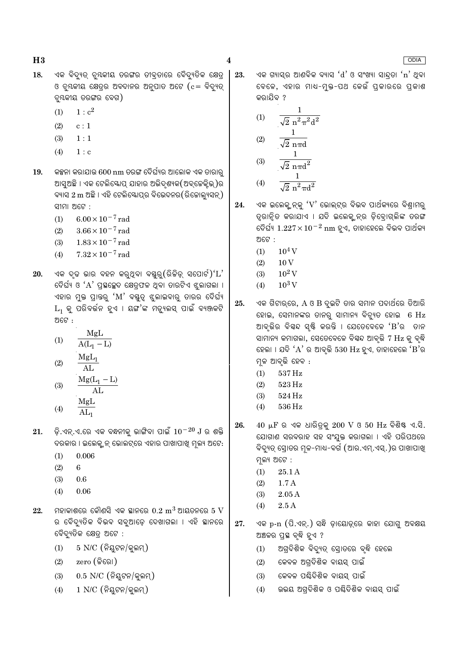- ଏକ ବିଦ୍ୟୁତ୍ ଚ୍ୟକୀୟ ତରଙ୍ଗର ତୀବ୍ତାରେ ବୈଦ୍ୟତିକ କ୍ଷେତ୍ 18. ଓ ଚ୍ୟକୀୟ କ୍ଷେତ୍ର ଅବଦାନର ଅନୁପାତ ଅଟେ ( $c = \widehat{q}$ ଦ୍ୟୁତ୍ ଚ୍ୟକୀୟ ତରଙ୍ଗର ବେଗ)
	- $1 : c<sup>2</sup>$  $(1)$
	- $(2)$  $c:1$
	- $(3)$  $1:1$
	- $(4)$  $1:$  c
- କଳ୍ପନା କରାଯାଉ 600 nm ତରଙ୍ଗ ଦୈର୍ଘ୍ୟର ଆଲୋକ ଏକ ତାରାରୁ 19. ଆସୁଅଛି । ଏକ ଟେଲିୟୋପ୍ ଯାହାର ଅଭିଦୃଶ୍ୟକ(ଅବ୍କେକ୍କିଭ୍)ର ବ୍ୟାସ 2 m ଅଛି । ଏହି ଟେଲିସ୍କୋତ୍ପର ବିଭେଦନର(ରିଚ୍ଚୋଲ୍ୟସନ୍) ସୀମା ଅଟେ :
	- $6.00 \times 10^{-7}$  rad  $(1)$
	- $(2)$  $3.66 \times 10^{-7}$  rad
	- $1.83 \times 10^{-7}$  rad  $(3)$
	- $(4)$  $7.32 \times 10^{-7}$  rad
- ଏକ ଦୃଢ ଭାର ବହନ କର୍ଥିବା ବୟୁରୁ $($ ରିକିଡ଼୍ ସପୋର୍ଟ $)^\prime\mathrm{L}^\prime$ 20. ଦୈର୍ଘ୍ୟ ଓ 'A' ପ୍ରସ୍ଥଳ୍ପେଦ କ୍ଷେତ୍ରଫଳ ଥିବା ତାରଟିଏ ଝୁଲାଗଲା । ଏହାର ମୁକ୍ତ ପ୍ରାନ୍ତରୁ ' $\text{M}^\prime$  ବ୍ୟୃତ୍ ଝୁଲାଇବାରୁ ତାରର ଦୈର୍ଘ୍ୟ  $L_1$  କ୍ ପରିବର୍ତ୍ତନ ହଏ । ୟଙ୍ଗ'ଙ୍କ ମଡ଼୍ୟଲସ୍ ପାଇଁ ବ୍ୟଞ୍ଜକଟି ଅଟେ $\cdot$ 
	- MgL  $(1)$  $A(L_1 - L)$  $MgL_1$  $\overline{c}$

$$
2) \quad \frac{1}{\text{AL}}
$$

$$
\begin{array}{cc}\n\text{(3)} & \frac{\text{Mg(L}_{1} - \text{L})}{\text{AL}} \\
\text{(4)} & \frac{\text{MgL}}{\text{AL}_{1}}\n\end{array}
$$

ଡ଼ି.ଏନ୍.ଏ.ରେ ଏକ ବନ୍ଧନୀକୁ ଭାଙ୍ଗିବା ପାଇଁ  $10^{-20}$  J ର ଶକ୍ତି 21. ଦରକାର । ଇଲେକ୍ୱ୍ନନ୍ ଭୋଲଟ୍ରେ ଏହାର ପାଖାପାଖି ମୁଲ୍ୟ ଅଟେ:

- $(1)$ 0.006
- $(2)$ 6
- $(3)$ 0.6
- $(4)$  $0.06$
- ମହାକାଶରେ କୌଣସି ଏକ ସ୍ଥାନରେ  $0.2~{\rm m}^3$  ଆୟତନରେ  $5~{\rm V}$ 22. ର ବୈଦ୍ୟୁତିକ ବିଭବ ସବୁଆଡ଼େ ଦେଖାଗଲା । ଏହି ସ୍ଥାନରେ ବୈଦ୍ୟୁତିକ କ୍ଷେତ୍ର ଅଟେ :
	- $5$  N/C  $($ ନିୟଟନ/କୁଲମ୍)  $(1)$
	- $zero$  (କିରୋ)  $(2)$
	- $0.5$  N/C (ନିୟୁଟନ/କୁଲମ୍)  $(3)$
	- $1$  N/C (ନିୟୁଟନ/କୁଲମ୍)  $(4)$

 $\overline{\mathbf{4}}$ 

23.

ଏକ ଗ୍ୟାସ୍ର ଆଣବିକ ବ୍ୟାସ 'd' ଓ ସଂଖ୍ୟା ସାନ୍ଦତା 'n' ଥିବା ବେଳେ, ଏହାର ମାଧ-ମୁକ୍ତ-ପଥ କେଉଁ ପ୍କାରରେ ପ୍କାଶ କରାଯିବ ?

(1) 
$$
\frac{1}{\sqrt{2} n^2 \pi^2 d^2}
$$
  
(2) 
$$
\frac{1}{\sqrt{2} n^2}
$$

$$
(3) \quad \frac{\sqrt{2} \text{ n} \pi d}{\sqrt{2} \pi a^2}
$$

(4) 
$$
\frac{1}{\sqrt{2} n^2 \pi d^2}
$$

- 24. ଏକ ଇଲେକ୍,ନ୍କୁ ' ${\rm V}$ ' ଭୋଲ୍ଟ୍ର ବିଭବ ପାର୍ଥକ୍ୟରେ ବିଶ୍ୱାମର୍ ତ୍ୱରାନ୍ୱିତ କରାଯାଏ । ଯଦି ଇଲେକ୍ୱ୍ନନ୍ର ଡ଼ିବୋଗ୍ଲିଙ୍କ ତରଙ୍ଗ ଦୈର୍ଘ୍ୟ  $1.227 \times 10^{-2}$  nm ହୁଏ, ତାହାହେଲେ ବିଭବ ପାର୍ଥକ୍ୟ ଅଟେ :
	- $10^4$  V  $(1)$
	- $(2)$  $10V$
	- $10^2$  V  $(3)$
	- $10^3$  V  $(4)$
- ଏକ ଗିଟାର୍ରେ,  $A$  ଓ  $B$  ଦୁଇଟି ତାର ସମାନ ପଦାର୍ଥରେ ତିଆରି 25. ହୋଇ, ସେମାନଙ୍କର ତାନରୁ ସାମାନ୍ୟ ବିବ୍ୟୁତ ହୋଇ 6 Hz ଆବ୍ଭିର ବିସ୍ୱନ୍ଦ ସ୍**ଷ୍ଟି କରନ୍ତି । ଯେତେବେଳେ 'B'ର** ତାନ ସାମାନ୍ୟ କମାଗଲା, ସେତେବେଳେ ବିସଦ ଆବୃଭି 7 Hz କୁ ବୃଦ୍ଧି ହେଲା । ଯଦି ' $A$ ' ର ଆବରି  $530$   $Hz$  ହଏ, ତାହାହେଲେ ' $B$ 'ର ମଳ ଆବୃତ୍ତି ହେବ :
	- $(1)$ 537 Hz
	- 523 Hz  $(2)$
	- $(3)$ 524 Hz
	- 536 Hz  $(4)$
- $40 \mu$ F ର ଏକ ଧାରିତ୍କ  $200 \text{ V}$  ଓ  $50 \text{ Hz}$  ବିଶିଷ୍ଟ ଏ.ସି. 26. ଯୋଗାଣ ସରବରାହ ସହ ସଂଯୁକ୍ତ କରାଗଲା । ଏହି ପରିପଥରେ ବିଦ୍ୟୁତ୍ ସ୍ରୋତର ମୂଳ-ମାଧ-ବର୍ଗ (ଆର.ଏମ୍.ଏସ୍.)ର ପାଖାପାଖ୍ **ମୁଲ୍ୟ** ଅଟେ :
	- $(1)$ 25.1 A
	- $(2)$  $1.7A$
	- $(3)$  $2.05A$
	- $2.5A$  $(4)$
- 27. ଏକ p-n (ପି.ଏନ୍.) ସନ୍ଧି ଡାୟୋଡ୍ରେ କାହା ଯୋଗ୍ ଅବକ୍ଷୟ ଅଞ୍ଚଳର ପ୍ରସ୍ଥ ବ୍ଦି ହଏ ?
	- ଅଗ୍ରଦିଶିକ ବିଦ୍ୟୁତ୍ ସ୍ରୋତରେ ବୃଦ୍ଧି ହେଲେ  $(1)$
	- କେବଳ ଅଗ୍ବିଶିକ ବାୟସ୍ ପାଇଁ  $(2)$
	- କେବଳ ପଶ୍ଚିଦିଶିକ ବାୟସ୍ ପାଇଁ  $(3)$
	- ଉଭୟ ଅଗ୍ଦିଶିକ ଓ ପଣ୍ଢିଦିଶିକ ବାୟସ୍ ପାଇଁ  $(4)$

**ODIA**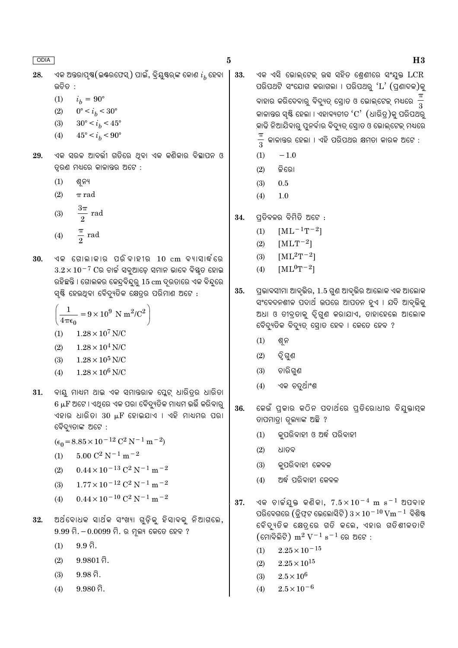$\bf{5}$ 

33.

 $H3$ 

- ଏକ ଅନ୍ତରାପୃଷ(ଇଷ୍ଟଫେସ୍) ପାଇଁ, ବ୍ରିୟୁଷ୍ଟକ୍ କୋଣ  $i_h$  ହେବା 28. <u> ଉଚିତ :</u>
	- $(1)$  $i_h = 90^{\circ}$
	- $0^{\circ} < i_b < 30^{\circ}$  $(2)$
	- $(3)$  $30^{\circ} < i_b < 45^{\circ}$
	- $45^{\circ}\,{<}\,i_h\,{<}\,90^{\circ}$  $(4)$
- ଏକ ସରଳ ଆବର୍ତ୍ତୀ ଗତିରେ ଥିବା ଏକ କଣିକାର ବିସ୍ଥାପନ ଓ 29. ତ୍ୱରଣ ମଧ୍ୟରେ କାଳାନ୍ତର ଅଟେ :
	- $(1)$ ଶ୍ୱନ୍ୟ
	- $(2)$  $\pi$  rad
	- $\frac{3\pi}{2}$  rad  $(3)$  $\frac{\pi}{2}$  rad  $(4)$
- ଏକ ଗୋଲାକାର ପରିବାହୀର  $10\;\mathrm{cm}$  ବ୍ୟାସାର୍ଦ୍ଧରେ 30.  $3.2 \times 10^{-7}$  Cର ଚାର୍ଚ୍ଚ ସବୁଆଡ଼େ ସମାନ ଭାବେ ବିଷ୍ଣୂତ ହୋଇ ରହିଛନ୍ତି । ଗୋଲକର କେନ୍ଦ୍ରବିନ୍ଦୁର୍ 15 cm ଦ୍ରତାରେ ଏକ ବିନ୍ଦୁରେ ସ୍ୟି ହେଉଥିବା ବୈଦ୍ୟୁତିକ କ୍ଷେତ୍ରର ପରିମାଣ ଅଟେ :

$$
\left(\frac{1}{4\pi\epsilon_0} = 9 \times 10^9 \text{ N m}^2/\text{C}^2\right)
$$
  
(1) 1.28 × 10<sup>7</sup> N/C  
(2) 1.28 × 10<sup>4</sup> N/C

- $1.28\times10^5$  N/C  $(3)$
- $(4)$  $1.28\times10^6$  N/C
- 31. ବାୟୁ ମାଧ୍ୟମ ଥାଇ ଏକ ସମାନ୍ତରାଳ ପ୍ଲେଟ୍ ଧାରିତ୍ରର ଧାରିତା  $6\ \mu\text{F}$  ଅଟେ । ଏଥିରେ ଏକ ପରା ବୈଦ୍ୟୁତିକ ମାଧ୍ୟମ ଭର୍ତ୍ତି କରିବାରୁ ଏହାର ଧାରିତା 30 µF ହୋଇଯାଏ । ଏହି ମାଧ୍ୟମର ପରା ବୈଦ୍ୟୁତାଙ୍କ ଅଟେ :
	- $(\epsilon_0 = 8.85 \times 10^{-12} \text{ C}^2 \text{ N}^{-1} \text{ m}^{-2})$
	- $5.00~\mathrm{C}^2$  N  $^{-1}$  m  $^{-2}$  $(1)$
	- $0.44\times10^{-13}$  C<sup>2</sup> N<sup>-1</sup> m<sup>-2</sup>  $(2)$
	- $1.77 \times 10^{-12}$  C<sup>2</sup> N<sup>-1</sup> m<sup>-2</sup>  $(3)$
	- $0.44 \times 10^{-10}$  C<sup>2</sup> N<sup>-1</sup> m<sup>-2</sup>  $(4)$
- ଅର୍ଥବୋଧକ ସାର୍ଥକ ସଂଖ୍ୟା ଗୁଡ଼ିକୁ ହିସାବକୁ ନିଆଗଲେ, 32.  $9.99$  ମି $. -0.0099$  ମି $.$  ର ମୂଲ୍ୟ କେତେ ହେବ ?
	- $9.9\ \widehat{\boxtimes}$  $(1)$
	- $9.9801$  ମି.  $(2)$
	- $9.98$  ମି.  $(3)$
	- $9.980$  ମି.  $(4)$

ଏକ ଏସି ଭୋଲ୍ଟେକ୍ ଉସ୍ ସହିତ ଶେଣୀରେ ସଂଯ୍କ୍ତ  $LCR$ ପରିପଥଟି ସଂଯୋଗ କରାଗଲା । ପରିପଥରୁ 'L' (ପ୍ରଣାଦକ)କୁ ବାହାର କରିଦେବାରୁ ବିଦ୍ୟୁତ୍ ସ୍ରୋତ ଓ ଭୋଲ୍ଟେକ୍ ମଧ୍ୟରେ କାଳାନ୍ତର ସ୍ୟି ହେଲା । ଏହାବ୍ୟତୀତ ' $\mathrm{C}^\prime$  (ଧାରିତ୍ର)କୁ ପରିପଥରୁ କାଢି ନିଆଯିବାରୁ ପୁନର୍ବାର ବିଦ୍ୟୁତ୍ ସ୍ରୋତ ଓ ଭୋଲ୍ଟେକ୍ ମଧ୍ୟରେ କାଳାନ୍ତର ହେଲା । ଏହି ପରିପଥର କ୍ଷମତା କାରକ ଅଟେ :  $\overline{3}$ 

- $(1)$  $-1.0$
- $(2)$ ଜିରୋ
- $0.5$  $(3)$
- $(4)$  $1.0$
- ପ୍ରତିବଳର ବିମିତି ଅଟେ : 34.
	- $(1)$  $[ML^{-1}T^{-2}]$
	- $(2)$  $[MLT^{-2}]$
	- $[ML^2T^{-2}]$  $(3)$
	- $[ML^0T^{-2}]$  $(4)$
- ପ୍ରଭାବସୀମା ଆବୃତ୍ତିର, 1.5 ଗୁଣ ଆବୃତ୍ତିର ଆଲୋକ ଏକ ଆଲୋକ 35. ସଂବେଦନଶୀଳ ପଦାର୍ଥ ଉପରେ ଆପତନ ହୁଏ । ଯଦି ଆବୃଭିକୁ ଅଧା ଓ ତୀବ୍ରତାକୁ ଦ୍ୱିଗୁଣ କରାଯାଏ, ତାହାହେଲେ ଆଲୋକ ବୈଦ୍ୟୁତିକ ବିଦ୍ୟୁତ୍ ସୋତ ହେବ । କେତେ ହେବ ?
	- ଶୁନ  $(1)$
	- $(2)$ ଦ୍ୱିଗୁଣ
	- ଚାରିଗୁଣ  $(3)$
	- ଏକ ଚତୁର୍ଥାଂଶ  $(4)$
- 36. କେଉଁ ପ୍କାର କଠିନ ପଦାର୍ଥରେ ପ୍ତିରୋଧୀର ବିଯୁକ୍ତାମ୍କ ତାପମାତ୍ରା ତ୍ୱଲ୍ୟାଙ୍କ ଅଛି ?
	- କ୍ପରିବାହୀ ଓ ଅର୍ଦ୍ଧ ପରିବାହୀ  $(1)$
	- $(2)$ ଧାତବ
	- କୁପରିବାହୀ କେବଳ  $(3)$
	- ଅର୍ଦ୍ଧ ପରିବାହୀ କେବଳ  $(4)$
- ଏକ ଚାର୍ଜୟକ୍ତ କଣିକା,  $7.5 \times 10^{-4}$  m s $^{-1}$  ଅପବାହ 37. ପରିବେଗରେ (ଡ୍ୱିଫ୍ଟ ଭେଲୋସିଟି)  $3 \times 10^{-10}$  Vm  $^{-1}$  ବିଶିଷ୍ଟ ବୈଦ୍ୟୁତିକ କ୍ଷେତ୍ରରେ ଗତି କଲେ, ଏହାର ଗତିଶୀଳତାଟି  $(\epsilon \sin \widehat{\delta} \widehat{\mathbb{R}})$  m $^2$  V $^{-1}$  s $^{-1}$  ରେ ଅଟେ :
	- $2.25 \times 10^{-15}$  $(1)$
	- $2.25\times10^{15}$  $(2)$
	- $2.5\times10^6$  $(3)$
	- $2.5\times10^{-6}$  $(4)$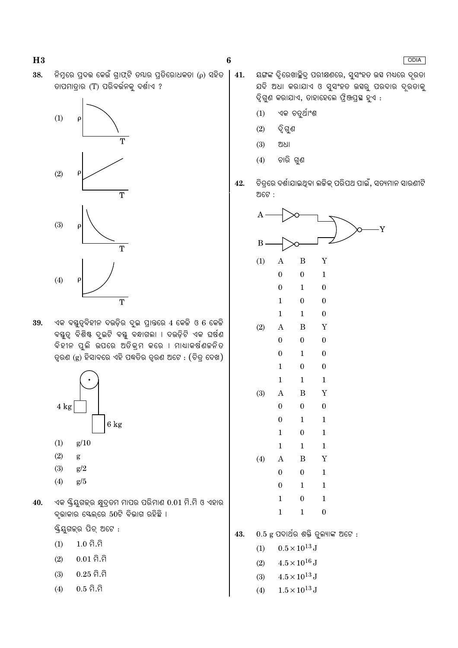38. ନିମ୍ନରେ ପ୍ରଦଭ କେଉଁ ଗାଫ୍ଟି ତ୍ୟାର ପ୍ରତିରୋଧକତା (ρ) ସହିତ ଡାପମାତ୍ରାର (T) ପରିବର୍ତ୍ତନକୁ ଦର୍ଶାଏ ?



ଏକ ବସ୍ତୁତ୍ୱବିହୀନ ଦଉଡ଼ିର ଦୁଇ ପ୍ରାନ୍ତରେ 4 କେକି ଓ 6 କେକି 39. ବୟୁତ୍, ବିଶିଷ୍ଟ ଦ୍ରଇଟି ବୟୁ ବନ୍ଧାଗଲା । ଦଉଡ଼ିଟି ଏକ ଘର୍ଷଣ ବିହୀନ ପୁଲି ଉପରେ ଅତିକ୍ରମ କରେ । ମାଧାକର୍ଷଣଚ୍ଚନିତ ତ୍ୱରଣ (g) ହିସାବରେ ଏହି ପଦ୍ଧତିର ତ୍ୱରଣ ଅଟେ : (ଚିତ୍ର ଦେଖ)



- $(3)$  $g/2$
- $(4)$  $g/5$
- ଏକ ୟ୍କିୟୁଗକ୍ର କ୍ଷୁଦ୍ରତମ ମାପର ପରିମାଣ 0.01 ମି.ମି ଓ ଏହାର 40. ବୃଭାକାର ସ୍କେଲ୍ରେ 50ଟି ବିଭାଗ ରହିଛି ।

ୟ୍କିୟଗକ୍ର ପିଚ୍ ଅଟେ :

- $1.0 \hat{a}.\hat{a}$  $(1)$
- $(2)$  $0.01$  ମି.ମି
- $0.25$  ମି.ମି  $(3)$
- $0.5$  ମି.ମି  $(4)$
- 41. ୟଙ୍ଗଙ୍କ ଦୃିରେଖାଛିୁଦ୍ ପରୀକ୍ଷଣରେ, ସ୍ସଂହତ ଉସ ମଧ୍ୟରେ ଦ୍ରତା ଯଦି ଅଧା କରାଯାଏ ଓ ସୁସଂହତ ଉସ୍ବରୁ ପରଦାର ଦୂରତାକୁ ଦିଗଣ କରାଯାଏ, ତାହାହେଲେ ଫିଞ୍ଜପ୍ରସ୍ଥ ହଏ :
	- $(1)$ ଏକ ଚତୁର୍ଥାଂଶ
	- $(2)$ ଦ୍ୱି ଗୁଣ

 $\bf{6}$ 

- $(3)$ ଅଧା
- ଚାରି ଗୁଣ  $(4)$
- ଚିତ୍ୱରେ ଦର୍ଶାଯାଇଥିବା ଲଚ୍ଚିକ୍ ପରିପଥ ପାଇଁ, ସତ୍ୟମାନ ସାରଣୀଟି 42. ଅଟେ :



- $4.5\times10^{13}\,\mathrm{J}$  $(3)$
- $(4)$  $1.5 \times 10^{13}$  J

### ODIA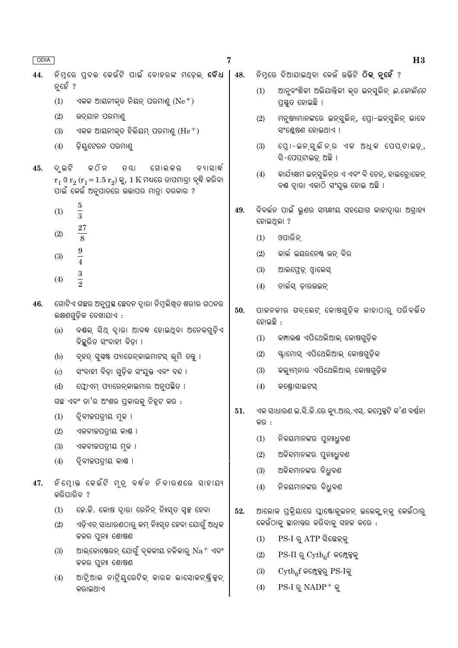- $\overline{7}$
- ନିମରେ ପଦଭ କେଉଁଟି ପାଇଁ ବୋହରଙ୍କ ମଡେଲ **ବୈଧ** । 48. 44. ନ୍ତହଁ ?
	- $(1)$ ଏକକ ଆୟନୀକ୍ତ ନିୟନ୍ ପରମାଣ୍ ( $Ne^+$ )
	- $(2)$ ଉଦ୍ଯାନ ପରମାଣ
	- ଏକକ ଆୟନୀକତ ହିଲିୟମ ପରମାଣ ( $\rm{He^+})$  $(3)$
	- $(4)$ ଡ଼ିୟଟେରନ ପରମାଣ୍ଡ
- ଦ ଇଟି କ ଠି ନ 45. ତ ଯା ଗୋଲ କର ବ୍ୟାସାର୍ଦ୍ଧ  $r_1$  ଓ  $r_2$   $(r_1 = 1.5 r_2)$  କୁ, 1  $K$  ମଧ୍ୟରେ ତାପମାତ୍ରା ବୃଦ୍ଧି କରିବା ିପାଇଁ କେଉଁ ଅନୁପାତରେ ଉଭାପର ମାତ୍ରା ଦରକାର ?
	- $\overline{5}$  $(1)$  $\overline{3}$ 27  $(2)$
	- 8  $\overline{9}$  $(3)$  $\frac{1}{4}$
	- $rac{3}{2}$  $(4)$
- ଗୋଟିଏ ଗଛର ଅନୁପ୍ରସ୍ଥ ଛେଦନ ଦ୍ୱାରା ନିମ୍ନଲିଖିତ ଶରୀର ଗଠନର 46. ଲକ୍ଷଣଗୁଡ଼ିକ ଦେଖାଯାଏ :
	- ବୟଲ୍ ସିଥ୍ ଦାୂରା ଆବଦ୍ଧ ହୋଇଥିବା ଅନେକଗୁଡ଼ିଏ  $(a)$ ବିଚ୍ଛରିତ ସଂବାହୀ ବିଡା ।
	- $(b)$ ବୃହତ୍ ସୁସ୍ୱଷ୍ଟ ପ୍ୟାରେନ୍କାଇମାଟସ୍ ଭୂମି ତବୁ ।
	- ସଂବାହୀ ବିଡ଼ା ଗୁଡ଼ିକ ସଂଯୁକ୍ତ ଏବଂ ବନ୍ଦ ।  $\left( \text{c} \right)$
	- $(d)$ ପୋଏମ ପ୍ୟାରେନକାଇମାର ଅନପ୍ଲିତ ।

ଗଛ ଏବଂ ତା'ର ଅଂଶର ପକାରକ୍ ଚିହଟ କର :

- ଦ୍ୱିବୀଜପତ୍ରୀୟ ମଳ ।  $(1)$
- $(2)$ ଏକବୀଜପତ୍ରୀୟ କାଶ୍ତ ।
- ଏକବୀଚ୍ଚପତ୍ରୀୟ ମୂଳ ।  $(3)$
- ଦ୍ୱିବୀଜପତ୍ରୀୟ କାଷ ।  $(4)$
- ନିମୋକ କେଉଁଟି ମ୍ତ୍ ବର୍ଦ୍ଧନ ନିବାରଣରେ ସାହାଯ୍ୟ 47. କରିମାରିବ ?
	- ଚେ.କି. କୋଷ ଦାରା ରେନିନ୍ ନିଃସତ ସ୍ୱଳ୍ପ ହେବା  $(1)$
	- $(2)$ ଏଡ଼ିଏଚ୍ ସାଧାରଣଠାରୁ କମ୍ ନିଃସ୍ତ ହେବା ଯୋଗୁଁ ଅଧିକ ଜଳର ପ୍ରନଃ ଶୋଷଣ
	- $(3)$ ଆଲ୍ଡୋଷ୍ଟେରନ୍ ଯୋଗୁଁ ବ୍ଳକୀୟ ନଳିକାରୁ  $\mathrm{Na^+}$  ଏବଂ ଜଳର ପ୍ରନଃ ଶୋଷଣ
	- ଆଟ୍ରିଆଲ ନାଟ୍ରିୟୁରେଟିକ୍ କାରକ ଭାସୋକନ୍ଷ୍ଟିକ୍ସନ୍  $(4)$ କରାଇଥାଏ
- ନିମରେ ଦିଆଯାଇଥବା କେଉଁ ଉକ୍ତିଟି **ଠିକ ନହେଁ** ?
	- ଆନବଂଶିକୀ ଅଭିଯାନ୍ତିକୀ କତ ଇନସଲିନ *ଇ.କୋଲିରେ*  $(1)$ ପ୍ରଷ୍ଠ ହୋଇଛି ।
	- $(2)$ ମନୁଷ୍ୟମାନଙ୍କରେ ଇନ୍ସ୍କିଲିନ୍, ପ୍ରୋ-ଇନ୍ସ୍କିନ୍ ଭାବେ ସଂଶ୍ରେଷଣ ହୋଇଥାଏ ।
	- $(3)$ ପ୍ରୋ-ଇନ୍ସୁଲିନ୍ର ଏକ ଅଧିକ ପେପ୍ଟାଇଡ଼୍, ସି-ପେପଟାଇଡ୍ ଅଛି ।
	- କାର୍ଯ୍ୟକ୍ଷମ ଇନ୍ସଲିନର ଏ ଏବଂ ବି ଚେନ୍, ହାଇଡୋକେନ୍  $(4)$ ବଣ୍ଠ ଦ୍ୱାରା ଏକାଠି ସଂଯୁକ୍ତ ହୋଇ ଅଛି ।
- ବିବର୍ତ୍ତନ ପାଇଁ ଭ୍ରଶର ସ୍ୟକ୍ଷୀୟ ସହଯୋଗ କାହାଦାରା ଅଗାହ୍ୟ 49. ହୋଇଥିଲା ?
	- ଓପାରିନ  $(1)$
	- କାର୍ଲ ଇୟରନେଷ୍ଟ ଉନ୍ ବିର  $(2)$
	- ଆଲଫେଡ଼୍ ଓାଲେସ୍  $(3)$
	- $(4)$ ଚାର୍ଲସ୍ ଡ଼ାରଉଇନ୍
- 50. ପାଳନଳୀର ଗବ୍ଲେଟ୍ କୋଷଗ୍ଡିକ କାହାଠାର୍ ପରିବର୍ତ୍ତିତ ଡୋଲଛି :
	- $(1)$ କମ୍ପାଉଷ ଏପିଥେଲିଆଲ୍ କୋଷଗଡ଼ିକ
	- ୍ୟାମୋସ୍ ଏପିଥେଲିଆଲ୍ କୋଷଗୁଡ଼ିକ  $(2)$
	- କଲ୍ୟମ୍ନାର ଏପିଥେଲିଆଲ୍ କୋଷଗଡ଼ିକ  $(3)$
	- $(4)$ କଣ୍ଠୋସାଇଟସ
- ଏକ ସାଧାରଣ ଇ.ସି.କି.ରେ କ୍ୟୁ.ଆର୍.ଏସ୍. କମ୍ଳେକ୍ସଟି କ'ଣ ବର୍ଷନା 51. କର :
	- $(1)$ ନିଳୟମାନଙ୍କର ପ୍ରନଃଧିବଣ
	- $(2)$ ଅଳିନ୍ଦମାନଙ୍କର ପ୍ରନଃଧିବଣ
	- $(3)$ ଅଳିନ୍ଦମାନଙ୍କର ବିଧବଣ
	- ନିଳୟମାନଙ୍କର ବିଧୁବଣ  $(4)$
- 52. ଆଲୋକ ପ୍ରକ୍ରିୟାରେ ପ୍ଲାଷ୍ଟୋକୁଇନନ୍ ଇଲେକ୍ଲନ୍କୁ କେଉଁଠାରୁ କେଉଁଠାକୁ ସ୍ଥାନାନ୍ତର କରିବାକୁ ସହଚ୍ଚ କରେ :
	- PS-I ରୁ ATP ସିଛେକ୍କୁ  $(1)$
	- $(2)$  $PS-II \otimes Cytb_{6}f$  କମ୍ପେକକୁ
	- $(3)$  $C_y$ t $b_c$ f କମ୍ପେକ୍ସର PS-Iକ
	- $PS-I \otimes NADP^+ \otimes$  $(4)$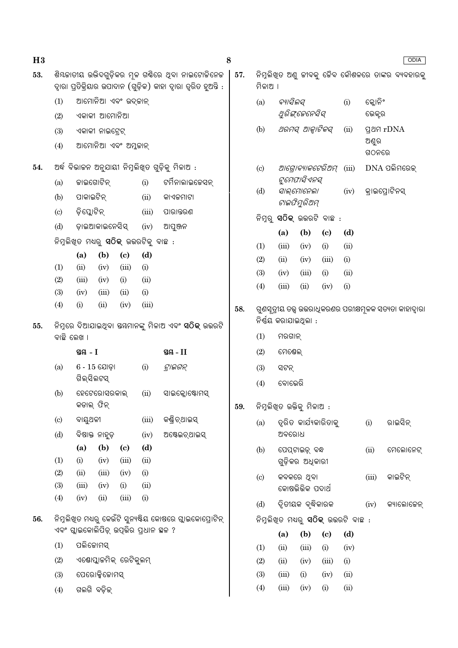| H3  |                    |                                              |                                        |                                      |             |                                                                                                                        | 8   |            |                       |                                              |                            |       |                                                             | <b>ODIA</b>                                      |
|-----|--------------------|----------------------------------------------|----------------------------------------|--------------------------------------|-------------|------------------------------------------------------------------------------------------------------------------------|-----|------------|-----------------------|----------------------------------------------|----------------------------|-------|-------------------------------------------------------------|--------------------------------------------------|
| 53. |                    |                                              |                                        |                                      |             | ଶିୟଜାତୀୟ ଉଦ୍ଭିଦଗୁଡ଼ିକର ମୂଳ ଗର୍ଣିରେ ଥିବା ନାଇଟୋଜିନେଜ<br>ଦ୍ୱାରା ପ୍ରତିକ୍ରିୟାର ଉପାଦାନ (ଗୁଡ଼ିକ) କାହା ଦ୍ୱାରା ତ୍ୱରିତ ହୁଅନ୍ତି : | 57. | ମିଳାଅ ।    |                       |                                              |                            |       |                                                             | ନିମ୍ନଲିଖିତ ଅଣୁ ଜୀବକୁ ଜୈବ କୌଶଳରେ ତାଙ୍କର ବ୍ୟବହାରକୁ |
|     | (1)<br>(2)         |                                              | ଆମୋନିଆ ଏବଂ ଉଦ୍କାନ୍<br>ଏକାକୀ ଆମୋନିଆ     |                                      |             |                                                                                                                        |     | (a)        | ବ୍ୟାସିଲସ୍             | ଥିରିଙ୍କେନେସିସ୍                               |                            | (i)   | କ୍ଲୋନିଂ<br>ଭେକ୍ଟର                                           |                                                  |
|     | (3)<br>(4)         |                                              | ଏକାକୀ ନାଇଟ୍ରେଟ୍<br>ଆମୋନିଆ ଏବଂ ଅମ୍ଳକାନ୍ |                                      |             |                                                                                                                        |     | (b)        |                       | ଥରମସ୍ ଆକ୍ୱାଟିକସ୍                             |                            | (ii)  | ଅଣୁର                                                        | <b>gag</b> rDNA                                  |
|     |                    |                                              |                                        |                                      |             |                                                                                                                        |     |            |                       |                                              |                            |       | ଗଠନରେ                                                       |                                                  |
| 54. | (a)                | ଜାଇଗୋଟିନ୍                                    |                                        |                                      | (i)         | ଅର୍ଦ୍ଧ ବିଭାଜନ ଅନୁଯାୟୀ ନିମ୍ନଲିଖିତ ଗୁଡ଼ିକୁ ମିଳାଅ :<br>ଟର୍ମିନାଲାଇଚେସନ୍                                                    |     | (c)        |                       | ଆଗୋବ୍ୟାକଟେରିଅମ୍<br>ଟୁମେପାସିଏନସ୍              |                            | (iii) |                                                             | $DNA$ ପଲିମରେକ୍                                   |
|     | (b)                | ପାକାଇଟିନ୍                                    |                                        |                                      | (ii)        | କାଏକମାଟା                                                                                                               |     | (d)        |                       | ସାଲ୍ମୋନେଲା                                   |                            | (iv)  |                                                             | କ୍ରାଇପ୍ରୋଟିନସ୍                                   |
|     |                    | ଡ଼ିସ୍କୋଟିନ୍                                  |                                        |                                      | (iii)       |                                                                                                                        |     |            |                       | ଟାଇଫିମୁରିଅମ୍                                 |                            |       |                                                             |                                                  |
|     | (c)                |                                              |                                        |                                      |             | ପାରାନ୍ତରଣ                                                                                                              |     |            |                       | ନିମ୍ନରୁ <b>ସଠିକ୍</b> ଉଭରଟି ବାଛ :             |                            |       |                                                             |                                                  |
|     | (d)                |                                              | ଡ଼ାଇଆକାଇନେସିସ୍                         |                                      | (iv)        | ଆପୁଞ୍ଜନ                                                                                                                |     |            | (a)                   | (b)                                          | $\left( \mathrm{c}\right)$ | (d)   |                                                             |                                                  |
|     |                    | ନିମ୍ନଲିଖିତ ମଧ୍ୟରୁ <b>ସଠିକ୍</b> ଉଭରଟିକୁ ବାଛ : |                                        |                                      |             |                                                                                                                        |     | (1)        | (iii)                 | (iv)                                         | (i)                        | (ii)  |                                                             |                                                  |
|     | (1)                | (a)<br>(ii)                                  | (b)<br>(iv)                            | $\left( \mathbf{c} \right)$<br>(iii) | (d)<br>(i)  |                                                                                                                        |     | (2)        | (ii)                  | (iv)                                         | (iii)                      | (i)   |                                                             |                                                  |
|     | (2)                | (iii)                                        | (iv)                                   | (i)                                  | (ii)        |                                                                                                                        |     | (3)        | (iv)                  | (iii)                                        | (i)                        | (ii)  |                                                             |                                                  |
|     | (3)                | (iv)                                         | (iii)                                  | (ii)                                 | (i)         |                                                                                                                        |     | (4)        | (iii)                 | (ii)                                         | (iv)                       | (i)   |                                                             |                                                  |
|     | (4)<br>(i)<br>(ii) |                                              | (iv)                                   | (iii)                                |             | 58.                                                                                                                    |     |            | ନିର୍ଣ୍ଣୟ କରାଯାଇଥିଲା : |                                              |                            |       | ଗୁଣସୂତ୍ରୀୟ ତତ୍ତ୍ୱ ଉତ୍ତରାଧିକରଣର ପରୀକ୍ଷମୂଳକ ସତ୍ୟତା କାହାଦ୍ୱାରା |                                                  |
| 55. | ବାଛି ଲେଖ ।         |                                              |                                        |                                      |             | ନିମ୍ନରେ ଦିଆଯାଇଥିବା ଷୟମାନଙ୍କୁ ମିଳାଅ ଏବଂ <b>ସଠିକ୍</b> ଉତ୍ତରଟି                                                            |     | (1)        | ମରଗାନ୍                |                                              |                            |       |                                                             |                                                  |
|     |                    | ସ୍ଥ $-1$                                     |                                        |                                      |             | ସ୍ଥ $-II$                                                                                                              |     | (2)        | ମେଷେଲ୍                |                                              |                            |       |                                                             |                                                  |
|     | (a)                | ଗିଲ୍ସିଲଟସ୍                                   | $6 - 15$ ଯୋଡ଼ା                         |                                      | (i)         | ଟ୍ରାଇଗନ୍                                                                                                               |     | (3)<br>(4) | ସଟନ୍<br>ବୋଭେରି        |                                              |                            |       |                                                             |                                                  |
|     | (b)                | କଡାଲ୍ ଫିନ୍                                   | ହେଟେରୋସରକାଲ୍                           |                                      | (ii)        | ସାଇକ୍ଲୋଷ୍ଟୋମସ୍                                                                                                         | 59. |            |                       | ନିମ୍ନଲିଖିତ ଉକ୍ତିକୁ ମିଳାଅ :                   |                            |       |                                                             |                                                  |
|     | (c)                | ବାୟୁଥଳୀ                                      |                                        |                                      | (iii)       | କଣ୍ଡି ଚ୍ଥାଇସ୍                                                                                                          |     |            |                       | ତ୍ୱରିତ କାର୍ଯ୍ୟକାରିତାକୁ                       |                            |       |                                                             | ରାଇସିନ୍                                          |
|     | (d)                |                                              | ବିଷାକ୍ତ ନାହୁଡ଼                         |                                      | (iv)        | ଅଷ୍ଟେଇଚ୍ଥାଇସ୍                                                                                                          |     | (a)        | ଅବରୋଧ                 |                                              |                            |       | (i)                                                         |                                                  |
|     | (1)                | (a)<br>(i)                                   | (b)<br>(iv)                            | $\left( \mathbf{c} \right)$<br>(iii) | (d)<br>(ii) |                                                                                                                        |     | (b)        |                       | ପେପ୍ଟାଇଡ଼୍ ବନ୍ଧ<br>ଗୁଡ଼ିକର ଅଧିକାରୀ           |                            |       | (ii)                                                        | ମେଲୋନେଟ୍                                         |
|     | (2)                | (ii)                                         | (iii)                                  | (iv)                                 | (i)         |                                                                                                                        |     | (c)        |                       | କବକରେ ଥିବା                                   |                            |       | (iii)                                                       | କାଇଟିନ୍                                          |
|     | (3)                | (iii)                                        | (iv)                                   | (i)                                  | (ii)        |                                                                                                                        |     |            |                       | କୋଷଭିଭିକ ପଦାର୍ଥ                              |                            |       |                                                             |                                                  |
|     | (4)                | (iv)                                         | (ii)                                   | (iii)                                | (i)         |                                                                                                                        |     | (d)        |                       | ଦ୍ୱିତୀୟକ ବୃଦ୍ଧିକାରକ                          |                            |       | (iv)                                                        | କ୍ୟାଲୋଜେନ୍                                       |
| 56. |                    | ଏବଂ ଗ୍ଲାଇକୋଲିପିଡ଼୍ ଉପୂଭିର ପ୍ରଧାନ ସ୍ଥଳ ?      |                                        |                                      |             | ନିମ୍ନଲିଖିତ ମଧ୍ୟରୁ କେଉଁଟି ସୁନ୍ୟଷ୍ଟିୟ କୋଷରେ ଗ୍ଲାଇକୋପ୍ରୋଟିନ୍                                                              |     |            |                       | ନିମ୍ନଲିଖିତ ମଧ୍ୟରୁ <b>ସଠିକ୍</b> ଉତ୍ତରଟି ବାଛ : |                            |       |                                                             |                                                  |
|     |                    |                                              |                                        |                                      |             |                                                                                                                        |     |            | (a)                   | (b)                                          | $\left( \mathrm{c}\right)$ | (d)   |                                                             |                                                  |
|     | (1)                | ପଲିଜୋମସ୍                                     |                                        |                                      |             |                                                                                                                        |     | (1)        | (ii)                  | (iii)                                        | (i)                        | (iv)  |                                                             |                                                  |
|     | (2)                |                                              | ଏଣୋପ୍ଲାଜମିକ୍ ରେଟିକୁଲମ୍                 |                                      |             |                                                                                                                        |     | (2)        | (ii)                  | (iv)                                         | (iii)                      | (i)   |                                                             |                                                  |
|     | (3)                |                                              | ପେରୋକ୍ସିଜୋମସ୍                          |                                      |             |                                                                                                                        |     | (3)        | (iii)                 | (i)                                          | (iv)                       | (ii)  |                                                             |                                                  |
|     | (4)                | ଗଲଗି ବଡ଼ିକ୍                                  |                                        |                                      |             |                                                                                                                        |     | (4)        | (iii)                 | (iv)                                         | (i)                        | (ii)  |                                                             |                                                  |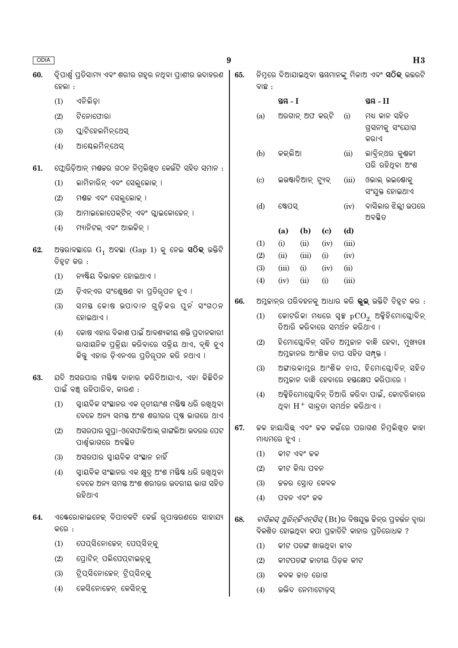| ODIA |             |                                                                                               | 9   |                            |               |                    |                                      |               | H3                                                                                                                     |
|------|-------------|-----------------------------------------------------------------------------------------------|-----|----------------------------|---------------|--------------------|--------------------------------------|---------------|------------------------------------------------------------------------------------------------------------------------|
| 60.  | ହେଲା :      | ଦ୍ୱିପାର୍ଶ୍ୱ ପ୍ରତିସାମ୍ୟ ଏବଂ ଶରୀର ଗହୃର ନଥିବା ପ୍ରାଣୀର ଉଦାହରଣ                                     | 65. | ବାଛ :                      |               |                    |                                      |               | ନିମ୍ନରେ ଦିଆଯାଇଥିବା ସୟମାନଙ୍କୁ ମିଳାଅ ଏବଂ <b>ସଠିକ୍</b> ଉତ୍ତରଟି                                                            |
|      | (1)         | ଏନିଲିଡ଼ା                                                                                      |     |                            | ସ୍ତୟ $-I$     |                    |                                      |               | ସ୍ଥ $-II$                                                                                                              |
|      | (2)         | ଟିନୋପୋରା                                                                                      |     | (a)                        |               | ଅରଗାନ୍ ଅଫ କର୍ଟି    |                                      | (i)           | ମଧ୍ୟ କାନ ସହିତ                                                                                                          |
|      | (3)         | ପ୍ଲାଟିହେଲମିନ୍ଥେସ୍                                                                             |     |                            |               |                    |                                      |               | ଗ୍ରସନୀକୁ ସଂଯୋଗ<br>କର।ଏ                                                                                                 |
|      | (4)         | ଆକ୍ଟେଲମିନ୍ଥେସ୍                                                                                |     | (b)                        | କକ୍ଲିଆ        |                    |                                      | (ii)          | ଲାବ୍ରିନ୍ଥର କୁଣ୍ଠଳୀ                                                                                                     |
| 61.  |             | ଫ୍ଲୋରିଡ଼ିଆନ୍ ମଣ୍ଡକର ଗଠନ ନିମ୍ନଲିଖିତ କେଉଁଟି ସହିତ ସମାନ :                                         |     |                            |               |                    |                                      |               | ପରି ରହିଥିବା ଅଂଶ                                                                                                        |
|      | (1)         | ଲାମିନାରିନ୍ ଏବଂ ସେଲୁଲୋକ୍ ।                                                                     |     | $\left( \mathrm{c}\right)$ |               | ଇଉଷ୍ଟାଚିଆନ୍ ଟ୍ୟୁବ୍ |                                      | (iii)         | ଓଭାଲ୍ ଉଇଷୋକୁ<br>ସଂଯୁକ୍ତ ହୋଇଥାଏ                                                                                         |
|      | (2)         | ମଶ୍ଚଳ ଏବଂ ସେଲୁଲୋକ୍ ।                                                                          |     | (d)                        | ଷ୍ଟେପସ୍       |                    |                                      | (iv)          | ବାସିଲାର ଝିଲ୍ଲୀ ଉପରେ                                                                                                    |
|      | (3)         | ଆମାଇଲୋପେକ୍ଟିନ୍ ଏବଂ ଗ୍ଲାଇକୋଜେନ୍ ।                                                              |     |                            |               |                    |                                      |               | ଅବସ୍ଥିତ                                                                                                                |
|      | (4)         | ମ୍ୟାନିଟଲ୍ ଏବଂ ଆଲଚ୍ଚିନ୍ ।                                                                      |     |                            | (a)           | (b)                | $\left( \mathbf{c} \right)$          | (d)           |                                                                                                                        |
| 62.  |             | ଅନ୍ତରାବସ୍ଥାରେ $G_1$ ଅବସ୍ଥା ( $Gap 1$ ) କୁ ନେଇ <b>ସଠିକ୍</b> ଉକ୍ତିଟି                            |     | (1)                        | (i)           | (ii)               | (iv)                                 | (iii)         |                                                                                                                        |
|      | ଚିହ୍ନଟ କର : |                                                                                               |     | (2)                        | (ii)          | (iii)              | (i)                                  | (iv)          |                                                                                                                        |
|      | (1)         | ନ୍ୟଷ୍ଟିୟ ବିଭାଜନ ହୋଇଥାଏ ।                                                                      |     | (3)<br>(4)                 | (iii)<br>(iv) | (i)<br>(ii)        | (iv)<br>(i)                          | (ii)<br>(iii) |                                                                                                                        |
|      | (2)         | ଡ଼ିଏନ୍ଏର ସଂଶ୍ଲେଷଣ ବା ପ୍ରତିରୂପନ ହୁଏ ।                                                          |     |                            |               |                    |                                      |               |                                                                                                                        |
|      | (3)         | ସମୟ କୋଷ ଉପାଦାନ ଗୁଡ଼ିକର ପୁର୍ନ ସଂଗଠନ                                                            | 66. |                            |               |                    |                                      |               | ଅମ୍ଳକାନ୍ର ପରିବହନକୁ ଆଧାର କରି <b>ଭୁଲ୍</b> ଉକ୍ତିଟି ଚିହ୍ନଟ କର :                                                            |
|      |             | ହୋଇଥାଏ ।                                                                                      |     | (1)                        |               |                    | ତିଆରି କରିବାରେ ସମର୍ଥନ କରିଥାଏ ।        |               | କୋଟରିକା ମଧ୍ୟରେ ସ୍ୱଳ୍ପ $\mathrm{pCO}_2$ ଅକ୍ସିହିମୋଗ୍ଲୋବିନ୍                                                               |
|      | (4)         | କୋଷ ଏହାର ବିକାଶ ପାଇଁ ଆବଶ୍ୟକୀୟ ଶକ୍ତି ପ୍ରଦାନକାରୀ                                                 |     | (2)                        |               |                    |                                      |               | ହିମୋଗ୍ଳୋବିନ୍ ସହିତ ଅମ୍ଳକାନ ବାନ୍ଧି ହେବା, ମୁଖ୍ୟତଃ                                                                         |
|      |             | ରାସାୟନିକ ପ୍ରକ୍ରିୟା କରିବାରେ ସକ୍ରିୟ ଥାଏ, ବୃଦ୍ଧି ହୁଏ<br>କିନ୍ତୁ ଏହାର ଡ଼ିଏନଏର ପ୍ରତିରୂପନ କରି ନଥାଏ । |     |                            |               |                    |                                      |               | ଅମ୍ଳକାନର ଆଂଶିକ ଚାପ ସହିତ ସମ୍ପୃକ୍ତ ।                                                                                     |
| 63.  |             | ଯଦି ଅସରପାର ମୟିଷ ବାହାର କରିଦିଆଯାଏ, ଏହା କିଛିଦିନ<br>ପାଇଁ ବଞ୍ଚ୍ ରହିପାରିବ, କାରଣ :                   |     | (3)                        |               |                    |                                      |               | ଅଙ୍ଗାରକାମ୍ଳର ଆଂଶିକ ଚାପ, ହିମୋଗ୍ଲୋବିନ୍ ସହିତ<br>ଅମ୍ଳକାନ ବାନ୍ଧି ହେବାରେ ହସ୍ତକ୍ଷେପ କରିପାରେ ।                                 |
|      | (1)         | ସ୍ୱାୟବିକ ସଂସ୍ଥାନର ଏକ ତୃତୀୟାଂଶ ମୟିଷ ଧରି ରଖିଥିବା<br>ବେଳେ ଅନ୍ୟ ସମୟ ଅଂଶ ଶରୀରର ପୃଷ ଭାଗରେ ଥାଏ       |     | (4)                        |               |                    | ଥିବା $H^+$ ସାନ୍ଦ୍ରତା ସମର୍ଥନ କରିଥାଏ । |               | ଅକ୍ସିହିମୋଗ୍ଳୋବିନ୍ ତିଆରି କରିବା ପାଇଁ, କୋଟରିକାରେ                                                                          |
|      | (2)         | ଅସରପାର ସୁପ୍ରା-ଓସେଫାକିଆଲ୍ ଗାଙ୍ଗଲିଆ ଉଦରର ପେଟ<br>ପାର୍ଶ୍ୱଭାଗରେ ଅବସ୍ଥିତ                            | 67. | ମାଧ୍ୟମରେ ହୁଏ :             |               |                    |                                      |               | ଚ୍ଚଳ ହାୟାସିଛ୍ ଏବଂ ଚ୍ଚଳ କଇଁରେ ପରାଗଣ ନିମୁଲିଖିତ କାହା                                                                      |
|      | (3)         | ଅସରପାର ସ୍ୱାୟବିକ ସଂସ୍ଥାନ ନାହିଁ                                                                 |     | (1)                        |               | କୀଟ ଏବଂ ଜଳ         |                                      |               |                                                                                                                        |
|      | (4)         | ସ୍ନାୟବିକ ସଂସ୍ଥାନର ଏକ କ୍ଷୁଦ୍ର ଅଂଶ ମୟିଷ ଧରି ରଖିଥିବା                                             |     | (2)                        |               | କୀଟ କିୟା ପବନ       |                                      |               |                                                                                                                        |
|      |             | ବେଳେ ଅନ୍ୟ ସମୟ ଅଂଶ ଶରୀରର ଉଦରୀୟ ଭାଗ ସହିତ                                                        |     | (3)                        |               |                    | ଜଳର ସ୍ରୋତ କେବଳ                       |               |                                                                                                                        |
|      |             | ରହିଥାଏ                                                                                        |     | (4)                        |               | ପବନ ଏବଂ ଜଳ         |                                      |               |                                                                                                                        |
| 64.  | କରେ :       | ଏକ୍ଟେରୋକାଇନେକ୍ ବିପାଚକଟି କେଉଁ ରୂପାତ୍ତରଣରେ ସାହାଯ୍ୟ                                              | 68. |                            |               |                    |                                      |               | <i>ବାସିଲସ୍ ଥ୍ରରିନ୍ଚିଏନ୍ସିସ୍</i> (Bt)ର ବିଷଯୁକ୍ତ ଜିନ୍ର ପ୍ରବର୍ଭନ ଦ୍ୱାରା<br>ବିକଶିତ ହୋଇଥିବା କପା ପ୍ରକାତିଟି କାହାର ପ୍ରତିରୋଧକ ? |
|      | (1)         | ପେପ୍ସିନୋଜେନ୍ ପେପ୍ସିନ୍କୁ                                                                       |     | (1)                        |               |                    | କୀଟ ପତଙ୍ଗ ଖାଉଥିବା ଜୀବ                |               |                                                                                                                        |
|      | (2)         | ପ୍ରୋଟିନ୍ ପଲିପେପ୍ଟାଇଡ଼୍କୁ                                                                      |     | (2)                        |               |                    | କୀଟପତଙ୍ଗ ଜାତୀୟ ପିଡ଼କ କୀଟ             |               |                                                                                                                        |
|      | (3)         | ଟ୍ରିପ୍ସିନୋଜେନ୍ ଟ୍ରିପ୍ସିନ୍କୁ                                                                   |     | (3)                        |               | କବକ ଜାତ ରୋଗ        |                                      |               |                                                                                                                        |
|      | (4)         | କେସିନୋଜେନ୍ କେସିନ୍କୁ                                                                           |     | (4)                        |               |                    | ଉଭିଦ ନେମାଟୋଡ଼ସ୍                      |               |                                                                                                                        |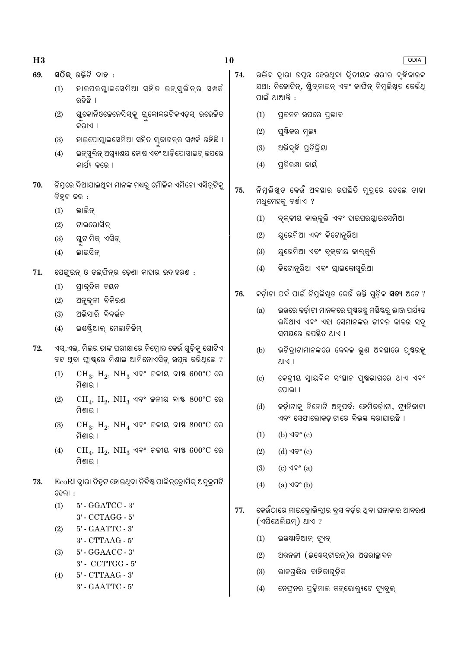| ٦ |   |
|---|---|
|   | ٦ |

- ସ $\widehat{O}$ କ ଉକ୍ତିଟି ବାଛ $\,$  : 69.
	- ହାଇପରଗାଇସେମିଆ ସହିତ ଇନ୍ସ୍ଲିନ୍ର ସମ୍ବର୍  $(1)$ ରହିଛି ।
	- $(2)$ ଗୁକୋନିଓଜେନେସିସ୍କୁ ଗୁକୋକରଟିକଏଡ଼ସ୍ ଉତ୍ତେକିତ କିରାଏ ।
	- ହାଇପୋଗ୍ଲାଇସେମିଆ ସହିତ ଗ୍ଳକାଗନ୍ର ସମ୍ପର୍କ ରହିଛି ।  $(3)$
	- ଇନ୍ସ୍ରଲିନ୍ ଅଗ୍ନ୍ୟାଶୟ କୋଷ ଏବଂ ଆଡ଼ିପୋସାଇଟ୍ ଉପରେ  $(4)$ କାର୍ଯ୍ୟ କରେ ।
- ିନିମୁରେ ଦିଆଯାଇଥିବା ମାନଙ୍କ ମଧ୍ୟରୁ ମୌଳିକ ଏମିନୋ ଏସିଡ୍ରଟିକୁ 70. ଚିହ୍ରଟ କର :
	- ଭାଲିନ୍  $(1)$
	- $(2)$ ଟାଇରୋସିନ
	- ଗୁଟାମିକ୍ ଏସିଡ଼୍  $(3)$
	- ଲାଇସିନ  $(4)$
- 71. ପେଙ୍ଗୁଇନ୍ ଓ ଡଲ୍ଫିନ୍ର ଡ଼େଣା କାହାର ଉଦାହରଣ :
	- ପାକ୍ତିକ ଚୟନ  $(1)$
	- $(2)$ ଅନ୍କଳୀ ବିକିରଣ
	- ଅଭିସାରି ବିବର୍ତ୍ତନ  $(3)$
	- ଇଷ୍ୟ୍ରିଆଲ୍ ମେଲାନିଜିମ୍  $(4)$
- ଏସ୍.ଏଲ୍. ମିଲର ତାଙ୍କ ପରୀକ୍ଷାରେ ନିମ୍ରୋକ୍ତ କେଉଁ ଗୁଡ଼ିକୁ ଗୋଟିଏ 72. ବନ୍ଦ ଥବା ପ୍ରାଷ୍କରେ ମିଶାଇ ଆମିନୋଏସିଡ୍ ଉପନ୍ନ କରିଥଲେ ?
	- $CH_3$ ,  $H_2$ ,  $NH_3$  ଏବଂ ଜଳୀୟ ବାଷ  $600^{\circ}$ C ରେ  $(1)$ ମିଶାଇ ।
	- $CH_4$ ,  $H_2$ ,  $NH_3$  ଏବଂ ଜଳୀୟ ବାଷ  $800^{\circ}$ C ରେ  $(2)$ ମିଶାଳ ।
	- $CH_3$ ,  $H_2$ ,  $NH_4$  ଏବଂ ଜଳୀୟ ବାଷ୍ଣ  $800^{\circ}$ C ରେ  $(3)$ ମିଶାଲ ।
	- $CH_4$ ,  $H_2$ ,  $NH_3$  ଏବଂ ଚଳୀୟ ବାଷ  $600^{\circ}$ C ରେ  $(4)$ ମିଶାଳ ।
- EcoRI ଦାରା ଚିହ୍ଟ ହୋଇଥିବା ନିର୍ଦ୍ଦିଷ୍ଟ ପାଲିନ୍ଡୋମିକ୍ ଅନକ୍ମଟି 73. ହେଲା :
	- 5' GGATCC 3'  $(1)$
	- 3' CCTAGG 5'
	- 5' GAATTC 3'  $(2)$ 
		- $3'$  CTTAAG  $5'$
	- 5' GGAACC 3'  $(3)$ 3' - CCTTGG - 5'
	- $(4)$  $5'$  -  $CTTAAG - 3'$ 3' - GAATTC - 5'

 $74.$ 

- **ODIA** ଉଭିଦ ଦାରା ଉପନ୍ନ ହେଉଥିବା ଦିତୀୟକ ଶରୀର ବ୍ଦିକାରକ ଯଥା: ନିକୋଟିନ୍, ଷ୍ଟିଚ୍ନାଇନ୍ ଏବଂ କାଫିନ୍ ନିମୁଲିଖିତ କେଉଁଥି
- $(1)$ ପକ୍ରନନ ଉପରେ ପଭାବ
- $(2)$ ପଷ୍ଟିକର ମଲ୍ୟ

ପାଇଁ ଥାଆନ୍ତି :

- ଅଭିବୃଦ୍ଧି ପ୍ରତିକ୍ରିୟା  $(3)$
- $(4)$ ପତିରକ୍ଷା କାର୍ୟ
- ନିମୁଲିଖୁତ କେଉଁ ଅବସ୍ଥାର ଉପସ୍ଥିତି ମ୍ତ୍ରେ ହେଲେ ତାହା 75. ମଧୁମେହକୁ ଦର୍ଶାଏ ?
	- $(1)$ ବ୍କକୀୟ କାଲ୍କ୍ଲି ଏବଂ ହାଇପରଘ୍ଲାଇସେମିଆ
	- ୟରେମିଆ ଏବଂ କିଟୋନୁରିଆ  $(2)$
	- ୟୁରେମିଆ ଏବଂ ବୃକ୍କୀୟ କାଲ୍କୁଲି  $(3)$
	- କିଟୋନ୍ରିଆ ଏବଂ ଗ୍ଲାଇକୋସରିଆ  $(4)$
- କର୍ଡ଼ାଟା ପର୍ବ ପାଇଁ ନିମ୍ନଲିଖତ କେଉଁ ଉକ୍ତି ଗଡ଼ିକ **ସତ୍ୟ** ଅଟେ ? 76.
	- ଇଉରୋକର୍ଡ଼ାଟା ମାନଙ୍କରେ ପୃଷରଜ୍ଯୁ ମୟିଷରୁ ଲାଞ୍ଜ ପର୍ଯ୍ୟନ୍ତ  $(a)$ ଲୟିଥାଏ ଏବଂ ଏହା ସେମାନଙ୍କର ଜୀବନ କାଳର ସବୁ ସମୟରେ ଉପଛିତ ଥାଏ ।
	- ଭଟିବାଟାମାନଙ୍କରେ କେବଳ ଭଣ ଅବସ୍ଥାରେ ପଷ୍ଠରଜ  $(b)$ **1 D**/IR
	- କେନ୍ଦ୍ରୀୟ ସ୍ୱାୟବିକ ସଂସ୍ଥାନ ପୃଷ୍ଠଭାଗରେ ଥାଏ ଏବଂ  $\left( \mathrm{c}\right)$ ପୋଲା ।
	- କର୍ଡ଼ାଟାକ୍ର ତିନୋଟି ଅନୁପର୍ବ: ହେମିକର୍ଡ଼ାଟା, ଟ୍ୟୁନିକାଟା  $(d)$ ଏବଂ ସେଫାଲୋକଡ଼ାଟାରେ ବିଭକ୍ତ କରାଯାଇଛି ।
	- $(1)$  $(b)$  ଏବଂ  $(c)$
	- $(2)$  $(d)$  ଏବଂ  $(c)$
	- $(c)$  ଏବଂ  $(a)$  $(3)$
	- $(4)$ (a) ଏବଂ (b)
- କେଉଁଠାରେ ମାଇକୋଭିଲ୍ଲୀର ବ୍ସ ବର୍ଡ଼ର ଥିବା ଘନାକାର ଆବରଣ 77. (ଏପିଥେଲିୟମ୍) ଥାଏ ?
	- ଇଉଷ୍ଟାଚିଆନ୍ ଟ୍ୟୁବ୍  $(1)$
	- ଅନ୍ତନଳୀ (ଇଷ୍ଟେସ୍ଟାଇନ୍)ର ଅନ୍ତରାଚ୍ଛାଦନ  $(2)$
	- ଲାଳଗ୍ରିଛର ବାହିକାଗୁଡ଼ିକ  $(3)$
	- $(4)$ ନେଫ୍ନର ପ୍ରକ୍ରିମାଲ କନ୍ଭୋଲ୍ୟଟେ ଟ୍ୟବଲ୍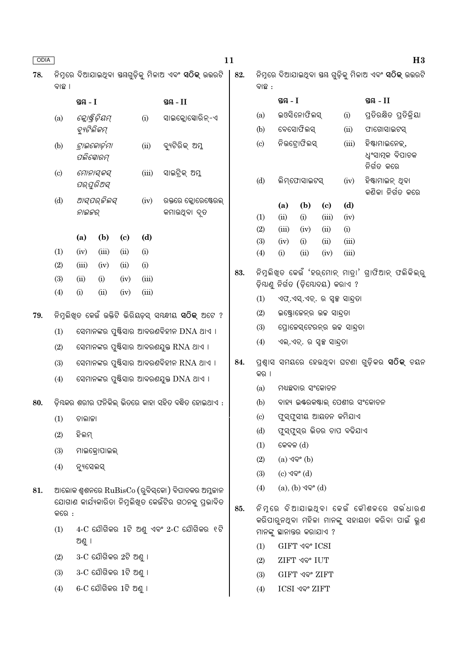| ODIA |                                                |                         |                               |                             |                |                                                               | 11                            |                            |              |                                     |                             |                                      | H3                                                           |
|------|------------------------------------------------|-------------------------|-------------------------------|-----------------------------|----------------|---------------------------------------------------------------|-------------------------------|----------------------------|--------------|-------------------------------------|-----------------------------|--------------------------------------|--------------------------------------------------------------|
| 78.  | ବାଛ ।                                          |                         |                               |                             |                |                                                               | 82.                           | ବାଛ :                      |              |                                     |                             |                                      | ନିମ୍ନରେ ଦିଆଯାଇଥିବା ୟୟ ଗୁଡ଼ିକୁ ମିଳାଅ ଏବଂ <b>ସଠିକ୍</b> ଉତ୍ତରଟି |
|      |                                                | ସ୍ତ $A - I$             |                               |                             |                | ସ୍ତୟ $-II$                                                    |                               |                            | ସ୍ତୟ $-I$    |                                     |                             |                                      | ସ୍ଥ $-II$                                                    |
|      | (a)                                            |                         | କ୍ଲୋଷ୍ଟିଡ଼ିୟମ୍                |                             | (i)            | ସାଇକ୍ଲୋସୋରିନ୍-ଏ                                               |                               | (a)                        |              | ଇଓସିନୋଫିଲସ୍                         |                             |                                      | ପ୍ରତିରକ୍ଷିତ ପ୍ରତିକ୍ରିୟା                                      |
|      |                                                | ବ୍ୟୁଟିଲିକମ୍             |                               |                             |                |                                                               |                               | (b)                        |              | ବେସୋଫିଲସ୍                           |                             | (ii)                                 | ଫାଗୋସାଇଟସ୍                                                   |
|      | (b)                                            | ପଲିସୋରମ୍                | ଟାଇକୋର୍ଡ଼ମା                   |                             | (ii)           | ବ୍ୟଟିରିକ୍ ଅମ୍ଳ                                                |                               | (c)                        |              | ନିଉଟ୍ରୋଫିଲସ୍<br>(iii)               |                             |                                      | ହିଷ୍ଟାମାଇନେକ୍,<br>ଧ୍ୱଂସାତ୍ପକ ବିପାଚକ<br>ନିର୍ଗତ କରେ            |
|      | $\left( \mathrm{c}\right)$                     | ମୋନାସ୍କସ୍<br>ପର୍ଯୁରିଅସ୍ |                               | (iii)                       | ସାଇଟ୍ରିକ୍ ଅମ୍ଳ |                                                               | (d)                           |                            | ଲିମ୍ଫୋସାଇଟସ୍ |                                     | (iv)                        | ହିଷ୍ଟାମାଇନ୍ ଥିବା<br>କଣିକା ନିର୍ଗତ କରେ |                                                              |
|      | (d)                                            |                         | ଆସ୍ପର୍ଜିଲସ୍                   |                             | (iv)           | ରକ୍ତରେ କ୍ଳୋରେଷ୍ଟେରଲ୍                                          |                               |                            | (a)          | (b)                                 | $\left( \mathbf{c} \right)$ | (d)                                  |                                                              |
|      |                                                | ନାଇଜର୍                  |                               |                             |                | କମାଉଥିବା ଦୃତ                                                  |                               | (1)                        | (ii)         | (i)                                 | (iii)                       | (iv)                                 |                                                              |
|      |                                                |                         |                               |                             |                |                                                               |                               | (2)                        | (iii)        | (iv)                                | (ii)                        | (i)                                  |                                                              |
|      |                                                | (a)                     | (b)                           | $\left( \mathbf{c} \right)$ | (d)            |                                                               |                               | (3)                        | (iv)         | (i)                                 | (ii)                        | (iii)                                |                                                              |
|      | (1)<br>(2)                                     | (iv)<br>(iii)           | (iii)<br>(iv)                 | (ii)<br>(ii)                | (i)<br>(i)     |                                                               |                               | (4)                        | (i)          | (ii)                                | (iv)                        | (iii)                                |                                                              |
|      | (3)                                            | (ii)                    | (i)                           | (iv)                        | (iii)          |                                                               | 83.                           |                            |              |                                     |                             |                                      | ନିମୁଲିଖ୍ଡ କେଉଁ 'ହର୍ମୋନ୍ ମାତ୍ରା' ଗ୍ରାଫିଆନ୍ ଫଲିକିଲ୍ରୁ          |
|      | (4)                                            | (i)                     | (ii)                          | (iv)                        | (iii)          |                                                               |                               |                            |              | ଡ଼ିୟାଣୁ ନିର୍ଗତ (ଡ଼ିଯୋଦୟ) କରାଏ ?     |                             |                                      |                                                              |
|      |                                                |                         |                               |                             |                |                                                               |                               | (1)                        |              | ଏଫ୍.ଏସ୍.ଏଚ୍. ର ସ୍ୱଳ୍ପ ସାନ୍ଦ୍ରତା     |                             |                                      |                                                              |
| 79.  |                                                |                         |                               |                             |                | ନିମ୍ନଲିଖ୍ଡ କେଉଁ ଉକ୍ତିଟି ଭିରିୟଡ଼ସ୍ ସ୍ୟଦ୍ଧୀୟ <b>ସଠିକ୍</b> ଅଟେ ? |                               | (2)                        |              | ଇଷ୍ଟ୍ରୋଜେନ୍ର ଉଚ୍ଚ ସାନ୍ଦ୍ରତା         |                             |                                      |                                                              |
|      | ସେମାନଙ୍କର ପୁଷ୍ଟିସାର ଆବରଣବିହୀନ DNA ଥାଏ ।<br>(1) |                         |                               |                             | (3)            |                                                               | ପ୍ରୋଜେସ୍ଟେରନ୍ର ଉଚ୍ଚ ସାନ୍ଦ୍ରତା |                            |              |                                     |                             |                                      |                                                              |
|      | (2)                                            |                         |                               |                             |                | ସେମାନଙ୍କର ପୁଷ୍ଟିସାର ଆବରଣଯୁକ୍ତ RNA ଥାଏ ।                       |                               | (4)                        |              | ଏଲ୍.ଏଚ୍. ର ସ୍ୱଳ୍ପ ସାନ୍ଦ୍ରତା         |                             |                                      |                                                              |
|      | (3)                                            |                         |                               |                             |                | ସେମାନଙ୍କର ପୁଷ୍ଟିସାର ଆବରଣବିହୀନ RNA ଥାଏ ।                       | 84.                           |                            |              |                                     |                             |                                      | ପ୍ରଶ୍ୱାସ ସମୟରେ ହେଉଥିବା ଘଟଣା ଗୁଡ଼ିକର <b>ସଠିକ୍</b> ଚୟନ         |
|      | (4)                                            |                         |                               |                             |                | ସେମାନଙ୍କର ପୁଷ୍ଟିସାର ଆବରଣଯୁକ୍ତ DNA ଥାଏ ।                       |                               | କର ।                       |              |                                     |                             |                                      |                                                              |
|      |                                                |                         |                               |                             |                |                                                               |                               | (a)                        |              | ମଧ୍ୟଛଦାର ସଂକୋଚନ                     |                             |                                      |                                                              |
| 80.  |                                                |                         |                               |                             |                | ଡ଼ିଯକର ଶରୀର ଫନିକିଲ୍ ଭିତରେ କାହା ସହିତ ବନ୍ଧିତ ହୋଇଥାଏ :           |                               | (b)                        |              |                                     |                             |                                      | ବାହ୍ୟ ଇଣ୍ଟରକଷ୍ଟାଲ୍ ପେଶୀର ସଂକୋଚନ                              |
|      | (1)                                            | ଚାଲାକା                  |                               |                             |                |                                                               |                               | $\left( \circ \right)$     |              | ପୁସ୍ପୁସୀୟ ଆୟତନ କମିଯାଏ               |                             |                                      |                                                              |
|      | (2)                                            | ହିଲମ୍                   |                               |                             |                |                                                               |                               | (d)                        |              | ଫୁସ୍ଫୁସ୍ର ଭିତର ଚାପ ବଢିଯାଏ           |                             |                                      |                                                              |
|      | (3)                                            |                         | ମାଇକ୍ରୋପାଇଲ୍                  |                             |                |                                                               |                               | (1)                        | କେବଳ $(d)$   |                                     |                             |                                      |                                                              |
|      | (4)                                            | ନ୍ୟୁସେଲସ୍               |                               |                             |                |                                                               |                               | (2)                        |              | $(a)$ $\sqrt{ }$ <sup>o</sup> $(b)$ |                             |                                      |                                                              |
|      |                                                |                         |                               |                             |                |                                                               |                               | (3)                        |              | $(c)$ ଏବଂ $(d)$                     |                             |                                      |                                                              |
| 81.  |                                                |                         |                               |                             |                | ଆଲୋକ ଶ୍ୱଶନରେ RuBisCo (ରୁବିସ୍କୋ) ବିପାଚକର ଅମ୍ଳକାନ               |                               | (4)                        |              | $(a), (b)$ $\sqrt{Q}$ ° $(d)$       |                             |                                      |                                                              |
|      | କରେ :                                          |                         |                               |                             |                | ଯୋଗାଣ କାର୍ଯ୍ୟକାରିତା ନିମ୍ନଲିଖ୍ଡ କେଉଁଟିର ଗଠନକୁ ପ୍ରଭାବିତ         | 85.                           |                            |              |                                     |                             |                                      | ନିମୃରେ ଦିଆଯାଇଥ୍ବା କେଉଁ କୌଶଳରେ ଗର୍ଭଧାରଣ                       |
|      | (1)                                            |                         |                               |                             |                | $4-C$ ଯୌଗିକର $1$ ଟି ଅଣୁ ଏବଂ $2-C$ ଯୌଗିକର ୧ଟି                  |                               |                            |              | ମାନଙ୍କୁ ସ୍ଥାନାତ୍ତର କରାଯାଏ ?         |                             |                                      | କରିପାରୁନଥିବା ମହିଳା ମାନଙ୍କୁ ସହାୟତା କରିବା ପାଇଁ ଭୁଣ             |
|      |                                                | ଅଣୁ ।                   |                               |                             |                |                                                               |                               | (1)                        |              | GIFT ଏବଂ ICSI                       |                             |                                      |                                                              |
|      | (2)                                            |                         | $3-C$ ଯୌଗିକର 2ଟି ଅଣୁ ।        |                             |                |                                                               |                               | <b>ZIFT ଏବଂ IUT</b><br>(2) |              |                                     |                             |                                      |                                                              |
|      | (3)                                            |                         | $3-C$ ଯୌଗିକର 1ଟି ଅଣୁ ।        |                             |                |                                                               |                               | (3)                        |              | <b>GIFT ଏବଂ ZIFT</b>                |                             |                                      |                                                              |
|      | (4)                                            |                         | $6$ - $C$ ଯୌଗିକର $1$ ଟି ଅଣୁ । |                             |                |                                                               |                               | (4)                        |              | ICSI ଏବଂ ZIFT                       |                             |                                      |                                                              |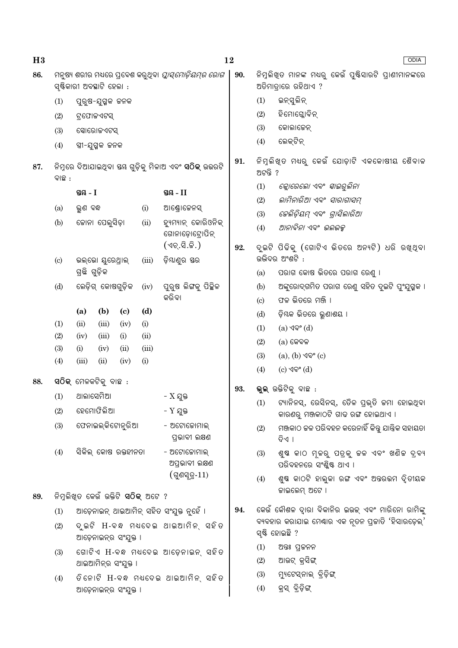| H <sub>3</sub> |                                                                 |                                                                                                       |                          |                             |                                            | 12                                                           |                          |                                                          | ODIA                                                                             |  |  |  |
|----------------|-----------------------------------------------------------------|-------------------------------------------------------------------------------------------------------|--------------------------|-----------------------------|--------------------------------------------|--------------------------------------------------------------|--------------------------|----------------------------------------------------------|----------------------------------------------------------------------------------|--|--|--|
| 86.            |                                                                 |                                                                                                       | ସ୍ଷିକାରୀ ଅବସ୍ଥାଟି ହେଲା : |                             |                                            | ମନୁଷ୍ୟ ଶରୀର ମଧ୍ୟରେ ପ୍ରବେଶ କରୁଥିବା <i>ପ୍ଲାସ୍ମୋଡ଼ିୟମ୍ର ରୋଗ</i> | 90.                      |                                                          | ନିମ୍ନଲିଖ୍ଡ ମାନଙ୍କ ମଧ୍ୟରୁ କେଉଁ ପୁଷ୍ଟିସାରଟି ପ୍ରାଣୀମାନଙ୍କରେ<br>ଅତିମାତ୍ରାରେ ରହିଥାଏ ? |  |  |  |
|                | (1)                                                             |                                                                                                       | ପୁରୁଷ-ଯୁଗ୍ମକ ଜନକ         |                             |                                            |                                                              |                          | (1)                                                      | ଇନ୍ସୁଲିନ୍                                                                        |  |  |  |
|                | (2)                                                             |                                                                                                       | ଟ୍ରଫୋଜଏଟସ୍               |                             |                                            |                                                              |                          | (2)                                                      | ହିମୋଗ୍ଳୋବିନ୍                                                                     |  |  |  |
|                | (3)                                                             |                                                                                                       | ସୋରୋଜଏଟସ୍                |                             |                                            |                                                              |                          | (3)                                                      | କୋଲାଜେନ୍                                                                         |  |  |  |
|                | (4)                                                             |                                                                                                       | ସ୍ତ୍ରୀ-ଯୁଗ୍ମକ ଜନକ        |                             |                                            |                                                              |                          | (4)                                                      | ଲେକ୍ଟିନ୍                                                                         |  |  |  |
| 87.            | ବାଛ :                                                           |                                                                                                       |                          |                             |                                            | ନିମ୍ନରେ ଦିଆଯାଇଥିବା ୟୟ ଗୁଡ଼ିକୁ ମିଳାଅ ଏବଂ <b>ସଠିକ୍</b> ଉଭରଟି   | 91.                      | ିନିମୁଲିଖ୍ତ ମଧ୍ୟରୁ କେଉଁ ଯୋଡ଼ାଟି ଏକକୋଷୀୟ ଶୈବାଳ<br>ଅଟନ୍ତି ? |                                                                                  |  |  |  |
|                |                                                                 | ସ୍ତୟ - I                                                                                              |                          |                             |                                            | ସ୍ତୟ $-II$                                                   |                          | (1)                                                      | ଜ୍ଲୋରେଲୋ ଏବଂ <i>ସ୍କାଇରୁଲିନା</i>                                                  |  |  |  |
|                | (a)                                                             | ଭୁଣ ବନ୍ଧ                                                                                              |                          |                             | (i)                                        | ଆଣ୍ଡ୍ରୋଜେନସ୍                                                 |                          | (2)                                                      | ଲାମିନାରିଆ ଏବଂ ସାରାଗାସମ୍                                                          |  |  |  |
|                | (b)                                                             |                                                                                                       | ଜୋନା ପେଲୁସିଡ଼ା           |                             | (ii)                                       | ହ୍ୟୁମ୍ୟାନ୍ କୋରିଓନିକ୍                                         |                          | (3)                                                      | ଜେଲିଡ଼ିୟମ୍ ଏବଂ ଗ୍ରାସିଲାରିଆ                                                       |  |  |  |
|                |                                                                 |                                                                                                       |                          |                             |                                            | ଗୋନାଡ଼ୋଟ୍ରୋପିନ୍                                              |                          | (4)                                                      | ଆନାବିନା ଏବଂ ଭଲଭକ୍ସ                                                               |  |  |  |
|                | $\left( \mathrm{c}\right)$                                      |                                                                                                       | ଭଲ୍ଭୋ ଯୁରେଥ୍ରାଲ୍         |                             | (iii)                                      | (ଏଚ୍.ସି.ଜି.)<br>ଡ଼ିଯାଣୁର ସର                                  | 92.                      |                                                          | ଦୁଇଟି ପିଢିକୁ (ଗୋଟିଏ ଭିତରେ ଅନ୍ୟଟି) ଧରି ରଖ୍ଥ୍ବା<br>ଉଭିଦର ଅଂଶଟି :                   |  |  |  |
|                |                                                                 | ଗ୍ରଛି ଗୁଡ଼ିକ                                                                                          |                          |                             |                                            |                                                              | (a)                      | ପରାଗ କୋଷ ଭିତରେ ପରାଗ ରେଣୁ ।                               |                                                                                  |  |  |  |
|                | (d)                                                             |                                                                                                       | ଲେଡ଼ିଗ୍ କୋଷଗୁଡ଼ିକ        |                             | (iv)                                       | ପୁରୁଷ ଲିଙ୍ଗକୁ ପିଚ୍ଛିଳ                                        |                          | (b)                                                      | ଅଙ୍କୁରୋଦ୍ଗମିତ ପରାଗ ରେଣୁ ସହିତ ଦୁଇଟି ପୁଂଯୁଗ୍ମକ ।                                   |  |  |  |
|                |                                                                 |                                                                                                       |                          | କରିବା                       |                                            |                                                              |                          | (c)                                                      | ଫଳ ଭିତରେ ମଞ୍ଜି ।                                                                 |  |  |  |
|                |                                                                 | (a)                                                                                                   | (b)                      | $\left( \mathbf{c} \right)$ | (d)                                        |                                                              |                          | (d)                                                      | ଡ଼ିୟକ ଭିତରେ ଭୁଣାଶୟ ।                                                             |  |  |  |
|                | (1)                                                             | (ii)                                                                                                  | (iii)                    | (iv)                        | (i)                                        |                                                              |                          | (1)                                                      | (a) ଏବଂ (d)                                                                      |  |  |  |
|                | (2)                                                             | (iv)                                                                                                  | (iii)                    | (i)                         | (ii)                                       |                                                              |                          | (2)                                                      | $(a)$ କେବଳ                                                                       |  |  |  |
|                | (3)<br>(4)                                                      | (i)<br>(iii)                                                                                          | (iv)<br>(ii)             | (ii)<br>(iv)                | (iii)<br>(i)                               |                                                              |                          | (3)                                                      | $(a), (b)$ $\sqrt{Q}$ ° $(c)$                                                    |  |  |  |
|                |                                                                 |                                                                                                       |                          |                             |                                            |                                                              |                          | (4)                                                      | (c) ଏବଂ (d)                                                                      |  |  |  |
| 88.            |                                                                 |                                                                                                       | ସଠିକ୍ ମେଳକଟିକୁ ବାଛ :     |                             |                                            |                                                              | 93.                      |                                                          | ଭୁଲ୍ ଉକ୍ତିଟିକୁ ବାଛ :                                                             |  |  |  |
|                | (1)                                                             | ଥାଲାସେମିଆ                                                                                             |                          |                             |                                            | - $X$ ଯୁକ୍ତ                                                  |                          |                                                          | (1) ଟ୍ୟାନିନସ୍, ରେସିନସ୍, ତୈଳ ପ୍ରଭୃତି କମା ହୋଇଥିବା                                  |  |  |  |
|                | (2)                                                             |                                                                                                       | ହେମୋଫିଲିଆ                |                             |                                            | - Y ଯୁକ୍ତ                                                    |                          |                                                          | କାରଣରୁ ମଞ୍ଜକାଠଟି ଗାଢ ରଙ୍ଗ ହୋଇଥାଏ ।                                               |  |  |  |
|                | (3)                                                             |                                                                                                       | ଫେନାଇଲ୍କିଟୋନୁରିଆ         |                             |                                            | - ଅଟୋଜୋମାଲ୍<br>ପ୍ରଭାବୀ ଲକ୍ଷଣ                                 |                          | (2)                                                      | ମଞ୍ଜକାଠ ଚ୍ଚଳ ପରିବହନ କରେନାହିଁ କିନ୍ତୁ ଯାନ୍ତିକ ସହାୟତା<br>ବିଏ ।                      |  |  |  |
|                | (4)                                                             |                                                                                                       | ସିକିଲ୍ କୋଷ ରକ୍ତହୀନତା     |                             |                                            | - ଅଟୋଜୋମାଲ୍<br>ଅପ୍ରଭାବୀ ଲକ୍ଷଣ                                |                          | (3)                                                      | ଶୁଷ କାଠ ମୂଳରୁ ପତ୍ରକୁ ଚଳ ଏବଂ ଖଣିଚ୍ଚ ଦ୍ର୍ୟ<br>ପରିବହନରେ ସଂଶ୍ଳିଷ୍ଟ ଥାଏ ।             |  |  |  |
|                |                                                                 |                                                                                                       |                          |                             |                                            | (ଗୁଣସ୍ତ-11)                                                  |                          | (4)                                                      | ଶୁଷ କାଠଟି ହାଲୁକା ରଙ୍ଗ ଏବଂ ଅତ୍ତରଭମ ଦୃିତୀୟକ                                        |  |  |  |
| 89.            |                                                                 |                                                                                                       |                          |                             | ନିମ୍ନଲିଖିତ କେଉଁ ଉକ୍ତିଟି <b>ସଠିକ୍</b> ଅଟେ ? |                                                              |                          |                                                          | ଜାଇଲେମ୍ ଅଟେ ।                                                                    |  |  |  |
|                | (1)                                                             |                                                                                                       |                          |                             |                                            |                                                              | 94.                      |                                                          | କେଉଁ କୌଶଳ ଦୃାରା ବିକାନିର ଇଉକ୍ ଏବଂ ମାରିନୋ ରାମିଙ୍କୁ                                 |  |  |  |
|                | (2)                                                             | ଆଡ଼େନାଇନ୍ ଥାଇଆମିନ୍ ସହିତ ସଂଯୁକ୍ତ ନୁହେଁ ।<br>ଦୃଇଟି H-ବନ୍ଧ ମଧ୍ୟଦେଇ ଥାଇଆମିନ୍ ସହିତ<br>ଆଡ଼େନାଇନ୍ର ସଂଯୁକ୍ତ । |                          |                             |                                            |                                                              |                          |                                                          | ବ୍ୟବହାର କରାଯାଇ ମେଣ୍ଢାର ଏକ ନୃତନ ପ୍ରକାତି 'ହିସାରଡ଼େଲ୍'<br>ସ୍ଷ୍ଟି ହୋଇଛି ?            |  |  |  |
|                |                                                                 |                                                                                                       |                          |                             |                                            | ଗୋଟିଏ H-ବନ୍ଧ ମଧଦେଇ ଆଡ଼େନାଇନ୍ ସହିତ                            |                          | (1)                                                      | ଅତ୍ତଃ ପ୍ରକନନ                                                                     |  |  |  |
|                | (3)                                                             |                                                                                                       |                          |                             |                                            |                                                              |                          | (2)                                                      | ଆଉଟ୍ କ୍ରସିଙ୍ଗ୍                                                                   |  |  |  |
|                | ଥାଇଆମିନ୍ର ସଂଯୁକ୍ତ ।<br>ତିନୋଟି H-ବନ୍ଧ ମଧଦେଇ ଥାଇଆମିନ୍ ସହିତ<br>(4) |                                                                                                       |                          |                             |                                            | (3)                                                          | ମ୍ୟୁଟେସ୍ନାଲ୍ ବ୍ରିଡ଼ିଙ୍ଗ୍ |                                                          |                                                                                  |  |  |  |
|                |                                                                 |                                                                                                       | ଆଡ଼େନାଇନ୍ର ସଂଯୁକ୍ତ ।     |                             |                                            |                                                              |                          | (4)                                                      | କ୍ରସ୍ ବିଡ଼ିଙ୍ଗ୍                                                                  |  |  |  |
|                |                                                                 |                                                                                                       |                          |                             |                                            |                                                              |                          |                                                          |                                                                                  |  |  |  |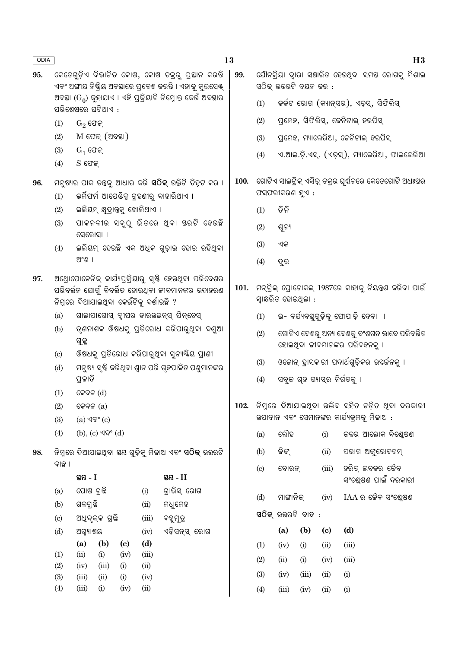- କେତେଗଡିଏ ବିଭାଜିତ କୋଷ, କୋଷ ଚକର ପ୍ଲୟାନ କରନ୍ତି 95. ଏବଂ ଅଙ୍ଗୀୟ ନିଷ୍କିୟ ଅବସ୍ଥାରେ ପ୍ରବେଶ କରନ୍ତି । ଏହାକୁ କୁଇସେଷ୍ଟ୍ ଅବସ୍ଥା (G<sub>o</sub>) କ୍ହାଯାଏ । ଏହି ପକ୍ଲିୟାଟି ନିମ୍ରୋକ୍ତ କେଉଁ ଅବସ୍ଥାର ପରିଶେଷରେ ଘଟିଥାଏ :
	- $G_2$  ଫେକ୍  $(1)$
	- $M$  ଫେକ୍ (ଅବସ୍ଥା)  $(2)$
	- $(3)$  $G_1$  ଫେକ୍
	- $(4)$  $S$  ଫେକ୍
- ମନ୍ଷ୍ୟର ପାକ ତନ୍ତ୍କ ଆଧାର କରି **ସଠିକ୍** ଉକ୍ତିଟି ଚିହୁଟ କର । 96.
	- $(1)$ ଭର୍ମିଫର୍ମ ଆପେଷିକ୍ସ ଗ୍ରହଣୀରୁ ବାହାରିଥାଏ ।
	- ଇଲିୟମ୍ କ୍ଷଦାନ୍ତକ୍ ଖୋଲିଥାଏ ।  $(2)$
	- ପାକନଳୀର ସବୁଠୁ ଭିତରେ ଥିବା ସରଟି ହେଉଛି  $(3)$ ସେରୋସା ।
	- ଇଲିୟମ୍ ହେଉଛି ଏକ ଅଧିକ ଗୁଡ଼ାଇ ହୋଇ ରହିଥିବା  $(4)$ ଅଂଶ ।
- ଅଥୋପୋକେନିକ୍ କାର୍ଯ୍ୟପ୍ରକ୍ରିୟାରୁ ସ୍ୟି ହେଉଥିବା ପରିବେଶର 97. ପରିବର୍ତ୍ତନ ଯୋଗୁଁ ବିବର୍ତ୍ତିତ ହୋଇଥିବା ଜୀବମାନଙ୍କର ଉଦାହରଣ ନିମ୍ନରେ ଦିଆଯାଇଥିବା କେଉଁଟିକୁ ଦର୍ଶାଉଛି ?
	- ଗାଲାପାଗୋସ୍ ଦ୍ୱୀପର ଡାରଉଇନ୍ସ୍ ପିନ୍ଚେସ୍  $(a)$
	- ତ୍ଣନାଶକ ଔଷଧକୁ ପ୍ତିରୋଧ କରିପାରୁଥିବା ବଣ୍ରଆ  $(b)$ ଗୁଳ୍ଲ
	- ଔଷଧକୁ ପ୍ତିରୋଧ କରିପାରୁଥିବା ସୁନ୍ୟୟିୟ ପ୍ରାଣୀ  $\left( \mathrm{e}\right)$
	- ମନୁଷ୍ୟ ସ୍ୱଷ୍ଟି କରିଥିବା ଶ୍ୱାନ ପରି ଗୃହପାଳିତ ପଶ୍ରମାନଙ୍କର  $(d)$ ପ୍ରକାତି
	- $(1)$ କେବଳ $(d)$
	- $(2)$ କେବଳ $(a)$
	- (a) ଏବଂ (c)  $(3)$
	- $(4)$  $(b), (c)$   $\sqrt{Q}$ °  $(d)$
- ନିମ୍ନରେ ଦିଆଯାଇଥିବା ୟୟ ଗୁଡ଼ିକୁ ମିଳାଅ ଏବଂ **ସଠିକ୍** ଉଭରଟି 98. ବାଛ ।

|     | ସ୍ଥ <b>ୟ</b> - I |                |                            |       | ସ୍ଥନ୍ତ - 11   |
|-----|------------------|----------------|----------------------------|-------|---------------|
| (a) | ପୋଷ ଗ୍ରଛି        |                |                            | (i)   | ଗ୍ରାଭିସ୍ ରୋଗ  |
| (b) | ଗଳଗ୍ରଛି          |                |                            | (ii)  | ମଧୁମେହ        |
| (c) |                  | ଅଧିବୃକ୍କ ଗ୍ରଛି |                            | (iii) | ବହୁମୂତ୍ର      |
| (d) | ଅଗ୍ନ୍ୟାଶୟ        |                |                            | (iv)  | ଏଡ଼ିସନ୍ସ୍ ରୋଗ |
|     | (a)              | (b)            | $\left( \mathrm{e}\right)$ | (d)   |               |
| (1) | (ii)             | (i)            | (iv)                       | (iii) |               |
| (2) | (iv)             | (iii)          | (i)                        | (ii)  |               |
| (3) | (iii)            | (ii)           | (i)                        | (iv)  |               |
| (4) | (iii)            | (i)            | (iv)                       | (ii)  |               |
|     |                  |                |                            |       |               |

- ଯୌନକିୟା ଦାରା ସଞ୍ଚାରିତ ହେଉଥବା ସମୟ ରୋଗକ ମିଶାଇ 99. ସଠିକ ଉଭରଟି ଚୟନ କର :
	- କର୍କଟ ରୋଗ (କ୍ୟାନ୍ସର), ଏଡ଼ସ୍, ସିଫିଲିସ୍  $(1)$
	- ପ୍ରମେହ, ସିଫିଲିସ୍, ଜେନିଟାଲ୍ ହରପିସ୍  $(2)$
	- ପ୍ରମେହ, ମ୍ୟାଲେରିଆ, ଜେନିଟାଲ୍ ହରପିସ୍  $(3)$
	- ଏ.ଆଇ.ଡ଼ି.ଏସ୍. (ଏଡ଼ସ୍), ମ୍ୟାଲେରିଆ, ଫାଇଲେରିଆ  $(4)$
- 100. ଗୋଟିଏ ସାଇଟ୍ରିକ୍ ଏସିଡ଼୍ ଚକ୍ରର ଘୂର୍ଷନରେ କେତେଗୋଟି ଅଧଃସ୍ତର ଫସଫରୀକରଣ ହୁଏ :
	- ନିନି  $(1)$
	- $(2)$ ଶୁନ୍ୟ
	- $(3)$ ଏକ
	- $(4)$ ଦ୍ରଇ
- 101. ମନ୍ଟିଲ୍ ପୋଟୋକଲ୍ 1987ରେ କାହାକୁ ନିୟନ୍ତ୍ରଣ କରିବା ପାଇଁ ସ୍ୱାକ୍ଷରିତ ହୋଇଥିଲା :
	- ଇ- ବର୍ଯ୍ୟବୟଗଡିକ୍ ଫୋପାଡି ଦେବା ।  $(1)$
	- ଗୋଟିଏ ଦେଶର ଅନ୍ୟ ଦେଶକ୍ ବଂଶଗତ ଭାବେ ପରିବର୍ତ୍ତିତ  $(2)$ ହୋଇଥିବା ଜୀବମାନଙ୍କର ପରିବହନକୁ ।
	- ଓକୋନ୍ ହାସକାରୀ ପଦାର୍ଥଗୁଡ଼ିକର ଉହର୍କନକ୍ ।  $(3)$
	- ସବୃଚ୍ଚ ଗହ ଗ୍ୟାସ୍ର ନିର୍ଗତକୁ ।  $(4)$
- 102. ନିମୁରେ ଦିଆଯାଇଥିବା ଉଭିଦ ସହିତ ଚଡ଼ିତ ଥିବା ଦରକାରୀ ଉପାଦାନ ଏବଂ ସେମାନଙ୍କର କାର୍ଯ୍ୟକ୍ମକ୍ ମିଳାଅ :

| (a)                        | ଲୌହ    |                          | (i)                        | ଜଳର ଆଲୋକ ବିଶ୍ଳେଷଣ                      |
|----------------------------|--------|--------------------------|----------------------------|----------------------------------------|
| (b)                        | କିଙ୍କ୍ |                          | (ii)                       | ପରାଗ ଅଙ୍କୁରୋଦଗମ୍                       |
| $\left( \mathrm{c}\right)$ | ବୋରନ୍  |                          | (iii)                      | ହରିତ୍ ଲବକର ଜୈବ<br>ସଂଶ୍କେଷଣ ପାଇଁ ଦରକାରୀ |
| (d)                        |        |                          | ମାଙ୍ଗାନିକ୍ (iv)            | $IAA$ ର ଚୈବ ସଂଶ୍ଳେଷଣ                   |
|                            |        | <b>ସଠିକ୍</b> ଉଭରଟି ବାଛ : |                            |                                        |
|                            | (a)    | (b)                      | $\left( \mathrm{e}\right)$ | (d)                                    |
| (1)                        | (iv)   | (i)                      | (ii)                       | (iii)                                  |
| (2)                        | (ii)   | (i)                      | (iv)                       | (iii)                                  |
| (3)                        | (iv)   | (iii)                    | (ii)                       | (i)                                    |
| $\Delta$                   |        | $(iii)$ $(iv)$ $(ii)$    |                            | (i)                                    |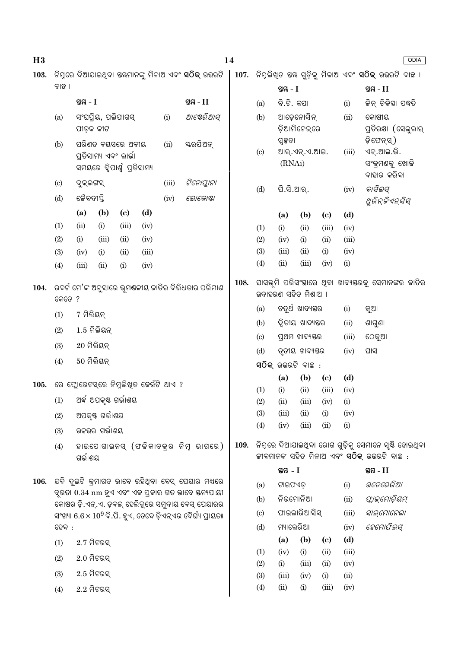| H3   |                                                              |                                                                           |                        |                             |                                        |                            | 14                                                                          |      |                        |                            |                                                           |                             |              |                                                                                                             | ODIA |
|------|--------------------------------------------------------------|---------------------------------------------------------------------------|------------------------|-----------------------------|----------------------------------------|----------------------------|-----------------------------------------------------------------------------|------|------------------------|----------------------------|-----------------------------------------------------------|-----------------------------|--------------|-------------------------------------------------------------------------------------------------------------|------|
| 103. |                                                              |                                                                           |                        |                             |                                        |                            |                                                                             |      |                        |                            |                                                           |                             |              |                                                                                                             |      |
|      | ବାଛ ।                                                        |                                                                           |                        |                             |                                        |                            |                                                                             |      |                        | ସ୍ତୟ $-I$                  |                                                           |                             |              | ସ୍ତନ୍ତ $-I$                                                                                                 |      |
|      |                                                              | ସ୍ତୟ $-I$                                                                 |                        |                             |                                        |                            | ସ୍ତୟ - II                                                                   |      | (a)                    | ବି.ଟି. କପା                 |                                                           |                             | (i)          | ଜିନ୍ ଚିକିହା ପଦ୍ଧତି                                                                                          |      |
|      | (a)                                                          | ପୀଡ଼କ କୀଟ                                                                 | ସଂଘପ୍ରିୟ, ପଲିଫାଗସ୍     |                             |                                        | (i)                        | ଆଷ୍ଟେରିଆସ୍                                                                  |      | (b)                    | ଆଡ଼େନୋସିନ୍<br>ଡ଼ିଆମିନେକ୍ରେ |                                                           |                             | (ii)         | କୋଷୀୟ<br>ପ୍ରତିରକ୍ଷା (ସେଲୁଲାର୍                                                                               |      |
|      | (b)                                                          | ପରିଣତ ବୟସରେ ଅବୀୟ<br>ପ୍ରତିସାମ୍ୟ ଏବଂ ଲାର୍ଭା<br>ସମୟରେ ଦ୍ୱିପାର୍ଶ୍ୱ ପ୍ରତିସାମ୍ୟ |                        | (ii)                        | ୟରପିଅନ୍                                | $\left( \mathrm{c}\right)$ | ସ୍ୱକ୍ଷତା<br>ଆର୍.ଏନ୍.ଏ.ଆଇ.<br>(RNAi)                                         |      |                        | (iii)                      | ଡ଼ିଫେନ୍ସ୍)<br>ଏଚ୍.ଆଇ.ଭି.<br>ସଂକ୍ରମଣକୁ ଖୋଜି<br>ବାହାର କରିବା |                             |              |                                                                                                             |      |
|      | $\left( \mathrm{c}\right)$                                   | ବୁକ୍ଲଙ୍ଗସ୍                                                                |                        |                             |                                        | (iii)                      | ଟିନୋପ୍ଲାନା                                                                  |      | (d)                    | ପି.ସି.ଆର୍.                 |                                                           |                             | (iv)         | ବାସିଲସ୍                                                                                                     |      |
|      | (d)                                                          | ଜୈବଦୀପ୍ତି                                                                 |                        |                             |                                        | (iv)                       | ଲୋକୋଷ୍ଟା                                                                    |      |                        |                            |                                                           |                             |              | ଥୁରିନ୍ଜିଏନ୍ସିସ୍                                                                                             |      |
|      |                                                              | (a)                                                                       | (b)                    | $\left( \mathbf{c} \right)$ | (d)                                    |                            |                                                                             |      |                        | (a)                        | (b)                                                       | (c)                         | (d)          |                                                                                                             |      |
|      | (1)                                                          | (ii)                                                                      | (i)                    | (iii)                       | (iv)                                   |                            |                                                                             |      | (1)                    | (i)                        | (ii)                                                      | (iii)                       | (iv)         |                                                                                                             |      |
|      | (2)                                                          | (i)                                                                       | (iii)                  | (ii)                        | (iv)                                   |                            |                                                                             |      | (2)                    | (iv)                       | (i)                                                       | (ii)                        | (iii)        |                                                                                                             |      |
|      | (3)                                                          | (iv)                                                                      | (i)                    | (ii)                        | (iii)                                  |                            |                                                                             |      | (3)                    | (iii)                      | (ii)                                                      | (i)                         | (iv)         |                                                                                                             |      |
|      | (4)                                                          | (iii)                                                                     | (ii)                   | (i)                         | (iv)                                   |                            |                                                                             |      | (4)                    | (ii)                       | (iii)                                                     | (iv)                        | (i)          |                                                                                                             |      |
| 104. | ରବର୍ଟ ମେ'ଙ୍କ ଅନୁସାରେ ଭୂମୟଳୀୟ ଜାତିର ବିଭିଧତାର ପରିମାଣ<br>କେତେ ? |                                                                           |                        |                             | 108.                                   |                            | ଘାସଭୂମି ପରିସଂସ୍ଥାରେ ଥିବା ଖାଦ୍ୟସ୍ତରକୁ ସେମାନଙ୍କର ଜାତିର<br>ଉଦାହରଣ ସହିତ ମିଶାଅ । |      |                        |                            |                                                           |                             |              |                                                                                                             |      |
|      | (1)                                                          | 7 ମିଲିୟନ୍<br>$1.5$ ମିଲିୟନ୍                                                |                        |                             |                                        |                            |                                                                             |      | (a)                    |                            | ଚତୁର୍ଥ ଖାଦ୍ୟୟର                                            |                             | (i)          | କୁଆ                                                                                                         |      |
|      |                                                              |                                                                           |                        |                             |                                        |                            |                                                                             |      | (b)                    |                            | ଦ୍ୱିତୀୟ ଖାଦ୍ୟସ୍ତର                                         |                             | (ii)         | ଶାଗୁଣା                                                                                                      |      |
|      | (2)                                                          |                                                                           |                        |                             |                                        |                            |                                                                             |      | $\left( \circ \right)$ |                            | ପ୍ରଥମ ଖାଦ୍ୟଷ୍ତର                                           |                             | (iii)        | ଠେକୁଆ                                                                                                       |      |
|      | (3)                                                          | $20$ ମିଲିୟନ୍                                                              |                        |                             |                                        |                            |                                                                             |      | (d)                    |                            | ତୃତୀୟ ଖାଦ୍ୟସ୍ତର                                           |                             | (iv)         | ଘାସ                                                                                                         |      |
|      | (4)                                                          | $50$ ମିଲିୟନ୍                                                              |                        |                             |                                        |                            |                                                                             |      |                        |                            | ସଠିକ୍ ଉଭରଟି ବାଛ <b>ି</b> :                                |                             |              |                                                                                                             |      |
| 105. |                                                              |                                                                           |                        |                             | ରେ ଫ୍ଲୋରେଟସ୍ରେ ନିମ୍ନଲିଖିତ କେଉଁଟି ଥାଏ ? |                            |                                                                             |      |                        | (a)                        | (b)                                                       | $\left( \mathbf{c} \right)$ | (d)          |                                                                                                             |      |
|      | (1)                                                          |                                                                           | ଅର୍ଦ୍ଧ ଅପକୃଷ୍ଟ ଗର୍ଭାଶୟ |                             |                                        |                            |                                                                             |      | (1)                    | (i)                        | (ii)                                                      | (iii)                       | (iv)         |                                                                                                             |      |
|      |                                                              |                                                                           |                        |                             |                                        |                            |                                                                             |      | (2)<br>(3)             | (ii)<br>(iii)              | (iii)<br>(ii)                                             | (iv)<br>(i)                 | (i)<br>(iv)  |                                                                                                             |      |
|      | (2)                                                          |                                                                           | ଅପକୃଷ୍ଟ ଗର୍ଭାଶୟ        |                             |                                        |                            |                                                                             |      | (4)                    | (iv)                       | (iii)                                                     | (ii)                        | (i)          |                                                                                                             |      |
|      | (3)                                                          |                                                                           | ଉଚ୍ଚଭର ଗର୍ଭାଶୟ         |                             |                                        |                            |                                                                             |      |                        |                            |                                                           |                             |              |                                                                                                             |      |
|      | (4)                                                          | ଗର୍ଭାଶୟ                                                                   |                        |                             |                                        |                            | ହାଇପୋଗାଇନସ୍ (ଫଳିକାଚକ୍ର ନିମ୍ନ ଭାଗରେ)                                         | 109. |                        |                            |                                                           |                             |              | ନିମ୍ନରେ ଦିଆଯାଇଥିବା ରୋଗ ଗୁଡ଼ିକୁ ସେମାନେ ସୃଷ୍ଟି ହୋଇଥିବା<br>ଜୀବମାନଙ୍କ ସହିତ ମିଳାଅ ଏବଂ <b>ସଠିକ୍</b> ଉତ୍ତରଟି ବାଛ : |      |
|      |                                                              |                                                                           |                        |                             |                                        |                            | ଯଦି ଦୁଇଟି କ୍ରମାଗତ ଭାବେ ରହିଥିବା ବେସ୍ ପେୟାର ମଧ୍ୟରେ                            |      |                        | ସ୍ଥ $-1$                   |                                                           |                             |              | ସ୍ତୟ - II                                                                                                   |      |
| 106. |                                                              |                                                                           |                        |                             |                                        |                            | ଦ୍ରତା 0.34 nm ହୁଏ ଏବଂ ଏକ ପ୍ରକାର ଗତ ଭାବେ ସ୍ତନ୍ୟପାୟୀ                          |      | (a)                    | ଟାଇଫଏଡ଼                    |                                                           |                             | (i)          | ଭଚେରେରିଆ                                                                                                    |      |
|      |                                                              |                                                                           |                        |                             |                                        |                            | କୋଷର ଡ଼ି.ଏନ୍.ଏ. ଡ଼ବଲ୍ ହେଲିକୁରେ ସମୁଦାୟ ବେସ୍ ପେୟାରର                           |      | (b)                    | ନିଉମୋନିଆ                   |                                                           |                             | (ii)         | ଫ୍ଲାଇମୋଡ଼ିୟମ୍                                                                                               |      |
|      |                                                              |                                                                           |                        |                             |                                        |                            | ସଂଖ୍ୟା $6.6\times10^9$ ବି.ପି. ହୁଏ, ତେବେ ଡ଼ିଏନ୍ଏର ଦୈର୍ଘ୍ୟ ପ୍ରାୟତଃ            |      | $\left( \circ \right)$ |                            | ଫାଇଲାରିଆସିସ୍                                              |                             | (iii)        | ସାଲ୍ମୋନେଲା                                                                                                  |      |
|      | $\mathbb{S} \mathbb{Q} \mathbb{Q}$ :                         |                                                                           |                        |                             |                                        |                            |                                                                             |      | (d)                    | ମ୍ୟାଲେରିଆ                  |                                                           |                             | (iv)         | ହେମୋଫିଲସ୍                                                                                                   |      |
|      | (1)                                                          | $2.7$ ମିଟରସ୍                                                              |                        |                             |                                        |                            |                                                                             |      |                        | (a)                        | (b)                                                       | $\left( \mathbf{c} \right)$ | (d)          |                                                                                                             |      |
|      | (2)                                                          | $2.0$ ମିଟରସ୍                                                              |                        |                             |                                        |                            |                                                                             |      | (1)                    | (iv)                       | (i)                                                       | (ii)                        | (iii)        |                                                                                                             |      |
|      | (3)                                                          | $2.5$ ମିଟରସ୍                                                              |                        |                             |                                        |                            |                                                                             |      | (2)<br>(3)             | (i)<br>(iii)               | (iii)<br>(iv)                                             | (ii)<br>(i)                 | (iv)<br>(ii) |                                                                                                             |      |
|      | (4)                                                          | $2.2$ ମିଟରସ୍                                                              |                        |                             |                                        |                            |                                                                             |      | (4)                    | (ii)                       | (i)                                                       | (iii)                       | (iv)         |                                                                                                             |      |
|      |                                                              |                                                                           |                        |                             |                                        |                            |                                                                             |      |                        |                            |                                                           |                             |              |                                                                                                             |      |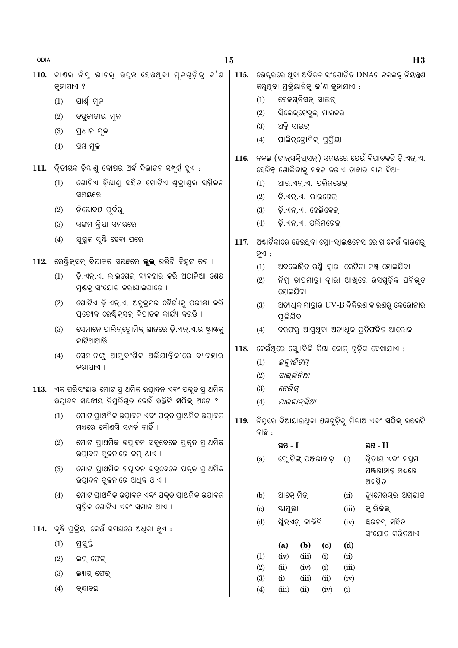| ODIA |           |                                                                                                                    | 15   |                               |                         |                       |                                     |               | H3                                                                                                |
|------|-----------|--------------------------------------------------------------------------------------------------------------------|------|-------------------------------|-------------------------|-----------------------|-------------------------------------|---------------|---------------------------------------------------------------------------------------------------|
| 110. | କୁହାଯାଏ ? | କାଶର ନିମ୍ନ ଭାଗରୁ ଉପ୍ନ ହେଉଥ୍ବା ମୂଳଗୁଡ଼ିକୁ କ'ଣ                                                                       | 115. |                               |                         |                       | କରୁଥିବା ପ୍ରକ୍ରିୟାଟିକୁ କ'ଣ କୁହାଯାଏ : |               | ଭେକ୍ଟରରେ ଥିବା ଅବିକଳ ସଂଯୋଜିତ DNAର ନକଲକୁ ନିୟନ୍ତ୍ରଣ                                                  |
|      | (1)       | ପାର୍ଶ୍ୱ ମୂଳ                                                                                                        |      | (1)                           |                         | ରେକଗ୍ନିସନ୍ ସାଇଟ୍      |                                     |               |                                                                                                   |
|      | (2)       | ତବୁଜାତୀୟ ମୂଳ                                                                                                       |      | (2)                           |                         |                       | ସିଲେକ୍ଟେବୁଲ୍ ମାରକର                  |               |                                                                                                   |
|      | (3)       | ପ୍ରଧାନ ମୂଳ                                                                                                         |      | (3)                           | ଅକ୍ସି ସାଇଟ୍             |                       |                                     |               |                                                                                                   |
|      | (4)       | ସ୍ତୟ ମୂଳ                                                                                                           |      | (4)                           |                         |                       | ପାଲିନ୍ଡ୍ରୋମିକ୍ ପ୍ରକ୍ରିୟା            |               |                                                                                                   |
| 111. |           | ିଦ୍ୱିତୀୟକ ଡ଼ିୟାଣୁ କୋଷର ଅର୍ଦ୍ଧ ବିଭାଚ୍ଚନ ସମ୍ପୂର୍ଣ୍ଣ ହୁଏ :                                                            | 116. |                               |                         |                       |                                     |               | ନକଲ (ଟ୍ରାନ୍ସକ୍ରିପ୍ସନ୍) ସମୟରେ ଯେଉଁ ବିପାଚକଟି ଡ଼ି.ଏନ୍.ଏ.<br>ହେଲିକ୍ସ ଖୋଲିବାକୁ ସହଜ କରାଏ ତାହାର ନାମ ଦିଅ- |
|      | (1)       | ଗୋଟିଏ ଡ଼ିୟାଣୁ ସହିତ ଗୋଟିଏ ଶୁକ୍ରାଣୁର ସକ୍ନିଳନ                                                                         |      | (1)                           |                         |                       | ଆର.ଏନ୍.ଏ. ପଲିମରେକ୍                  |               |                                                                                                   |
|      |           | ସମୟରେ                                                                                                              |      | (2)                           |                         | ଡ଼ି.ଏନ୍.ଏ. ଲାଇଗେକ୍    |                                     |               |                                                                                                   |
|      | (2)       | ଡ଼ିଯୋଦୟ ପୂର୍ବରୁ                                                                                                    |      | (3)                           |                         |                       | ଡ଼ି.ଏନ୍.ଏ. ହେଲିକେକ୍                 |               |                                                                                                   |
|      | (3)       | ସଙ୍ଗମ କ୍ରିୟା ସମୟରେ                                                                                                 |      | (4)                           |                         |                       | ଡ଼ି.ଏନ୍.ଏ. ପଲିମରେକ୍                 |               |                                                                                                   |
|      | (4)       | ଯୁଗ୍ମଳ ସୃଷ୍ଟି ହେବା ପରେ                                                                                             |      |                               |                         |                       |                                     |               |                                                                                                   |
|      |           |                                                                                                                    | 117. | ହୁଏ $:$                       |                         |                       |                                     |               | ଅଷାର୍ଟିକାରେ ହେଉଥିବା ସ୍ନୋ-ବ୍ଲାଇଷନେସ୍ ରୋଗ କେଉଁ କାରଣରୁ                                               |
| 112. |           | ରେଷ୍ଟ୍ରିକ୍ସନ୍ ବିପାଚକ ସ୍ୟନ୍ଧରେ <b>ଭୁଲ୍</b> ଉକ୍ତିଟି ଚିହୁଟ କର ।                                                       |      | (1)                           |                         |                       |                                     |               | ଅବଲୋହିତ ରଶ୍ମି ଦ୍ୱାରା ରେଟିନା ନଷ୍ଟ ହୋଇଯିବା                                                          |
|      | (1)       | ଡ଼ି.ଏନ୍.ଏ. ଲାଇଗେକ୍ ବ୍ୟବହାର କରି ଅଠାଳିଆ ଶେଷ<br>ମୁଷକୁ ସଂଯୋଗ କରାଯାଇପାରେ ।                                              |      | (2)                           | ହୋଇଯିବା                 |                       |                                     |               | ନିମ୍ନ ତାପମାତ୍ରା ଦ୍ୱାରା ଆଖ୍ରେ ରସଗୁଡ଼ିକ ଘନିଭୂତ                                                      |
|      | (2)       | ଗୋଟିଏ ଡ଼ି.ଏନ୍.ଏ. ଅନୁକ୍ରମର ଦୈର୍ଘ୍ୟକୁ ପରୀକ୍ଷା କରି<br>ପ୍ରତ୍ୟେକ ରେଷ୍ଟ୍ରିକ୍ସନ୍ ବିପାଚକ କାର୍ଯ୍ୟ କରନ୍ତି ।                  |      | (3)                           | ଫୁଲିଯିବା                |                       |                                     |               | ଅତ୍ୟଧିକ ମାତ୍ରାର UV-B ବିକିରଣ କାରଣରୁ କେରୋନାର                                                        |
|      | (3)       | ସେମାନେ ପାଲିନ୍ଡ୍ରୋମିକ୍ ସାନରେ ଡ଼ି.ଏନ୍.ଏ.ର ଷ୍ଟ୍ରାଷ୍କୁ<br>କାଟିଥାଆନ୍ତି ।                                                |      | (4)                           |                         |                       |                                     |               | ବରଫରୁ ଆସୁଥିବା ଅତ୍ୟଧିକ ପ୍ରତିଫଳିତ ଆଲୋକ                                                              |
|      | (4)       | ସେମାନଙ୍କୁ ଆନୁବଂଶିକ ଅଭିଯାନ୍ତିକୀରେ ବ୍ୟବହାର<br>କରାଯାଏ ।                                                               | 118. | (1)<br>(2)                    | ଇକ୍ୟୁଜିଟମ୍<br>ସାଲ୍ଭିନିଆ |                       |                                     |               | କେଉଁଥିରେ ସ୍କୋବିଲି କିୟା କୋନ୍ ଗୁଡ଼ିକ ଦେଖାଯାଏ :                                                      |
| 113. |           | ଏକ ପରିସଂସ୍ଥାର ମୋଟ ପ୍ରାଥମିକ ଉତ୍ପାଦନ ଏବଂ ପକୃତ ପ୍ରାଥମିକ<br>ଉତ୍ପାଦନ ସୟନ୍ଧୀୟ ନିମ୍ନଲିଖିତ କେଉଁ ଉକ୍ତିଟି <b>ସଠିକ୍</b> ଅଟେ ? |      | (3)<br>(4)                    | ଟେରିସ୍                  | ମାରକାନ୍ସିଆ            |                                     |               |                                                                                                   |
|      | (1)       | ମୋଟ ପ୍ରାଥମିକ ଉତ୍ପାଦନ ଏବଂ ପକୃତ ପ୍ରାଥମିକ ଉତ୍ପାଦନ<br>ମଧ୍ୟରେ କୌଣସି ସମ୍ପର୍କ ନାହିଁ ।                                     | 119. | ବାଛ :                         |                         |                       |                                     |               | ନିମ୍ନରେ ଦିଆଯାଇଥିବା ସୟଗୁଡ଼ିକୁ ମିଳାଅ ଏବଂ ସଠିକ୍ ଉତ୍ତରଟି                                              |
|      | (2)       | ମୋଟ ପ୍ରାଥମିକ ଉତ୍ପାଦନ ସବୁବେଳେ ପ୍ରକୃତ ପ୍ରାଥମିକ<br>ଉତ୍ପାଦନ ତୁଳନାରେ କମ୍ ଥାଏ ।                                          |      |                               | ସ୍ତୟ $-I$               |                       |                                     |               | ସ୍ତନ୍ତ $-II$                                                                                      |
|      | (3)       | ମୋଟ ପ୍ରାଥମିକ ଉତ୍ପାଦନ ସବୁବେଳେ ପକୃତ ପ୍ରାଥମିକ<br>ଉତ୍ପାଦନ ତୁଳନାରେ ଅଧିକ ଥାଏ ।                                           |      | (a)                           |                         | ଫ୍ଲୋଟିଙ୍ଗ୍ ପଞ୍ଜରାହାଡ଼ |                                     | (i)           | ଦ୍ୱିତୀୟ ଏବଂ ସପ୍ତମ<br>ପଞ୍ଜରାହାଡ଼ ମଧ୍ୟରେ<br>ଅବସ୍ଥିତ                                                 |
|      | (4)       | ମୋଟ ପ୍ରାଥମିକ ଉତ୍ପାଦନ ଏବଂ ପକୃତ ପ୍ରାଥମିକ ଉତ୍ପାଦନ<br>ଗୁଡ଼ିକ ଗୋଟିଏ ଏବଂ ସମାନ ଥାଏ ।                                      |      | (b)<br>$\left( \circ \right)$ | ଆକ୍ରୋମିନ୍<br>ୟାପୁଲା     |                       |                                     | (ii)<br>(iii) | ହ୍ୟୁମେରସ୍ର ଅଗ୍ରଭାଗ<br>କ୍ଲାଭିକିଲ୍                                                                  |
|      |           |                                                                                                                    |      | (d)                           |                         | ଗ୍ଳିନ୍ଏଡ଼୍ କାଭିଟି     |                                     | (iv)          | ଷ୍ଟରନମ୍ ସହିତ                                                                                      |
|      |           | 114.  ବ୍ଛି ପ୍ରକ୍ରିୟା କେଉଁ ସମୟରେ ଅଧିକା ହୁଏ :                                                                        |      |                               |                         |                       |                                     |               | ସଂଯୋଗ କରିନଥାଏ                                                                                     |
|      | (1)       | ପ୍ରସ୍ତି                                                                                                            |      |                               | (a)                     | (b)                   | $\left( \mathrm{c}\right)$          | (d)           |                                                                                                   |
|      | (2)       | ଲଗ୍ ଫେକ୍                                                                                                           |      | (1)                           | (iv)                    | (iii)                 | (i)                                 | (ii)          |                                                                                                   |
|      | (3)       | ଲ୍ୟାଗ୍ ଫେକ୍                                                                                                        |      | (2)<br>(3)                    | (ii)<br>(i)             | (iv)<br>(iii)         | (i)<br>(ii)                         | (iii)<br>(iv) |                                                                                                   |
|      | (4)       | ବୃଦ୍ଧାବସ୍ଥା                                                                                                        |      | (4)                           | (iii)                   | (ii)                  | (iv)                                | (i)           |                                                                                                   |
|      |           |                                                                                                                    |      |                               |                         |                       |                                     |               |                                                                                                   |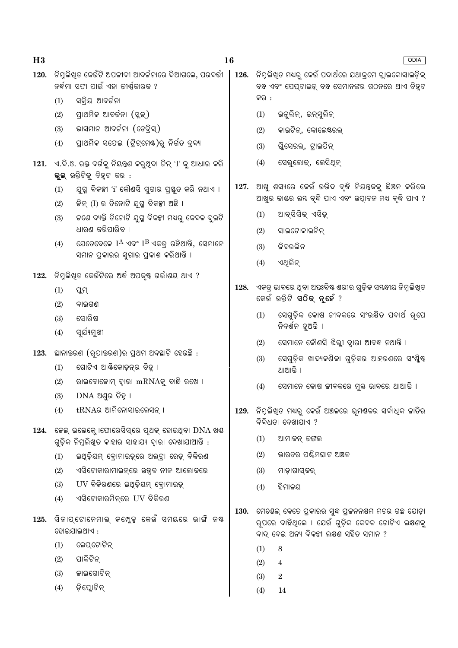|      |     | 120.   ନିମୁଲିଖୁତ କେଉଁଟି ଅପକୀବୀ ଆବର୍କନାରେ ଦିଆଗଲେ, ପରବର୍ତ୍ତୀ<br>ନର୍ଦ୍ଧମା ସଫା ପାଇଁ ଏହା ଜୀର୍ଷ୍ଣକାରକ ?             |      |      | 126. ନିମ୍ନଲିଖ୍ଡ ମଧ୍ୟରୁ କେଉଁ ପଦାର୍ଥରେ ଯଥାକ୍ରମେ ଗ୍ଲାଇକୋସାଇଡ଼ିକ୍<br>ବନ୍ଧ ଏବଂ ପେପ୍ଟାଇଡ଼୍ ବନ୍ଧ ସେମାନଙ୍କର ଗଠନରେ ଥାଏ ଚିହ୍ନଟ                            |
|------|-----|---------------------------------------------------------------------------------------------------------------|------|------|-------------------------------------------------------------------------------------------------------------------------------------------------|
|      | (1) | ସକ୍ରିୟ ଆବର୍ଜନା                                                                                                |      | କର : |                                                                                                                                                 |
|      | (2) | ପ୍ରାଥମିକ ଆବର୍ଜନା (ସ୍କୁକ୍)                                                                                     |      | (1)  | ଇନ୍ତୁଲିନ୍, ଇନ୍ସୁଲିନ୍                                                                                                                            |
|      | (3) | ଭାସମାନ ଆବର୍ଜନା (ଡେବ୍ରିସ୍)                                                                                     |      | (2)  | କାଇଟିନ୍, କୋଲେଷ୍ଟରଲ୍                                                                                                                             |
|      | (4) | ପ୍ରାଥମିକ ସଫେଇ (ଟ୍ରିଟ୍ମେଷ୍)ରୁ ନିର୍ଗତ ଦ୍ରବ୍ୟ                                                                    |      | (3)  | ଗୁିସେରଲ୍, ଟ୍ରାଇପିନ୍                                                                                                                             |
| 121. |     | ୍ଏ.ବି.ଓ. ରକ୍ତ ବର୍ଗକୁ ନିୟନ୍ତ୍ରଣ କରୁଥିବା ଜିନ୍ 'I' କୁ ଆଧାର କରି<br>ଭୁଲ୍ ଉକ୍ତିଟିକୁ ଚିହ୍ନଟ କର <b>଼</b> :            |      | (4)  | ସେଲୁଲୋକ୍, ଲେସିଥିନ୍                                                                                                                              |
|      | (1) | ଯୁଗ୍ମ ବିକଳ୍ପୀ 'i' କୌଣସି ସୁଗାର ପ୍ରସ୍ତୁତ କରି ନଥାଏ ।                                                             | 127. |      | ଆଖୁ ଶସ୍ୟରେ କେଉଁ ଉଭିଦ ବୃଦ୍ଧି ନିୟନ୍ତକକୁ ଛିଅନ କରିଲେ<br>ଆଖୁର କାଣ୍ଡର ଲୟ ବୃଦ୍ଧି ପାଏ ଏବଂ ଉତ୍ପାଦନ ମଧ୍ୟ ବୃଦ୍ଧି ପାଏ ?                                     |
|      | (2) | କିନ୍ (I) ର ତିନୋଟି ଯୁଗ୍ମ ବିକଳ୍ପୀ ଅଛି ।                                                                         |      | (1)  | ଆବ୍ସିସିକ୍ ଏସିଡ଼୍                                                                                                                                |
|      | (3) | କଣେ ବ୍ୟକ୍ତି ତିନୋଟି ଯୁଗ୍ମ ବିକଳ୍ପୀ ମଧ୍ୟରୁ କେବଳ ଦୁଇଟି<br>ଧାରଣ କରିପାରିବ ।                                         |      | (2)  | ସାଇଟୋକାଇନିନ୍                                                                                                                                    |
|      | (4) | ଯେତେବେଳେ $I^A$ ଏବଂ $I^B$ ଏକତ୍ୱ ରହିଥାନ୍ତି, ସେମାନେ                                                              |      | (3)  | ଜିବରଲିନ                                                                                                                                         |
|      |     | ସମାନ ପ୍ରକାରର ସୁଗାର ପ୍ରକାଶ କରିଥାନ୍ତି ।                                                                         |      | (4)  | ଏଥିଲିନ୍                                                                                                                                         |
| 122. |     | ନିମ୍ନଲିଖିତ କେଉଁଟିରେ ଅର୍ଦ୍ଧ ଅପକୃଷ୍ଟ ଗର୍ଭାଶୟ ଥାଏ ?                                                              |      |      |                                                                                                                                                 |
|      | (1) | ପ୍ଲମ୍                                                                                                         | 128. |      | ଏକତ୍ର ଭାବରେ ଥିବା ଅନ୍ତଃବିଷ୍ଟ ଶରୀର ଗୁଡ଼ିକ ସୟନ୍ଧୀୟ ନିମୁଲିଖିତ                                                                                       |
|      | (2) | ବାଇଗଣ                                                                                                         |      |      | କେଉଁ ଉକ୍ତିଟି <b>ସଠିକ୍ ନୁହେଁ</b> ?                                                                                                               |
|      | (3) | ସୋରିଷ                                                                                                         |      | (1)  | ସେଗୁଡ଼ିକ କୋଷ ଜୀବକରେ ସଂରକ୍ଷିତ ପଦାର୍ଥ ରୂପେ<br>ନିଦର୍ଶନ ହୁଅନ୍ତି ।                                                                                   |
|      | (4) | ସୂର୍ଯ୍ୟମୁଖୀ                                                                                                   |      | (2)  | ସେମାନେ କୌଣସି ଝିଲ୍ଲୀ ଦ୍ୱାରା ଆବଦ୍ଧ ନଥାନ୍ତି ।                                                                                                      |
|      |     | $123.$ ସାନାତରଣ (ରୂପାତରଣ)ର ପ୍ରଥମ ଅବସ୍ଥାଟି ହେଉଛି :                                                              |      | (3)  | ସେଗୁଡ଼ିକ ଖାଦ୍ୟକଣିକା ଗୁଡ଼ିକର ଆହରଣରେ ସଂଶ୍ଳିଷ୍ଟ                                                                                                    |
|      | (1) | ଗୋଟିଏ ଆର୍କ୍ତିକୋଡ଼ନ୍ର ଚିହୁ ।                                                                                   |      |      | ଥାଆନ୍ତି ।                                                                                                                                       |
|      | (2) | ରାଇବୋଜୋମ୍ ଦ୍ୱାରା mRNAକୁ ବାନ୍ଧି ରଖେ ।                                                                          |      | (4)  | ସେମାନେ କୋଷ ଜୀବକରେ ମୁକ୍ତ ଭାବରେ ଥାଆନ୍ତି ।                                                                                                         |
|      | (3) | $DNA$ ଅଣୁର ଚିହ୍ନା                                                                                             |      |      |                                                                                                                                                 |
|      | (4) | $tRNA$ ର ଆମିନୋସାଇଲେସନ୍ ।                                                                                      | 129. |      | ନିମ୍ନଲିଖିତ ମଧ୍ୟରୁ କେଉଁ ଅଞ୍ଚଳରେ ଭୂମଷଳର ସର୍ବାଧିକ ଜାତିର<br>ବିବିଧତା ଦେଖାଯାଏ ?                                                                       |
|      |     | $124.$ କେଲ୍ ଇଲେକ୍ଲୋଫୋରେସିସ୍ରେ ପ୍ଥକ୍ ହୋଇଥିବା $DNA$ ଖଣ୍ଡ<br>ଗୁଡ଼ିକ ନିମୁଲିଖୁତ କାହାର ସାହାଯ୍ୟ ଦ୍ୱାରା ଦେଖାଯାଆନ୍ତି : |      | (1)  | ଆମାଜନ୍ ଜଙ୍ଗଲ                                                                                                                                    |
|      | (1) | ଇଥିଡ଼ିୟମ୍ ବ୍ରୋମାଇଡ଼୍ରେ ଅଲ୍ଟ୍ରା ରେଡ଼୍ ବିକିରଣ                                                                   |      | (2)  | ଭାରତର ପର୍ଣ୍ଣିମଘାଟ ଅଞ୍ଚଳ                                                                                                                         |
|      | (2) | ଏସିଟୋକାରାମାଇନ୍ରେ ଉଜ୍ଜଳ ନୀଳ ଆଲୋକରେ                                                                             |      | (3)  | ମାଡ଼ାଗାସ୍କର୍                                                                                                                                    |
|      | (3) | UV ବିକିରଣରେ ଇଥିଡ଼ିୟମ୍ ବୋମାଇଡ୍                                                                                 |      | (4)  | ହିମାଳୟ                                                                                                                                          |
|      | (4) | ଏସିଟୋକାରମିନ୍ରେ UV ବିକିରଣ                                                                                      |      |      |                                                                                                                                                 |
| 125. |     | ସିନାପ୍ଟୋନେମାଲ୍ କମ୍ଲେକ୍ସ କେଉଁ ସମୟରେ ଭାଙ୍ଗି ନଷ୍ଟ<br>ହୋଇଯାଇଥାଏ :                                                 | 130. |      | ମେଷେଲ୍ କେତେ ପ୍ରକାରର ସୁଦ୍ଧ ପ୍ରଜନନକ୍ଷମ ମଟର ଗଛ ଯୋଡ଼ା<br>ର୍ପରେ ବାଛିଥିଲେ । ଯେଉଁ ଗୁଡ଼ିକ କେବଳ ଗୋଟିଏ ଲକ୍ଷଣକୁ<br>ବାଦ୍ ଦେଇ ଅନ୍ୟ ବିକଳ୍ପୀ ଲକ୍ଷଣ ସହିତ ସମାନ ? |
|      | (1) | ଲେପ୍ଟୋଟିନ୍                                                                                                    |      | (1)  | 8                                                                                                                                               |
|      | (2) | ପାକିଟିନ୍                                                                                                      |      | (2)  | $\overline{4}$                                                                                                                                  |
|      | (3) | କାଇଗୋଟିନ୍                                                                                                     |      | (3)  | $\boldsymbol{2}$                                                                                                                                |
|      | (4) | ଡ଼ିପ୍ଲୋଟିନ୍                                                                                                   |      | (4)  | 14                                                                                                                                              |

 $16$ 

ODIA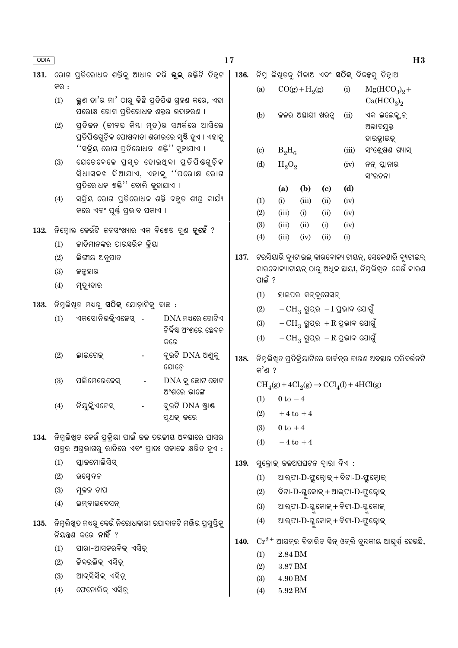| ODIA |      |                                                                                                                                               | 17                                           |      |                            |                                                                                 |                   |                             |                                   |                                                                   | H3 |
|------|------|-----------------------------------------------------------------------------------------------------------------------------------------------|----------------------------------------------|------|----------------------------|---------------------------------------------------------------------------------|-------------------|-----------------------------|-----------------------------------|-------------------------------------------------------------------|----|
| 131. |      | ରୋଗ ପ୍ରତିରୋଧକ ଶକ୍ତିକୁ ଆଧାର କରି <b>ଭୁଲ୍</b> ଉକ୍ତିଟି ଚିହ୍ନଟ                                                                                     |                                              | 136. |                            |                                                                                 |                   |                             |                                   | ିନିମ୍ନ ଲିଖ୍ଡକୁ ମିଳାଅ ଏବଂ <b>ସଠିକ୍</b> ବିକକ୍ସକୁ ଚିହ୍ନାଅ            |    |
|      | କର : |                                                                                                                                               |                                              |      | (a)                        |                                                                                 | $CO(g) + H2(g)$   |                             | (i)                               | $Mg(HCO3)2 +$                                                     |    |
|      | (1)  | ଭୁଣ ତା'ର ମା' ଠାରୁ କିଛି ପ୍ରତିପିଷ ଗ୍ରହଣ କରେ, ଏହା<br>ପରୋକ୍ଷ ରୋଗ ପ୍ରତିରୋଧକ ଶକ୍ତର ଉଦାହରଣ ।                                                         |                                              |      | (b)                        |                                                                                 | ଜଳର ଅସ୍ଥାୟୀ ଖରତ୍ୱ |                             | (ii)                              | Ca(HCO <sub>3</sub> ) <sub>2</sub><br>ଏକ ଇଲେକ୍ଲନ୍                 |    |
|      | (2)  | ପ୍ରତିକନ (କୀବନ୍ତ କିୟା ମୃତ)ର ସମ୍ପର୍କରେ ଆସିଲେ<br>ପ୍ରତିପିଣ୍ଠଗୁଡ଼ିକ ପୋଷଦାତା ଶରୀରରେ ସୃଷ୍ଟି ହୁଏ । ଏହାକୁ<br>''ସକ୍ରିୟ ରୋଗ ପ୍ରତିରୋଧକ  ଶକ୍ତି'' କୁହାଯାଏ । |                                              |      |                            |                                                                                 |                   |                             |                                   | ଅଭାବଯୁକ୍ତ<br>ହାଇତ୍ରାଇଡ୍                                           |    |
|      |      |                                                                                                                                               |                                              |      | $\left( \mathrm{c}\right)$ | $B_2H_6$                                                                        |                   |                             | (iii)                             | ସଂଶ୍ଲେଷଣ ଗ୍ୟାସ୍                                                   |    |
|      | (3)  | ଯେତେବେଳେ ପ୍ରସ୍ତ ହୋଇଥିବା ପ୍ରତିପିଷଗୁଡ଼ିକ<br>ସିଧାସଳଖ ଦିଆଯାଏ, ଏହାକୁ ''ପରୋକ୍ଷ ରୋଗ<br>ପ୍ରତିରୋଧକ ଶକ୍ତି'' ବୋଲି କୁହାଯାଏ ।                              |                                              |      | (d)                        | $H_2O_2$                                                                        |                   |                             | (iv)                              | ନନ୍ ପ୍ଲାନାର<br>ସଂରଚନା                                             |    |
|      |      |                                                                                                                                               |                                              |      |                            | (a)                                                                             | (b)               | $\left( \mathbf{c} \right)$ | (d)                               |                                                                   |    |
|      | (4)  | ସକ୍ରିୟ ରୋଗ ପ୍ରତିରୋଧକ ଶକ୍ତି ବହୁତ ଶୀଘ୍ର କାର୍ଯ୍ୟ<br>କରେ ଏବଂ ପୂର୍ଷ୍ଣ ପ୍ରଭାବ ପକାଏ ।                                                                |                                              |      | (1)                        | (i)                                                                             | (iii)             | (ii)                        | (iv)                              |                                                                   |    |
|      |      |                                                                                                                                               |                                              |      | (2)                        | (iii)                                                                           | (i)               | (ii)                        | (iv)                              |                                                                   |    |
| 132. |      | ନିମ୍ନୋକ୍ତ କେଉଁଟି ଜନସଂଖ୍ୟାର ଏକ ବିଶେଷ ଗୁଣ <b>ନୃହେଁ</b> ?                                                                                        |                                              |      | (3)<br>(4)                 | (iii)<br>(iii)                                                                  | (ii)<br>(iv)      | (i)<br>(ii)                 | (iv)<br>(i)                       |                                                                   |    |
|      | (1)  | କାତିମାନଙ୍କର ପାରସ୍କରିକ କ୍ରିୟା                                                                                                                  |                                              |      |                            |                                                                                 |                   |                             |                                   |                                                                   |    |
|      | (2)  | ଲିଙ୍ଗୀୟ ଅନୁପାତ                                                                                                                                |                                              | 137. |                            |                                                                                 |                   |                             |                                   | ଟରସିୟାରି ବ୍ୟୁଟାଇଲ୍ କାରବୋକ୍ୟାଟାୟନ୍, ସେକେଣ୍ଡାରି ବ୍ୟୁଟାଇଲ୍           |    |
|      | (3)  | ଜନ୍ମହାର                                                                                                                                       |                                              |      |                            |                                                                                 |                   |                             |                                   | କାରବୋକ୍ୟାଟାୟନ୍ ଠାରୁ ଅଧିକ ଛାୟୀ, ନିମୁଲିଖ୍ତ  କେଉଁ କାରଣ               |    |
|      | (4)  | ମୃତ୍ୟୁହାର                                                                                                                                     |                                              |      | ପାଇଁ ?                     |                                                                                 |                   |                             |                                   |                                                                   |    |
|      |      |                                                                                                                                               |                                              |      | (1)                        |                                                                                 | ହାଇପର କନ୍ତ୍ରଗେସନ୍ |                             |                                   |                                                                   |    |
| 133. |      | ିନିମ୍ନଲିଖିତ ମଧ୍ୟରୁ <b>ସଠିକ୍</b> ଯୋଡ଼ାଟିକୁ ବାଛ :                                                                                               |                                              |      | (2)                        |                                                                                 |                   |                             | $-CH_3$ ଗ୍ରୁପ୍ର $-I$ ପ୍ରଭାବ ଯୋଗୁଁ |                                                                   |    |
|      | (1)  | ଏକସୋନିଉକ୍ଳିଏଜେସ୍ -                                                                                                                            | $DNA$ ମଧ୍ୟରେ ଗୋଟିଏ<br>ନିର୍ଦ୍ଦିଷ୍ଟ ଅଂଶରେ ଛେଦନ |      | (3)                        |                                                                                 |                   |                             | $-CH_3$ ଗ୍ରୁପ୍ର $+R$ ପ୍ରଭାବ ଯୋଗୁଁ |                                                                   |    |
|      |      |                                                                                                                                               | କରେ                                          |      | (4)                        |                                                                                 |                   |                             | $-CH_3$ ଗ୍ରୁପ୍ର $-R$ ପ୍ରଭାବ ଯୋଗୁଁ |                                                                   |    |
|      | (2)  | ଲାଇଗେକ୍                                                                                                                                       | ଦୂଇଟି DNA ଅଣ୍ଡକୁ<br>ଯୋଡ଼େ                    | 138. | କ'ଣ ?                      |                                                                                 |                   |                             |                                   | ିନିମୁଲିଖ୍ଡ ପ୍ରତିକ୍ରିୟାଟିରେ କାର୍ବନ୍ର ଜାରଣ ଅବସ୍ଥାର ପରିବର୍ତ୍ତନଟି     |    |
|      | (3)  | ପଲିମେରେଜେସ୍                                                                                                                                   | $DNA$ କୁ ଛୋଟ ଛୋଟ<br>ଅଂଶରେ ଭାଙ୍ଗେ             |      |                            | $\text{CH}_4(g) + 4\text{Cl}_2(g) \rightarrow \text{CCl}_4(l) + 4\text{HCl}(g)$ |                   |                             |                                   |                                                                   |    |
|      | (4)  | ନିୟୁକ୍ଳିଏଜେସ୍                                                                                                                                 | ଦୁଇଟି DNA ଷ୍ଟ୍ରାଣ୍ଡ                          |      |                            | (1) $0 \text{ to } -4$                                                          |                   |                             |                                   |                                                                   |    |
|      |      |                                                                                                                                               | ପୃଥକ୍ କରେ                                    |      | (2)                        |                                                                                 | $+4$ to $+4$      |                             |                                   |                                                                   |    |
| 134. |      | ନିମ୍ନଲିଖିତ କେଉଁ ପ୍ରକ୍ରିୟା ପାଇଁ କଳ ତରଳୀୟ ଅବସ୍ଥାରେ ଘାସର                                                                                         |                                              |      | (3)                        | $0$ to $+4$                                                                     |                   |                             |                                   |                                                                   |    |
|      |      | ପତ୍ରର ଅଗ୍ରଭାଗରୁ ରାତିରେ ଏବଂ ପ୍ରାତଃ ସକାଳେ କ୍ଷରିତ ହୁଏ :                                                                                          |                                              |      | (4)                        |                                                                                 | $-4$ to $+4$      |                             |                                   |                                                                   |    |
|      | (1)  | ପ୍ଲାକମୋଲିସିସ୍                                                                                                                                 |                                              | 139. |                            | ସୁକ୍ରୋକ୍ କଳଅପଘଟନ ଦ୍ୱାରା ଦିଏ :                                                   |                   |                             |                                   |                                                                   |    |
|      | (2)  | ଉପ୍ସେଦନ                                                                                                                                       |                                              |      | (1)                        |                                                                                 |                   |                             |                                   | ଆଲ୍ଫା-D-ଫ୍ରୁକ୍ଟୋକ୍ + ବିଟା-D-ଫ୍ରୁକ୍ଟୋକ୍                            |    |
|      | (3)  | ମ୍ନଳକ ଚାପ                                                                                                                                     |                                              |      | (2)                        |                                                                                 |                   |                             |                                   | ବିଟା-D-ଗ୍ଳୁକୋଇ୍ + ଆଲ୍ଫା-D-ଫ୍ରୁକ୍ଟୋଇ୍                              |    |
|      | (4)  | ଇମ୍ବାଇବେସନ୍                                                                                                                                   |                                              |      | (3)                        |                                                                                 |                   |                             |                                   | ଆଲ୍ଫା-D-ଗ୍ଳୁକୋଇ୍ + ବିଟା-D-ଗ୍ଳୁକୋଇ୍                                |    |
|      |      | 135. ନିମ୍ନଲିଖିତ ମଧ୍ୟରୁ କେଉଁ ନିରୋଧକାରୀ ଉପାଦାନଟି ମଞ୍ଜିର ପ୍ରସୁସ୍ତିକୁ<br>ନିୟନ୍ତଣ କରେ <b>ନାହିଁ</b> ?                                               |                                              |      | (4)                        |                                                                                 |                   |                             |                                   | ଆଲ୍ଫା- $\mathrm{D}$ -ଗ୍ଳୁକୋଇ୍ + ବିଟା- $\mathrm{D}$ -ଫ୍ରୁକ୍ଟୋଇ୍    |    |
|      | (1)  | ପାରା-ଆସକରବିକ୍ ଏସିଡ଼୍                                                                                                                          |                                              | 140. |                            |                                                                                 |                   |                             |                                   | $\mathrm{Cr^{2+}}$ ଆୟନ୍ର ବିଚାରିତ ସିନ୍ ଓନ୍ଲି ଚୁ୍ୟକୀୟ ଆଘୂର୍ଷ ହେଉଛି, |    |
|      | (2)  | ଚ୍ଚିବରଲିକ୍ ଏସିଡ଼୍                                                                                                                             |                                              |      | (1)                        | $2.84\,\mathrm{BM}$                                                             |                   |                             |                                   |                                                                   |    |
|      | (3)  | ଆବ୍ସିସିକ୍ ଏସିଡ଼୍                                                                                                                              |                                              |      | (2)                        | 3.87 BM                                                                         |                   |                             |                                   |                                                                   |    |
|      | (4)  | ଫେନୋଲିକ୍ ଏସିଡ଼୍                                                                                                                               |                                              |      | (3)<br>(4)                 | 4.90 BM<br>5.92 BM                                                              |                   |                             |                                   |                                                                   |    |
|      |      |                                                                                                                                               |                                              |      |                            |                                                                                 |                   |                             |                                   |                                                                   |    |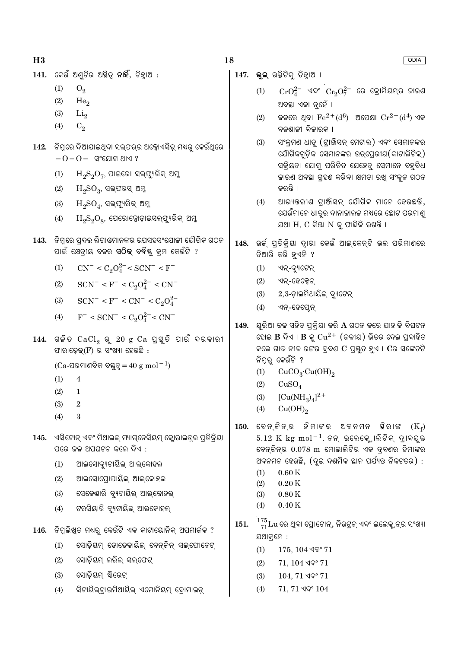- $141.$  କେଉଁ ଅଣ୍ଟିର ଅଛିତ୍ ନାହିଁ, ଚିହାଅ $:$ 
	- $(1)$  $O<sub>2</sub>$
	- $(2)$ He<sub>o</sub>
	- $(3)$  $Li<sub>2</sub>$
	- $(4)$  $C_2$
- 142. ନିମ୍ନରେ ଦିଆଯାଇଥିବା ସଲ୍ଫର୍ର ଅକ୍ସୋଏସିଡ୍ ମଧ୍ୟରୁ କେଉଁଥିରେ
	- $-0-0-$  ସଂଯୋଗ ଥାଏ ?
	- $\mathrm{H_{2}S_{2}O_{7}}$ , ପାଇରୋ ସଲ୍ଫ୍ୟୁରିକ୍ ଅମୁ  $(1)$
	- $\mathrm{H_{2}SO_{3}}$ , ସଲ୍ଫରସ୍ ଅମ୍ଳ  $(2)$
	- ${\rm H_2SO}_4$ , ସଲ୍ଫ୍ୟରିକ୍ ଅମୁ  $(3)$
	- $\mathrm{H_2S_2O_8}$ , ପେରୋକ୍ସୋଡ଼ାଇସଲ୍ଫ୍ୟୁରିକ୍ ଅମ୍ଳ  $(4)$
- 143. ନିମରେ ପଦର ଲିଗାଣ୍ଠମାନଙ୍କର ଉପସହସଂଯୋଜୀ ଯୌଗିକ ଗଠନ ପାଇଁ କ୍ଷେତ୍ରୀୟ ବଳର **ସଠିକ୍** ବର୍ଦ୍ଧିଷ୍ଣ କ୍ରମ କେଉଁଟି ?
	- $CN^{-} < C_2O_4^{2-} < SCN^{-} < F^{-}$  $(1)$
	- $SCN^- < F^- < C_2O_4^{2-} < CN^ (2)$
	- (3)  $SCN^- < F^- < CN^- < C_2O_4^{2-}$
	- (4)  $F^-$  < SCN<sup>-</sup> < C<sub>2</sub>O<sub>4</sub><sup>2</sup><sup>-</sup> < CN<sup>-</sup>
- $144.$  ଗଳିତ  $CaCl<sub>2</sub>$  ରୁ  $20$  g  $Ca$  ପୁୟୁତି ପାଇଁ ଦରକାରୀ ଫାରାଡେକ(F) ର ସଂଖ୍ୟା ହେଉଛି :

 $(Ca$ -ପରମାଣବିକ ବୟୁତ୍ $=40 \text{ g mol}^{-1}$ 

- $(1)$  $\overline{4}$
- $(2)$  $\mathbf{1}$
- $(3)$  $\sqrt{2}$
- $(4)$  $\overline{\mathbf{3}}$
- 145. ଏସିଟୋନ୍ ଏବଂ ମିଥାଇଲ୍ ମ୍ୟାଗ୍ନେସିୟମ୍ କ୍ଲୋରାଇଡ୍ର ପ୍ତିକିୟା ପରେ ଚ୍ଚଳ ଅପଘଟନ କଲେ ଦିଏ :
	- ଆଇସୋବ୍ୟୁଟାୟିଲ୍ ଆଲ୍କୋହଲ  $(1)$
	- ଆଇସୋପୋପାୟିଲ୍ ଆଲ୍କୋହଲ  $(2)$
	- $(3)$ ସେକେଣ୍ଡାରି ବ୍ୟୁଟାୟିଲ୍ ଆଲ୍କୋହଲ୍
	- ଟରସିୟାରି ବ୍ୟୁଟାୟିଲ୍ ଆଲକୋହଲ୍  $(4)$
- 146. ନିମୁଲିଖୁତ ମଧ୍ୟରୁ କେଉଁଟି ଏକ କାଟାୟୋନିକ୍ ଅପମାର୍ଚ୍ଚକ ?
	- ସୋଡ଼ିୟମ୍ ଡୋଡେକାୟିଲ୍ ବେନ୍କିନ୍ ସଲ୍ଫୋନେଟ୍  $(1)$
	- $(2)$ ସୋଡ଼ିୟମ୍ ଲରିଲ୍ ସଲ୍ଫେଟ୍
	- ସୋଡ଼ିୟମ୍ ଷ୍ଟିରେଟ୍  $(3)$
	- ସିଟାୟିଲ୍ଟାଇମିଥାୟିଲ୍ ଏମୋନିୟମ୍ ବୋମାଇଡ୍  $(4)$
- 18
	- 147. ଭ୍ଲ ଉକ୍ତିଟିକ୍ ଚିହାଅ ।
		- $\text{CrO}^{2-}$  ଏବଂ  $\text{Cr}_2\text{O}^{2-}$  ରେ କ୍ରୋମିୟମ୍ର ଜାରଣ  $(1)$ ଅବସ୍ଥା ଏକା ନୃହେଁ ।
		- କଳରେ ଥିବା  $\rm Fe^{2+}(d^6)$  ଅପେକ୍ଷା  $\rm Cr^{2+}(d^4)$  ଏକ  $(2)$ ବଳଶାଳୀ ବିଜାରକ ।
		- ସଂକ୍ରମଣ ଧାତ (ଟାଞ୍ଜିସନ୍ ମେଟାଲ) ଏବଂ ସେମାନଙ୍କର  $(3)$ ଯୌଗିକଗଡ଼ିକ ସେମାନଙ୍କର ଉତ୍ପେରୀୟ(କାଟାଲିଟିକ୍) ସକିୟତା ଯୋଗ୍ ପରିଚିତ ଯେହେତ୍ ସେମାନେ ବହବିଧ କାରଣ ଅବସ୍ଥା ଗ୍ରହଣ କରିବା କ୍ଷମତା ରଖି ସଂକୁଳ ଗଠନ କରନ୍ତି ।
		- ଆଭ୍ୟତରୀଣ ଟାଞ୍ଜିସନ୍ ଯୌଗିକ ମାନେ ହେଉଛତି,  $(4)$ ଯେଉଁମାନେ ଧାତୃର ଦାନାକାଲକ ମଧ୍ୟରେ ଛୋଟ ପରମାଣ୍ଡ ଯଥା H. C କିୟା N କ ଫାନ୍ଦିକି ରଖନ୍ତି ।
	- 148. ଉର୍କ୍ ପ୍ତିକ୍ିୟା ଦାୂରା କେଉଁ ଆଲ୍କେନ୍ଟି ଭଲ ପରିମାଣରେ ତିଆରି କରି ହୁଏନି ?
		- $(1)$ ଏନ୍-ବ୍ୟୁଟେନ୍
		- $(2)$ ଏନ୍-ହେକ୍ସେନ୍
		- $(3)$  $2,3$ -ଡ଼ାଇମିଥାୟିଲ୍ ବ୍ୟଟେନ୍
		- ଏନ୍-ହେପ୍ଟେନ୍  $(4)$
	- $149.$  ୟରିଆ ଚଳ ସହିତ ପକିୟା କରି  $A$  ଗଠନ କରେ ଯାହାକି ବିଘଟନ ହୋଇ  $\bf{B}$  ଦିଏ ।  $\bf{B}$  କୁ  $\rm Cu^{2+}$  (ଚ୍ଚଳୀୟ) ଭିତର ଦେଇ ପ୍ରବାହିତ କଲେ ଗାଢ ନୀଳ ରଙ୍ଗର ଦ୍ୱବଣ  $\mathbf C$  ପ୍ରସ୍ତୁତ ହୁଏ ।  $\mathbf C$ ର ସଙ୍କେତଟି ନିମ୍ନର୍ କେଉଁଟି ?
		- $CuCO<sub>3</sub>·Cu(OH)<sub>2</sub>$  $(1)$
		- $(2)$  $CuSO<sub>4</sub>$
		- $[Cu(NH_3)_4]^{2+}$  $(3)$
		- $Cu(OH)_{2}$  $(4)$
	- $150.$  ବେନ୍ଚିନ୍ର ହିମାଙ୍କର ଅବନମନ ଛିରାଙ୍କ  $(K_{c})$  $5.12 \text{ K}$  kg mol<sup>-1</sup>. ନନ୍ ଇଲେକ୍ଟ୍ୋଲିଟିକ୍ ଦ୍ୟବୟକ୍ତ ବେନ୍ଟିନ୍ର 0.078 m ମୋଲାଲିଟିର ଏକ ଦ୍ବଣର ହିମାଙ୍କର ଅବନମନ ହେଉଛି, (ଦୃଇ ଦଶମିକ ସ୍ଥାନ ପର୍ଯ୍ୟନ୍ତ ନିକଟତର) :
		- $(1)$  $0.60K$
		- $0.20K$  $(2)$
		- $0.80K$  $(3)$
		- $0.40K$  $(4)$
	- 151.  $\frac{175}{71}$ Lu ରେ ଥିବା ପ୍ରୋଟୋନ୍, ନିଉଟ୍ରନ୍ ଏବଂ ଇଲେକ୍ଟ୍ରନ୍ର ସଂଖ୍ୟା ଯଥାକ୍ରମେ :
		- $(1)$  $175, 104$  ଏବଂ  $71$
		- $(2)$  $71, 104$  ଏବଂ  $71$
		- $(3)$  $104, 71$  ଏବଂ  $71$
		- $71, 71$  ଏବଂ  $104$  $(4)$

**ODIA**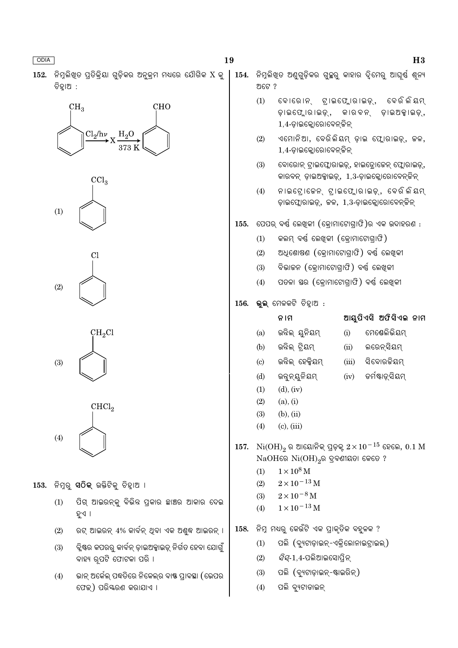





- ପିଗ୍ ଆଇରନ୍କ୍ର ବିଭିନ୍ନ ପ୍ରକାର ଛାଞ୍ଚର ଆକାର ଦେଇ ହୁଏ ।
- ରଟ୍ ଆଇରନ୍ 4% କାର୍ବନ୍ ଥିବା ଏକ ଅଶ୍ୱଦ୍ଧ ଆଇରନ୍ ।
- ିକ୍କୃଷ୍ଣର କପରରୁ କାର୍ବନ୍ ଡ଼ାଇଅକ୍କାଇଡ୍ ନିର୍ଗତ ହେବା ଯୋଗୁଁ ବାହ୍ୟ ରୂପଟି ଫୋଟକା ପରି ।
- ଭାନ୍ ଅର୍କେଲ୍ ପଦ୍ଧତିରେ ନିକେଲ୍ର ବାଷ୍ଣ ପ୍ରାବସ୍ଥା (ଭେପର ଫେକ୍) ପରିୟରଣ କରାଯାଏ ।

ଅଟେ ?

- 154. ନିମ୍ନଲିଖତ ଅଣ୍ରଡିକର ଗ୍ଲୁର କାହାର ଦିମେର ଆଘର୍ଷ୍ଣ ଶ୍ନ୍ୟ
	- $(1)$ ବୋରୋନ୍ ଟ୍ରାଇଫ୍ଲୋରାଇଡ଼୍, ବେରି ଲିୟମ୍ ଡ଼ାଇଫ୍ଲୋରାଇଡ଼୍, କାରବନ୍ ଡ଼ାଇଅକ୍କାଇଡ଼୍,  $1,4$ -ଡ଼ାଇକ୍ଲୋରୋବେନ୍ ଚିନ୍
	- ଏମୋନିଆ, ବେରିଲିୟମ୍ ଡ଼ାଇ ଫ୍ଲୋରାଇଡ଼୍, କଳ,  $(2)$ 1,4-ଡ଼ାଇକ୍ଲୋରୋବେନ୍ କିନ୍
	- $(3)$ ବୋରୋନ୍ ଟାଇଫ୍ଲୋରାଇଡ୍, ହାଇଡ୍ଡୋଜେନ୍ ଫ୍ଲୋରାଇଡ୍, କାରବନ୍ ଡ଼ାଇଅକ୍ସାଇଡ଼୍, 1,3-ଡ଼ାଇକ୍ଲୋରୋବେନ୍ଟିନ୍
	- ନାଇଟ୍ରୋକେନ୍ଟାଇଫ୍ଲୋରାଇଡ଼୍, ବେରିଲିୟମ୍  $(4)$ ଡ଼ାଇଫ୍ଲୋରାଇଡ୍, ଜଳ, 1,3-ଡ଼ାଇକ୍ଲୋରୋବେନ୍ଜିନ୍
- ପେପର୍ ବର୍ଷ ଲେଖୁକୀ (କୋମାଟୋଗାଫି)ର ଏକ ଉଦାହରଣ : 155.
	- କଲମ୍ ବର୍ଷ୍ଣ ଲେଖିକୀ (କ୍ରୋମାଟୋଗ୍ରାଫି)  $(1)$
	- ଅଧିଶୋଷଣ (କ୍ରୋମାଟୋଗ୍ରାଫି) ବର୍ଷ୍ଣ ଲେଖିକୀ  $(2)$
	- ବିଭାଜନ (କୋମାଟୋଗାଫି) ବର୍ଷ୍ଣ ଲେଖକୀ  $(3)$
	- ପତଳା ସ୍ତର (କୋମାଟୋଗାଫି) ବର୍ଷ ଲେଖକୀ  $(4)$

 $156.$  ଭୁଲ୍ ମେଳକଟି ଚିହ୍ନାଅ $:$ 

|                             | ନ ।ମ              |       | ଆୟୁପିଏସି ଅଫିସିଏଲ ନାମ |
|-----------------------------|-------------------|-------|----------------------|
| (a)                         | ଉନ୍ନିଲ୍ ୟୁନିୟମ୍   | (i)   | ମେଷେଲିଭିୟମ୍          |
| (b)                         | ଉନ୍ନିଲ୍ ଟ୍ରିୟମ୍   | (ii)  | ଲରେନ୍ସିୟମ୍           |
| $\left( \mathrm{c} \right)$ | ଉନ୍ନିଲ୍ ହେକ୍ସିୟମ୍ | (iii) | ସିବୋରକିୟମ୍           |
| (d)                         | ଉନ୍ତନ୍ୟନିୟମ୍      | (iv)  | ଡର୍ମଷ୍ଟାଡ଼୍ସିୟମ୍     |
| (1)                         | $(d)$ , $(iv)$    |       |                      |

- $(2)$  $(a), (i)$
- $(3)$  $(b), (ii)$
- $(4)$  $(c)$ ,  $(iii)$
- 157.  $Ni(OH)_{2}$ ର ଆୟୋନିକ୍ ପ୍ରଡ଼କୁ  $2 \times 10^{-15}$  ହେଲେ,  $0.1 M$  $NaOH$ ରେ  $Ni(OH)_{2}$ ର ଦ୍ରବଣୀୟତା କେତେ ?
	- $1 \times 10^8$  M  $(1)$
	- $2 \times 10^{-13}$  M  $(2)$
	- $2 \times 10^{-8}$  M  $(3)$
	- $(4)$  $1 \times 10^{-13}$  M
- ିନିମ୍ନ ମଧ୍ୟରୁ କେଉଁଟି ଏକ ପ୍ରାକୃତିକ ବହୁଳକ ? 158.
	- ପଲି (ବ୍ୟଟାଡ଼ାଇନ୍-ଏକ୍ଲୋନାଇଟାଇଲ୍)  $(1)$
	- $(2)$ *ସିସ୍*-1,4-ପଲିଆଇସୋପ୍ରିନ୍
	- ପଲି (ବ୍ୟୁଟାଡ଼ାଇନ୍-ଷ୍ଟାଇରିନ୍)  $(3)$
	- ପଲି ବ୍ୟୁଟାଡାଇନ୍  $(4)$

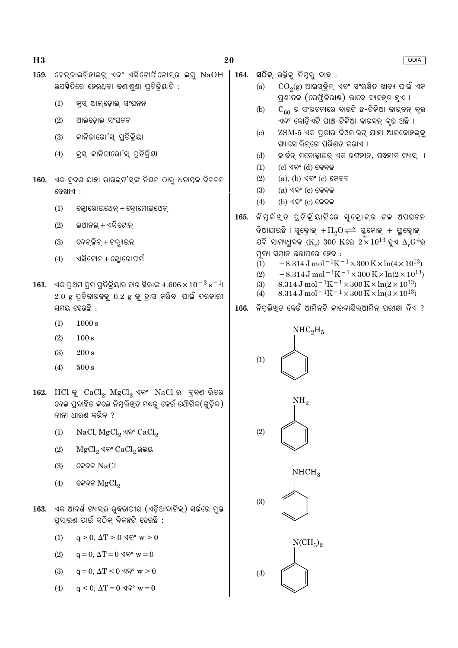|      |                                                                                               | 159.  ବେନ୍କାଲଡ଼ିହାଇଡ଼୍ ଏବଂ ଏସିଟୋଫିନୋନ୍ର ଲଘୁ $\mathrm{NaOH}$<br>ଉପଛିତିରେ ହେଉଥିବା କଣାଶୁଣା ପ୍ରତିକ୍ରିୟାଟି :                                                            |      | (a)                        | 164.  ସଠିକ୍ ଉକ୍ତିକୁ ନିମ୍ନରୁ ବାଛ :<br>$\mathrm{CO}_2(\mathrm{g})$ ଆଇସ୍କ୍ରିମ୍ ଏବଂ ସଂରକ୍ଷିତ ଖାଦ୍ୟ ପାଇଁ ଏକ                                                                                                                                                                                                                             |
|------|-----------------------------------------------------------------------------------------------|--------------------------------------------------------------------------------------------------------------------------------------------------------------------|------|----------------------------|------------------------------------------------------------------------------------------------------------------------------------------------------------------------------------------------------------------------------------------------------------------------------------------------------------------------------------|
|      | (1)                                                                                           | କ୍ରସ୍ ଆଲ୍ଡୋଲ୍ ସଂଘନନ                                                                                                                                                |      |                            | ପ୍ରଶୀତକ (ରେଫ୍ରିକିରାଷ୍ଟ) ଭାବେ ବ୍ୟବହୂତ ହୁଏ ।                                                                                                                                                                                                                                                                                         |
|      | (2)                                                                                           | ଆଲଡ଼ୋଲ ସଂଘନନ                                                                                                                                                       |      | (b)                        | $C_{60}$ ର ସଂରଚନାରେ ବାରଟି ଛ-ଟିକିଆ କାର୍ବନ୍ ବୃଭ<br>ଏବଂ କୋଡ଼ିଏଟି ପାଞ୍ଚ-ଟିକିଆ କାରବନ୍ ବୃତ୍ତ ଅଛି ।                                                                                                                                                                                                                                       |
|      | (3)                                                                                           | କାନିକାରୋ'ସ୍ ପ୍ରତିକ୍ରିୟା                                                                                                                                            |      | $\left( \mathrm{c}\right)$ | $ZSM$ -5 ଏକ ପ୍ରକାର ଜିଓଲାଇଟ୍ ଯାହା ଆଲକୋହଲ୍କୁ<br>ଗ୍ୟାସୋଲିନ୍ରେ ପରିଣତ କରାଏ ।                                                                                                                                                                                                                                                            |
|      | (4)                                                                                           | କ୍ରସ୍ କାନିକାରୋ'ସ୍ ପ୍ରତିକ୍ରିୟା                                                                                                                                      |      | (d)<br>(1)                 | କାର୍ବନ୍ ମନୋକ୍ସାଇଡ୍ ଏକ ରଙ୍ଗହୀନ, ଗନ୍ଧହୀନ ଗ୍ୟାସ୍  ।<br>$(c)$ ଏବଂ $(d)$ କେବଳ                                                                                                                                                                                                                                                           |
|      | ଦେଖାଏ :                                                                                       | 160. ଏକ ଦ୍ରବଣ ଯାହା ରାଉଲ୍ଟ'ସ୍ଙ୍କ ନିୟମ ଠାରୁ ଧନାତ୍ମକ ବିଚଳନ                                                                                                            |      | (2)<br>(3)                 | $(a)$ , $(b)$ ଏବଂ $(c)$ କେବଳ<br>$(a)$ ଏବଂ $(c)$ କେବଳ                                                                                                                                                                                                                                                                               |
|      | (1)                                                                                           | କ୍ଳୋରୋଇଥେନ୍ + ବ୍ରୋମୋଇଥେନ୍                                                                                                                                          |      | (4)                        | $(b)$ ଏବଂ $(c)$ କେବଳ                                                                                                                                                                                                                                                                                                               |
|      | (2)                                                                                           | ଇଥାନଲ୍ + ଏସିଟୋନ୍                                                                                                                                                   | 165. |                            | ନିମ୍ଳକିଖ୍ଡ ପ୍ତିକ୍ରିୟାଟିରେ ସୁକ୍ରୋକ୍ର କଳ ଅପଘଟନ<br>ଦିଆଯାଇଛି । ସୁକ୍ରୋକ୍ $+H_2O \rightleftharpoons$ ଘ୍ଲକୋକ୍ $+$ ଫ୍ଲୁକ୍ଟୋକ୍                                                                                                                                                                                                              |
|      | (3)                                                                                           | ବେନ୍ ଜିନ୍ + ଟଲ୍ୟୁଇନ୍                                                                                                                                               |      |                            | ଯଦି ସାମ୍ୟଧୁବକ ( $\text{K}_c$ ) 300 $\text{K}$ ରେ $2 \times 10^{13}$ ହୁଏ $\Delta_r\text{G}^\ominus$ ର                                                                                                                                                                                                                               |
|      | (4)                                                                                           | ଏସିଟୋନ + କ୍ଲୋରୋଫର୍ମ                                                                                                                                                |      | (1)                        | ମ୍ନଲ୍ୟ ସମାନ ଉତ୍ତାପରେ ହେବ :<br>$-8.314 \,\mathrm{J}$ mol <sup>-1</sup> K <sup>-1</sup> ×300 K×ln(4×10 <sup>13</sup> )                                                                                                                                                                                                               |
| 161. |                                                                                               | ଏକ ପ୍ରଥମ କ୍ରମ ପ୍ରତିକ୍ରିୟାର ହାର ସ୍ଥିରାଙ୍କ $4.606\times10^{-3}\,{\rm s}^{-1}$ ।<br>$2.0$ $\rm g$ ପ୍ରତିକାରକକୁ $0.2$ $\rm g$ କୁ ହ୍ରାସ କରିବା ପାଇଁ ଦରକାରୀ<br>ସମୟ ହେଉଛି : | 166. | (2)<br>(3)<br>(4)          | $-8.314\,\mathrm{J}$ mol $^{-1}\mathrm{K}^{-1} \times 300\,\mathrm{K} \times \ln(2\times10^{13})$<br>$8.314\,\mathrm{J}$ mol <sup>-1</sup> K <sup>-1</sup> ×300 K×ln(2×10 <sup>13</sup> )<br>8.314 J mol <sup>-1</sup> K <sup>-1</sup> × 300 K × ln(3 × 10 <sup>13</sup> )<br>ିନିମୁଲିଖିତ କେଉଁ ଆମିନ୍ଟି କାରବାୟିଲ୍ଆମିନ୍ ପରୀକ୍ଷା ଦିଏ ? |
|      | (1)                                                                                           | $1000\,\mathrm{s}$                                                                                                                                                 |      |                            |                                                                                                                                                                                                                                                                                                                                    |
|      | (2)                                                                                           | $100\,\mathrm{s}$                                                                                                                                                  |      |                            | NHC <sub>2</sub> H <sub>5</sub>                                                                                                                                                                                                                                                                                                    |
|      | (3)                                                                                           | 200 s                                                                                                                                                              |      | (1)                        |                                                                                                                                                                                                                                                                                                                                    |
|      | (4)                                                                                           | $500\,\mathrm{s}$                                                                                                                                                  |      |                            |                                                                                                                                                                                                                                                                                                                                    |
|      |                                                                                               | $162.$ HCl କୁ $CaCl2$ , $MgCl2$ ଏବଂ $NaCl$ ର ଦ୍ରବଣ ଭିତର<br>ଦେଇ ପ୍ରବାହିତ କଲେ ନିମ୍ନଲିଖ୍ତ ମଧ୍ୟରୁ କେଉଁ ଯୌଗିକ(ଗୁଡ଼ିକ)<br>ଦାନା ଧାରଣ କରିବ ?                               |      |                            | NH <sub>2</sub>                                                                                                                                                                                                                                                                                                                    |
|      | (1)                                                                                           | NaCl, MgCl <sub>2</sub> ଏବଂ CaCl <sub>2</sub>                                                                                                                      |      | (2)                        |                                                                                                                                                                                                                                                                                                                                    |
|      | (2)                                                                                           | ${ {\rm MgCl}_2}$ ଏବଂ ${ {\rm CaCl}_2}$ ଉଭୟ                                                                                                                        |      |                            |                                                                                                                                                                                                                                                                                                                                    |
|      | (3)                                                                                           | କେବଳ $NaCl$                                                                                                                                                        |      |                            | NHCH <sub>3</sub>                                                                                                                                                                                                                                                                                                                  |
|      | (4)                                                                                           | କେବଳ ${MgCl}_2$                                                                                                                                                    |      |                            |                                                                                                                                                                                                                                                                                                                                    |
| 163. | ଏକ ଆଦର୍ଶ ଗ୍ୟାସ୍ର ରୁଦ୍ଧତାପୀୟ (ଏଡ଼ିଆବାଟିକ୍) ସର୍ଭରେ ମୁକ୍ତ<br>ପ୍ରସାରଣ ପାଇଁ ସଠିକ୍ ବିକଳ୍ପଟି ହେଉଛି : |                                                                                                                                                                    |      | (3)                        |                                                                                                                                                                                                                                                                                                                                    |
|      | (1)                                                                                           | $q > 0$ , $\Delta T > 0$ $\Im \mathbb{R}^{\circ}$ w $> 0$                                                                                                          |      |                            | $NCH3$ <sub>2</sub>                                                                                                                                                                                                                                                                                                                |

 $(4)$ 

Ì

 $20\,$ 

ODIA

(2)  $q = 0, \Delta T = 0 \sqrt{\mathbb{Q}^{\circ} w} = 0$ 

- $q=0, \Delta T < 0 \, \text{GeV}$  w > 0  $(3)$
- (4)  $q < 0, \Delta T = 0 \, \text{GeV}^{\circ}$  w = 0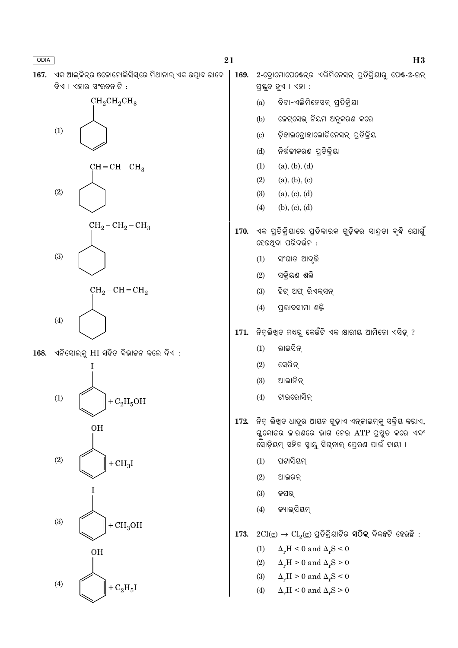167. ଏକ ଆଲ୍କିନ୍ର ଓକୋନୋଲିସିସ୍ରେ ମିଥାନାଲ୍ ଏକ ଉପାଦ ଭାବେ ଦିଏ । ଏହାର ସଂରଚନାଟି :





168. ଏନିସୋଲ୍କୁ HI ସହିତ ବିଭାଚ୍ଚନ କଲେ ଦିଏ :



169. 2-ବୋମୋପେଷେନ୍ର ଏଲିମିନେସନ୍ ପ୍ତିକିୟାର ପେଷ-2-ଇନ୍ ପ୍ରସ୍ତୁତ ହୁଏ । ଏହା :

- ବିଟା-ଏଲିମିନେସନ୍ ପ୍ରତିକ୍ରିୟା  $(a)$
- ଜେଟ୍ସେଭ୍ ନିୟମ ଅନୁକରଣ କରେ  $(b)$
- ଡ଼ିହାଇଡ୍ରୋହାଲୋକିନେସନ୍ ପ୍ରତିକ୍ରିୟା  $\left( \mathrm{c}\right)$
- ନିର୍ଜଳୀକରଣ ପ୍ତିକ୍ୟା  $(d)$
- $(a), (b), (d)$  $(1)$
- $(2)$  $(a), (b), (c)$
- $(3)$  $(a), (c), (d)$
- $(4)$  $(b), (c), (d)$
- 170. ଏକ ପ୍ରତିକ୍ରିୟାରେ ପ୍ରତିକାରକ ଗୁଡ଼ିକର ସାନ୍ଦ୍ରା ବୃଦ୍ଧି ଯୋଗୁଁ ହେଉଥବା ପରିବର୍ତ୍ତନ :
	- ସଂଘାତ ଆବୃଭି  $(1)$
	- ସକିୟଣ ଶକ୍ତି  $(2)$
	- $(3)$ ହିଟ୍ ଅଫ୍ ରିଏକ୍ସନ୍
	- $(4)$ ପଭାବସୀମା ଶକ୍ତି
- 171. ନିମୁଲିଖତ ମଧ୍ୟର କେଉଁଟି ଏକ କ୍ଷାରୀୟ ଆମିନୋ ଏସିଡ୍ ?
	- $(1)$ ଲାଇସିନ୍
	- ସେରିନ୍  $(2)$
	- $(3)$ ଆଲାନିନ୍
	- ଟାଇରୋସିନ୍  $(4)$
- 172. ନିମ୍ନ ଲିଖ୍ତ ଧାତୁର ଆୟନ ଗୁଡ଼ାଏ ଏନ୍କାଇମ୍କୁ ସକ୍ରିୟ କରାଏ, ଗ୍ଳକୋଚ୍ଚର ଜାରଣରେ ଭାଗ ନେଇ ATP ପ୍ରସ୍ତୁତ କରେ ଏବଂ ସୋଡ଼ିୟମ୍ ସହିତ ସ୍ୱାୟ ସିଗ୍ନାଲ୍ ପେରଣ ପାଇଁ ଦାୟୀ ।
	- ପଟାସିୟମ  $(1)$
	- $(2)$ ଆଇରନ
	- $(3)$ କପର୍
	- କ୍ୟାଲ୍ସିୟମ୍  $(4)$
- 173.  $2Cl(g) \rightarrow Cl_2(g)$  ପ୍ରତିକ୍ରିୟାଟିର **ସଠିକ୍** ବିକଳ୍ପଟି ହେଉଛି :
	- $\Delta_r H < 0$  and  $\Delta_r S < 0$  $(1)$
	- $(2)$  $\Delta_r H > 0$  and  $\Delta_r S > 0$
	- $\Delta_r H > 0$  and  $\Delta_r S < 0$  $(3)$
	- $\Delta_r H < 0$  and  $\Delta_r S > 0$  $(4)$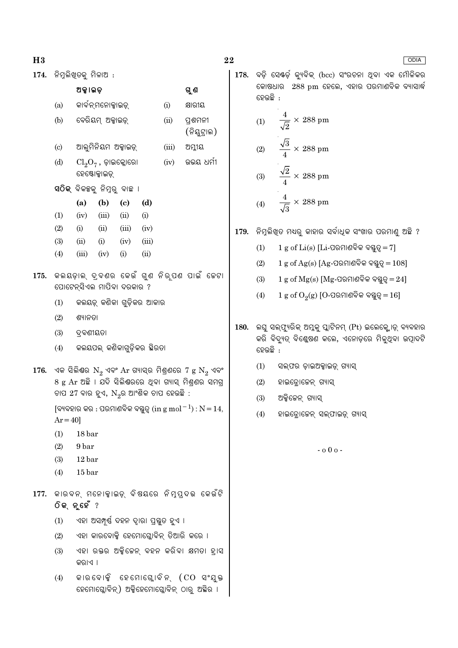$174.$  ନିମୁଲିଖ୍ଡକ୍ ମିଳାଅ $:$ 

ଅକ୍ଟାଇଡ଼

ଗୁଣ

**ODIA** 

178. ବଡ଼ି ସେଷ୍ଡ଼ି କ୍ୟବିକ୍ (bcc) ସଂରଚନା ଥିବା ଏକ ମୌଳିକର କୋଷଧାର 288 pm ହେଲେ, ଏହାର ପରମାଣବିକ ବ୍ୟାସାର୍ଦ୍ଧ ହେଉଛି :

- $\frac{4}{\sqrt{2}} \times 288$  pm  $(1)$  $\frac{\sqrt{3}}{4} \times 288$  pm  $(2)$  $\frac{\sqrt{2}}{4} \times 288$  pm  $(3)$
- $\frac{4}{\sqrt{3}} \times 288$  pm  $(4)$
- ିନିମୁଲିଖିତ ମଧ୍ୟରୁ କାହାର ସର୍ବାଧିକ ସଂଖାର ପରମାଣୁ ଅଛି ? 179.
	- $1 g$  of  $Li(s)$  [Li-ପରମାଣବିକ ବହୁତ୍ୱ $= 7$ ]  $(1)$
	- $1 g$  of Ag(s) [Ag-ପରମାଣବିକ ବସ୍ତୁତ୍ =  $108$ ]  $(2)$
	- $(3)$  $1 g$  of  $Mg(s)$  [Mg-ପରମାଣବିକ ବସ୍ତୁତ୍ୱ $= 24$ ]
	- $1 g$  of  $O<sub>2</sub>(g)$  [O-ପରମାଣବିକ ବସ୍ତୁତ୍ୱ $= 16$ ]  $(4)$
- 180. ଲଘୁ ସଲ୍ଫ୍ୟୁରିକ୍ ଅମ୍ଳକୁ ପ୍ଲାଟିନମ୍ (Pt) ଇଲେକ୍ଟ୍ରୋଡ୍ ବ୍ୟବହାର କରି ବିଦ୍ୟୁତ୍ ବିଶ୍ଳେଷଣ କଲେ, ଏନୋଡ଼ରେ ମିଳୁଥିବା ଉତ୍ପାଦଟି ହେଉଛି :
	- $(1)$ ସଲ୍ଫର ଡ଼ାଇଅକ୍ସାଇଡ୍ ଗ୍ୟାସ୍
	- $(2)$ ହାଇଡ୍ରୋଜେନ୍ ଗ୍ୟାସ୍
	- $(3)$ ଅକ୍ସିଜେନ୍ ଗ୍ୟାସ୍
	- $(4)$ ହାଇଡ଼ୋଜେନ୍ ସଲ୍ଫାଇଡ଼୍ ଗ୍ୟାସ୍

 $-000 -$ 

କାର୍ବନ୍ମନୋକ୍ସାଇଡ୍  $(i)$ କ୍ଷାରୀୟ  $(a)$ ବେରିୟମ୍ ଅକ୍ସାଇଡ୍  $(b)$  $(ii)$ ପ୍ରଶମନୀ (ନିୟୁଟ୍ରାଲ) ଆଲୁମିନିୟମ ଅକ୍ସାଇଡ୍  $(c)$  $(iii)$ ଅମ୍ଳୀୟ ଭଭୟ ଧର୍ମୀ  $(d)$  $\text{Cl}_2\text{O}_7$  , ଡ଼ାଇକ୍ଲୋରୋ  $(iv)$ ହେଷ୍ଟୋକ୍ସାଇଡ୍ ସଠିକ୍ ବିକଳ୍ପକୁ ନିମ୍ନରୁ ବାଛ**ା** (a)  $(b)$  $\left( \mathrm{c}\right)$  $(d)$  $(1)$  $(ii)$  $(iv)$  $(iii)$  $(i)$  $(2)$  $(i)$  $(ii)$  $(iii)$  $(iv)$  $(3)$  $(i)$  $(ii)$  $(iv)$  $(iii)$  $(4)$  $(iii)$  $(iv)$  $(i)$  $(ii)$ 175. କଲୟଡ଼ାଲ୍ ଦ୍ବଣର କେଉଁ ଗୁଣ ନିର୍ପଣ ପାଇଁ କେଟା ପୋଟେନ୍ସିଏଲ ମାପିବା ଦରକାର ? କଲୟଡ଼୍ କଣିକା ଗୁଡ଼ିକର ଆକାର  $(1)$  $(2)$ ଶ୍ୟାନତା  $(3)$ ଦ୍ୱବଣୀୟତା କଲୟପଲ୍ କଣିକାଗୁଡ଼ିକର ଛିରତା  $(4)$  $176.$  ଏକ ସିଲିଶ୍ଚର  $N_2$  ଏବଂ  $Ar$  ଗ୍ୟାସ୍ର ମିଶ୍ରଣରେ 7  $g N_2$  ଏବଂ 8 g Ar ଅଛି । ଯଦି ସିଲିଷରରେ ଥିବା ଗ୍ୟାସ୍ ମିଶ୍**ଶର** ସମଗ୍ ଚାପ 27 ବାର ହୁଏ,  $N_{2}$ ର ଆଂଶିକ ଚାପ ହେଉଛି : [ବ୍ୟବହାର କର : ପରମାଣବିକ ବସ୍ତୁତ୍ୱ (in g mol $^{-1}$ ) :  $N = 14$ ,  $Ar = 40$  $18<sub>bar</sub>$  $(1)$  $(2)$ 9 bar  $(3)$ 12 bar  $15<sub>bar</sub>$  $(4)$ 177. କାରବନ୍ ମନୋକ୍ୱାଇଡ୍ ବିଷୟରେ ନିମ୍ପ୍ଦଭ କେଉଁଟି ଠିକ୍ ନୃହେଁ ? ଏହା ଅସମ୍ପର୍ଷ୍ ଦହନ ଦାରା ପ୍ରୟୁତ ହୁଏ ।  $(1)$ 

- ଏହା କାରବୋକ୍କି ହେମୋଘୋବିନ ତିଆରି କରେ ।  $(2)$
- $(3)$ ଏହା ରକ୍ତର ଅକ୍ସିକେନ୍ ବହନ କରିବା କ୍ଷମତା ହ୍ରାସ କରାଏ ।
- କାରବୋକ୍ସି ହେମୋଗ୍ଲୋବିନ୍ (CO ସଂଯୁକ୍ତ  $(4)$ ହେମୋଗ୍ଲୋବିନ୍) ଅକ୍ସିହେମୋଗ୍ଲୋବିନ୍ ଠାର୍ ଅସ୍ଥିର ।